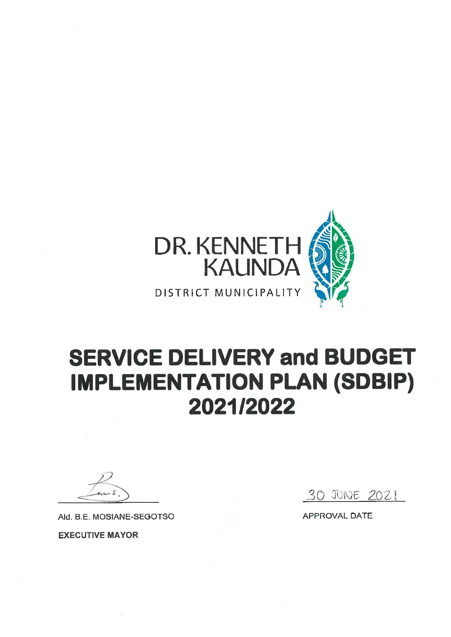

# **SERVICE DELIVERY and BUDGET IMPLEMENTATION PLAN (SDBIP)** 2021/2022

Ald. B.E. MOSIANE-SEGOTSO

**EXECUTIVE MAYOR** 

30 JUNE 2021

APPROVAL DATE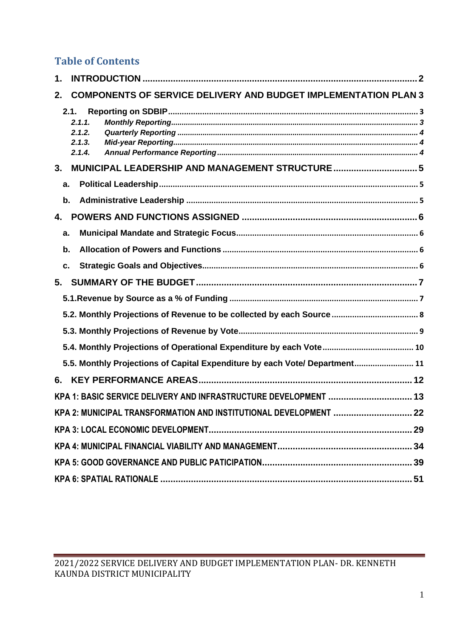# **Table of Contents**

| 1. |      |                                      |                                                                             |  |
|----|------|--------------------------------------|-----------------------------------------------------------------------------|--|
| 2. |      |                                      | <b>COMPONENTS OF SERVICE DELIVERY AND BUDGET IMPLEMENTATION PLAN 3</b>      |  |
|    | 2.1. | 2.1.1.<br>2.1.2.<br>2.1.3.<br>2.1.4. |                                                                             |  |
| 3. |      |                                      |                                                                             |  |
|    | a.   |                                      |                                                                             |  |
|    | b.   |                                      |                                                                             |  |
| 4. |      |                                      |                                                                             |  |
|    | a.   |                                      |                                                                             |  |
|    | b.   |                                      |                                                                             |  |
|    | c.   |                                      |                                                                             |  |
| 5. |      |                                      |                                                                             |  |
|    |      |                                      |                                                                             |  |
|    |      |                                      |                                                                             |  |
|    |      |                                      |                                                                             |  |
|    |      |                                      |                                                                             |  |
|    |      |                                      | 5.5. Monthly Projections of Capital Expenditure by each Vote/ Department 11 |  |
| 6. |      |                                      |                                                                             |  |
|    |      |                                      | KPA 1: BASIC SERVICE DELIVERY AND INFRASTRUCTURE DEVELOPMENT  13            |  |
|    |      |                                      | KPA 2: MUNICIPAL TRANSFORMATION AND INSTITUTIONAL DEVELOPMENT  22           |  |
|    |      |                                      |                                                                             |  |
|    |      |                                      |                                                                             |  |
|    |      |                                      |                                                                             |  |
|    |      |                                      |                                                                             |  |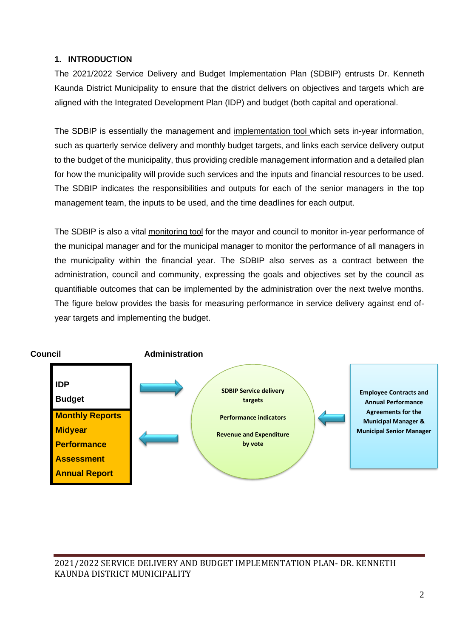#### <span id="page-2-0"></span>**1. INTRODUCTION**

The 2021/2022 Service Delivery and Budget Implementation Plan (SDBIP) entrusts Dr. Kenneth Kaunda District Municipality to ensure that the district delivers on objectives and targets which are aligned with the Integrated Development Plan (IDP) and budget (both capital and operational.

The SDBIP is essentially the management and implementation tool which sets in-year information, such as quarterly service delivery and monthly budget targets, and links each service delivery output to the budget of the municipality, thus providing credible management information and a detailed plan for how the municipality will provide such services and the inputs and financial resources to be used. The SDBIP indicates the responsibilities and outputs for each of the senior managers in the top management team, the inputs to be used, and the time deadlines for each output.

The SDBIP is also a vital monitoring tool for the mayor and council to monitor in-year performance of the municipal manager and for the municipal manager to monitor the performance of all managers in the municipality within the financial year. The SDBIP also serves as a contract between the administration, council and community, expressing the goals and objectives set by the council as quantifiable outcomes that can be implemented by the administration over the next twelve months. The figure below provides the basis for measuring performance in service delivery against end ofyear targets and implementing the budget.

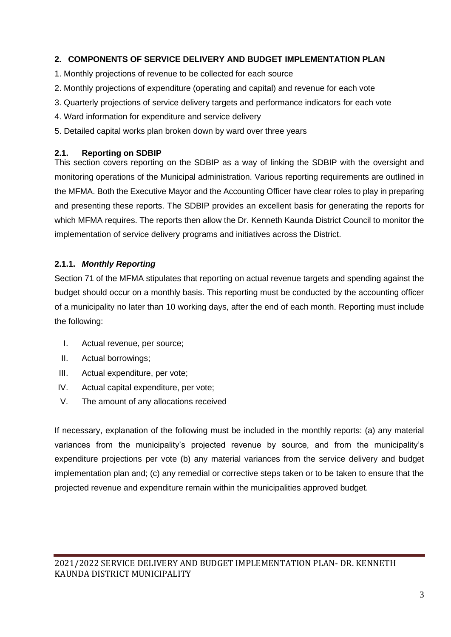#### <span id="page-3-0"></span>**2. COMPONENTS OF SERVICE DELIVERY AND BUDGET IMPLEMENTATION PLAN**

- 1. Monthly projections of revenue to be collected for each source
- 2. Monthly projections of expenditure (operating and capital) and revenue for each vote
- 3. Quarterly projections of service delivery targets and performance indicators for each vote
- 4. Ward information for expenditure and service delivery
- 5. Detailed capital works plan broken down by ward over three years

#### <span id="page-3-1"></span>**2.1. Reporting on SDBIP**

This section covers reporting on the SDBIP as a way of linking the SDBIP with the oversight and monitoring operations of the Municipal administration. Various reporting requirements are outlined in the MFMA. Both the Executive Mayor and the Accounting Officer have clear roles to play in preparing and presenting these reports. The SDBIP provides an excellent basis for generating the reports for which MFMA requires. The reports then allow the Dr. Kenneth Kaunda District Council to monitor the implementation of service delivery programs and initiatives across the District.

#### <span id="page-3-2"></span>**2.1.1.** *Monthly Reporting*

Section 71 of the MFMA stipulates that reporting on actual revenue targets and spending against the budget should occur on a monthly basis. This reporting must be conducted by the accounting officer of a municipality no later than 10 working days, after the end of each month. Reporting must include the following:

- I. Actual revenue, per source;
- II. Actual borrowings;
- III. Actual expenditure, per vote;
- IV. Actual capital expenditure, per vote;
- V. The amount of any allocations received

If necessary, explanation of the following must be included in the monthly reports: (a) any material variances from the municipality's projected revenue by source, and from the municipality's expenditure projections per vote (b) any material variances from the service delivery and budget implementation plan and; (c) any remedial or corrective steps taken or to be taken to ensure that the projected revenue and expenditure remain within the municipalities approved budget.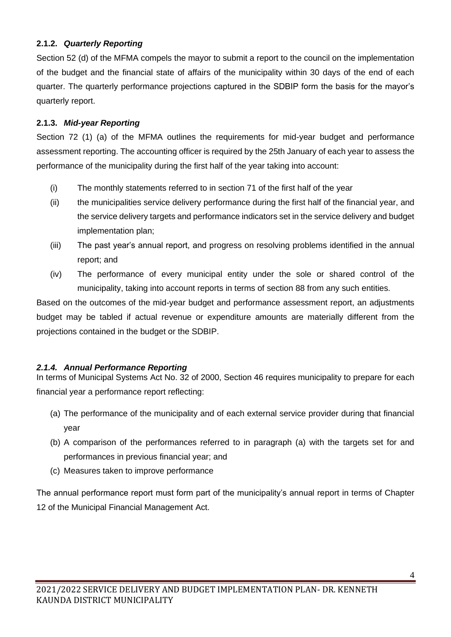### <span id="page-4-0"></span>**2.1.2.** *Quarterly Reporting*

Section 52 (d) of the MFMA compels the mayor to submit a report to the council on the implementation of the budget and the financial state of affairs of the municipality within 30 days of the end of each quarter. The quarterly performance projections captured in the SDBIP form the basis for the mayor's quarterly report.

#### <span id="page-4-1"></span>**2.1.3.** *Mid-year Reporting*

Section 72 (1) (a) of the MFMA outlines the requirements for mid-year budget and performance assessment reporting. The accounting officer is required by the 25th January of each year to assess the performance of the municipality during the first half of the year taking into account:

- (i) The monthly statements referred to in section 71 of the first half of the year
- (ii) the municipalities service delivery performance during the first half of the financial year, and the service delivery targets and performance indicators set in the service delivery and budget implementation plan;
- (iii) The past year's annual report, and progress on resolving problems identified in the annual report; and
- (iv) The performance of every municipal entity under the sole or shared control of the municipality, taking into account reports in terms of section 88 from any such entities.

Based on the outcomes of the mid-year budget and performance assessment report, an adjustments budget may be tabled if actual revenue or expenditure amounts are materially different from the projections contained in the budget or the SDBIP.

### <span id="page-4-2"></span>*2.1.4. Annual Performance Reporting*

In terms of Municipal Systems Act No. 32 of 2000, Section 46 requires municipality to prepare for each financial year a performance report reflecting:

- (a) The performance of the municipality and of each external service provider during that financial year
- (b) A comparison of the performances referred to in paragraph (a) with the targets set for and performances in previous financial year; and
- (c) Measures taken to improve performance

The annual performance report must form part of the municipality's annual report in terms of Chapter 12 of the Municipal Financial Management Act.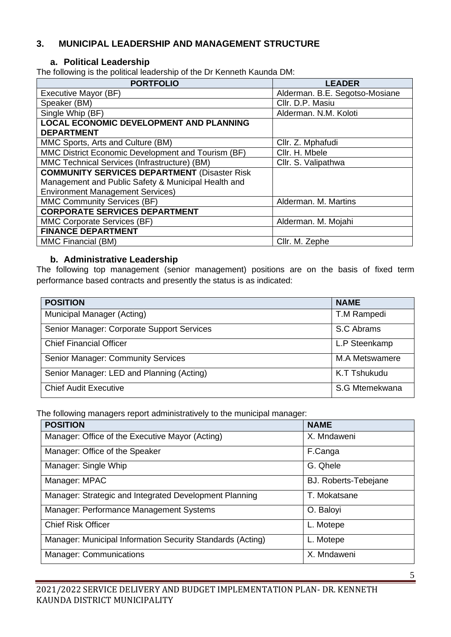## <span id="page-5-1"></span><span id="page-5-0"></span>**3. MUNICIPAL LEADERSHIP AND MANAGEMENT STRUCTURE**

#### **a. Political Leadership**

The following is the political leadership of the Dr Kenneth Kaunda DM:

| <b>PORTFOLIO</b>                                    | <b>LEADER</b>                  |
|-----------------------------------------------------|--------------------------------|
| Executive Mayor (BF)                                | Alderman. B.E. Segotso-Mosiane |
| Speaker (BM)                                        | Cllr. D.P. Masiu               |
| Single Whip (BF)                                    | Alderman. N.M. Koloti          |
| <b>LOCAL ECONOMIC DEVELOPMENT AND PLANNING</b>      |                                |
| <b>DEPARTMENT</b>                                   |                                |
| MMC Sports, Arts and Culture (BM)                   | Cllr. Z. Mphafudi              |
| MMC District Economic Development and Tourism (BF)  | Cllr. H. Mbele                 |
| MMC Technical Services (Infrastructure) (BM)        | Cllr. S. Valipathwa            |
| <b>COMMUNITY SERVICES DEPARTMENT (Disaster Risk</b> |                                |
| Management and Public Safety & Municipal Health and |                                |
| <b>Environment Management Services)</b>             |                                |
| <b>MMC Community Services (BF)</b>                  | Alderman. M. Martins           |
| <b>CORPORATE SERVICES DEPARTMENT</b>                |                                |
| MMC Corporate Services (BF)                         | Alderman. M. Mojahi            |
| <b>FINANCE DEPARTMENT</b>                           |                                |
| MMC Financial (BM)                                  | Cllr. M. Zephe                 |

#### <span id="page-5-2"></span>**b. Administrative Leadership**

The following top management (senior management) positions are on the basis of fixed term performance based contracts and presently the status is as indicated:

| <b>POSITION</b>                            | <b>NAME</b>           |
|--------------------------------------------|-----------------------|
| Municipal Manager (Acting)                 | T.M Rampedi           |
| Senior Manager: Corporate Support Services | S.C Abrams            |
| <b>Chief Financial Officer</b>             | L.P Steenkamp         |
| <b>Senior Manager: Community Services</b>  | <b>M.A Metswamere</b> |
| Senior Manager: LED and Planning (Acting)  | K.T Tshukudu          |
| <b>Chief Audit Executive</b>               | S.G Mtemekwana        |

The following managers report administratively to the municipal manager:

| <b>POSITION</b>                                            | <b>NAME</b>                 |
|------------------------------------------------------------|-----------------------------|
| Manager: Office of the Executive Mayor (Acting)            | X. Mndaweni                 |
| Manager: Office of the Speaker                             | F.Canga                     |
| Manager: Single Whip                                       | G. Qhele                    |
| Manager: MPAC                                              | <b>BJ. Roberts-Tebejane</b> |
| Manager: Strategic and Integrated Development Planning     | T. Mokatsane                |
| Manager: Performance Management Systems                    | O. Baloyi                   |
| <b>Chief Risk Officer</b>                                  | L. Motepe                   |
| Manager: Municipal Information Security Standards (Acting) | L. Motepe                   |
| <b>Manager: Communications</b>                             | X. Mndaweni                 |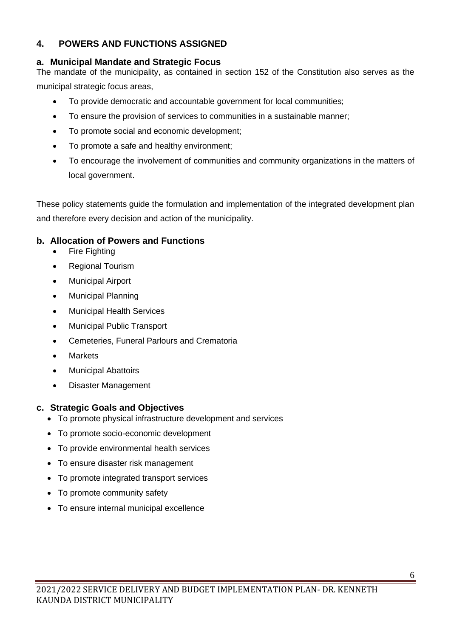# <span id="page-6-0"></span>**4. POWERS AND FUNCTIONS ASSIGNED**

## <span id="page-6-1"></span>**a. Municipal Mandate and Strategic Focus**

The mandate of the municipality, as contained in section 152 of the Constitution also serves as the municipal strategic focus areas,

- To provide democratic and accountable government for local communities;
- To ensure the provision of services to communities in a sustainable manner;
- To promote social and economic development;
- To promote a safe and healthy environment;
- To encourage the involvement of communities and community organizations in the matters of local government.

These policy statements guide the formulation and implementation of the integrated development plan and therefore every decision and action of the municipality.

# <span id="page-6-2"></span>**b. Allocation of Powers and Functions**

- Fire Fighting
- Regional Tourism
- Municipal Airport
- Municipal Planning
- Municipal Health Services
- Municipal Public Transport
- Cemeteries, Funeral Parlours and Crematoria
- **Markets**
- Municipal Abattoirs
- Disaster Management

# <span id="page-6-3"></span>**c. Strategic Goals and Objectives**

- To promote physical infrastructure development and services
- To promote socio-economic development
- To provide environmental health services
- To ensure disaster risk management
- To promote integrated transport services
- To promote community safety
- To ensure internal municipal excellence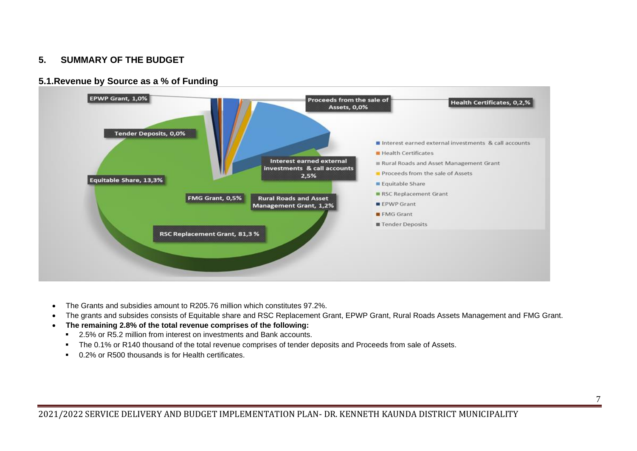### **5. SUMMARY OF THE BUDGET**





- <span id="page-7-1"></span><span id="page-7-0"></span>• The Grants and subsidies amount to R205.76 million which constitutes 97.2%.
- The grants and subsides consists of Equitable share and RSC Replacement Grant, EPWP Grant, Rural Roads Assets Management and FMG Grant.
- **The remaining 2.8% of the total revenue comprises of the following:**
	- 2.5% or R5.2 million from interest on investments and Bank accounts.
	- The 0.1% or R140 thousand of the total revenue comprises of tender deposits and Proceeds from sale of Assets.
	- 0.2% or R500 thousands is for Health certificates.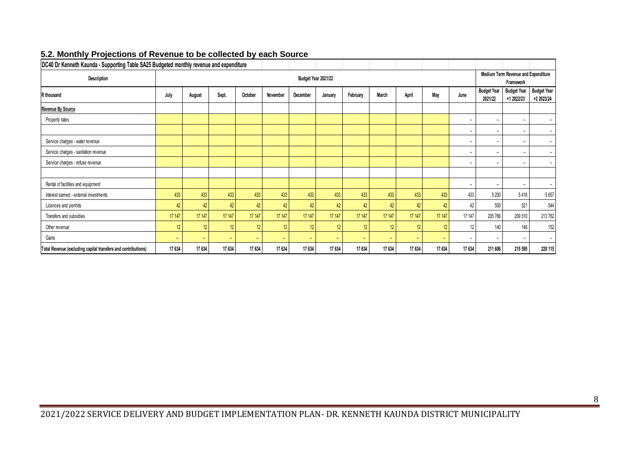<span id="page-8-0"></span>

| DC40 Dr Kenneth Kaunda - Supporting Table SA25 Budgeted monthly revenue and expenditure |                                                                             |          |                          |                          |                          |                          |                          |                          |                          |                          |                          |                          |                                                  |                                  |                                  |  |  |
|-----------------------------------------------------------------------------------------|-----------------------------------------------------------------------------|----------|--------------------------|--------------------------|--------------------------|--------------------------|--------------------------|--------------------------|--------------------------|--------------------------|--------------------------|--------------------------|--------------------------------------------------|----------------------------------|----------------------------------|--|--|
| Description                                                                             |                                                                             |          |                          |                          |                          |                          | Budget Year 2021/22      |                          |                          |                          |                          |                          | Medium Term Revenue and Expenditure<br>Framework |                                  |                                  |  |  |
| R thousand                                                                              | July                                                                        | August   | Sept.                    | October                  | November                 | December                 | January                  | February                 | March                    | April                    | May                      | June                     | <b>Budget Year</b><br>2021/22                    | <b>Budget Year</b><br>+1 2022/23 | <b>Budget Year</b><br>+2 2023/24 |  |  |
| <b>Revenue By Source</b>                                                                |                                                                             |          |                          |                          |                          |                          |                          |                          |                          |                          |                          |                          |                                                  |                                  |                                  |  |  |
| Property rates                                                                          |                                                                             |          |                          |                          |                          |                          |                          |                          |                          |                          |                          | $\overline{\phantom{a}}$ | $\overline{\phantom{a}}$                         | $\overline{\phantom{a}}$         | $\overline{\phantom{a}}$         |  |  |
| $\overline{\phantom{a}}$                                                                |                                                                             |          |                          |                          |                          |                          |                          |                          |                          |                          |                          |                          | $\overline{\phantom{a}}$                         | $\overline{\phantom{a}}$         | $\overline{\phantom{0}}$         |  |  |
| Service charges - water revenue                                                         | $\overline{\phantom{0}}$                                                    |          |                          |                          |                          |                          |                          |                          |                          |                          |                          |                          |                                                  | $\overline{\phantom{a}}$         | $\overline{\phantom{0}}$         |  |  |
| Service charges - sanitation revenue                                                    |                                                                             |          |                          |                          |                          |                          |                          |                          |                          |                          |                          | $\overline{\phantom{a}}$ | $\overline{\phantom{0}}$                         | $\overline{\phantom{a}}$         | $\overline{\phantom{a}}$         |  |  |
| Service charges - refuse revenue                                                        |                                                                             |          |                          |                          |                          |                          |                          |                          |                          |                          |                          | $\overline{\phantom{0}}$ | $\overline{\phantom{a}}$                         | $\overline{\phantom{a}}$         | $\overline{\phantom{0}}$         |  |  |
|                                                                                         |                                                                             |          |                          |                          |                          |                          |                          |                          |                          |                          |                          |                          |                                                  |                                  |                                  |  |  |
| Rental of facilities and equipment                                                      |                                                                             |          |                          |                          |                          |                          |                          |                          |                          |                          |                          | $\overline{\phantom{0}}$ | $\overline{\phantom{a}}$                         | $\overline{\phantom{a}}$         | $\overline{\phantom{a}}$         |  |  |
| Interest earned - external investments                                                  | 433                                                                         | 433      | 433                      | 433                      | 433                      | 433                      | 433                      | 433                      | 433                      | 433                      | 433                      | 433                      | 5 200                                            | 5418                             | 5657                             |  |  |
| Licences and permits                                                                    | 42                                                                          | 42       | 42                       | 42                       | 42                       | 42                       | 42                       | 42                       | 42                       | 42                       | 42                       | 42                       | 500                                              | 521                              | 544                              |  |  |
| Transfers and subsidies                                                                 | 17 147                                                                      | 17 147   | 17 147                   | 17 147                   | 17 147                   | 17 147                   | 17 147                   | 17 147                   | 17 147                   | 17 147                   | 17 147                   | 17 147                   | 205 766                                          | 209 510                          | 213 762                          |  |  |
| Other revenue                                                                           | 12<br>12<br>12<br>12<br>12 <sup>°</sup><br>12<br>12<br>12<br>12<br>12<br>12 |          |                          |                          |                          |                          |                          |                          |                          |                          |                          | 140                      | 146                                              | 152                              |                                  |  |  |
| Gains                                                                                   | $\overline{\phantom{0}}$                                                    | $\equiv$ | $\overline{\phantom{a}}$ | $\overline{\phantom{0}}$ | $\overline{\phantom{0}}$ | $\overline{\phantom{0}}$ | $\overline{\phantom{0}}$ | $\overline{\phantom{a}}$ | $\overline{\phantom{a}}$ | $\overline{\phantom{a}}$ | $\overline{\phantom{a}}$ |                          |                                                  |                                  |                                  |  |  |
| Total Revenue (excluding capital transfers and contributions)                           | 17 634                                                                      | 17 634   | 17634                    | 17 634                   | 17 634                   | 17 634                   | 17 634                   | 17 634                   | 17 634                   | 17 634                   | 17 634                   | 17 634                   | 211 606                                          | 215 595                          | 220 115                          |  |  |

#### **5.2. Monthly Projections of Revenue to be collected by each Source**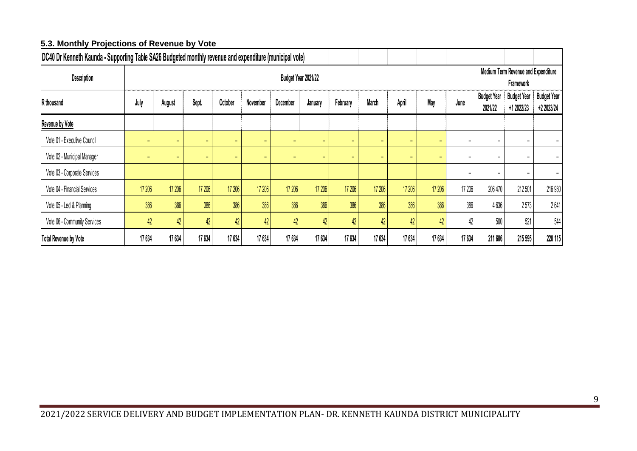### **5.3. Monthly Projections of Revenue by Vote**

<span id="page-9-0"></span>

| DC40 Dr Kenneth Kaunda - Supporting Table SA26 Budgeted monthly revenue and expenditure (municipal vote) |                          |                                                                                                                                                                 |        |        |                                                  |                                  |                                  |        |        |        |        |                          |                          |         |         |
|----------------------------------------------------------------------------------------------------------|--------------------------|-----------------------------------------------------------------------------------------------------------------------------------------------------------------|--------|--------|--------------------------------------------------|----------------------------------|----------------------------------|--------|--------|--------|--------|--------------------------|--------------------------|---------|---------|
| Description                                                                                              |                          |                                                                                                                                                                 |        |        | Medium Term Revenue and Expenditure<br>Framework |                                  |                                  |        |        |        |        |                          |                          |         |         |
| R thousand                                                                                               | July                     | August                                                                                                                                                          | Sept.  | June   | <b>Budget Year</b><br>2021/22                    | <b>Budget Year</b><br>+1 2022/23 | <b>Budget Year</b><br>+2 2023/24 |        |        |        |        |                          |                          |         |         |
| Revenue by Vote                                                                                          |                          |                                                                                                                                                                 |        |        |                                                  |                                  |                                  |        |        |        |        |                          |                          |         |         |
| Vote 01 - Executive Council                                                                              | $\overline{\phantom{a}}$ | $\overline{\phantom{a}}$<br>$\qquad \qquad =$<br>$\overline{\phantom{a}}$<br>$\overline{\phantom{a}}$<br>۰<br>$\sim$<br>-<br>-<br>-<br>$\overline{\phantom{0}}$ |        |        |                                                  |                                  |                                  |        |        |        |        |                          |                          |         |         |
| Vote 02 - Municipal Manager                                                                              | $\overline{\phantom{a}}$ |                                                                                                                                                                 |        | ۰      | ٠                                                | ۰.                               | $\overline{\phantom{a}}$         | -      | -      | -      |        | $\overline{\phantom{a}}$ | $\overline{\phantom{a}}$ |         |         |
| Vote 03 - Corporate Services                                                                             |                          |                                                                                                                                                                 |        |        |                                                  |                                  |                                  |        |        |        |        | -                        |                          |         |         |
| Vote 04 - Financial Services                                                                             | 17 206                   | 17 206                                                                                                                                                          | 17 206 | 17 206 | 17 206                                           | 17 206                           | 17 206                           | 17 206 | 17 206 | 17 206 | 17 206 | 17 206                   | 206 470                  | 212 501 | 216 930 |
| Vote 05 - Led & Planning                                                                                 | 386                      | 386                                                                                                                                                             | 386    | 386    | 386                                              | 386                              | 386                              | 386    | 386    | 386    | 386    | 386                      | 4636                     | 2573    | 2641    |
| Vote 06 - Community Services                                                                             | 42                       | 42<br>42<br>42<br>42<br>42<br>42<br>42<br>42<br>42<br>42<br>42                                                                                                  |        |        |                                                  |                                  |                                  |        |        |        |        |                          |                          |         | 544     |
| <b>Total Revenue by Vote</b>                                                                             | 17 634                   | 17 634                                                                                                                                                          | 17 634 | 17 634 | 17 634                                           | 17 634                           | 17 634                           | 17 634 | 17634  | 17634  | 17634  | 17 634                   | 211 606                  | 215 595 | 220 115 |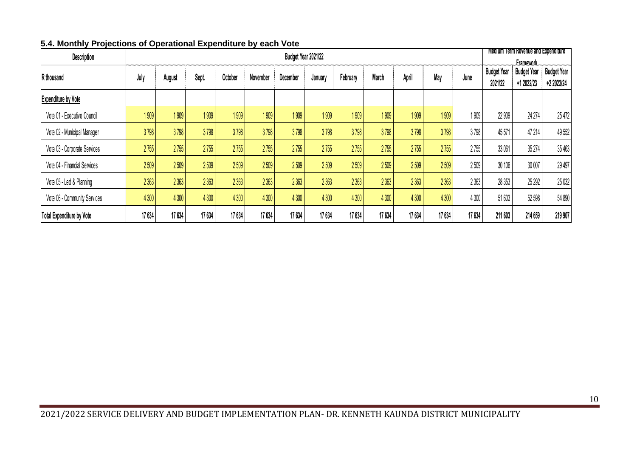<span id="page-10-0"></span>

| Description                  |        |         |        |         | Medium Term Revenue and Expenditure<br><b>Framework</b> |          |         |          |         |        |        |         |                               |                                  |                                  |
|------------------------------|--------|---------|--------|---------|---------------------------------------------------------|----------|---------|----------|---------|--------|--------|---------|-------------------------------|----------------------------------|----------------------------------|
| R thousand                   | July   | August  | Sept.  | October | November                                                | December | January | February | March   | April  | May    | June    | <b>Budget Year</b><br>2021/22 | <b>Budget Year</b><br>+1 2022/23 | <b>Budget Year</b><br>+2 2023/24 |
| <b>Expenditure by Vote</b>   |        |         |        |         |                                                         |          |         |          |         |        |        |         |                               |                                  |                                  |
| Vote 01 - Executive Council  | 1909   | 1909    | 1909   | 1909    | 1909                                                    | 1909     | 1909    | 1909     | 1909    | 1909   | 1909   | 1909    | 22 909                        | 24 274                           | 25 472                           |
| Vote 02 - Municipal Manager  | 3798   | 3798    | 3798   | 3798    | 3798                                                    | 3798     | 3798    | 3798     | 3798    | 3798   | 3798   | 3798    | 45571                         | 47 214                           | 49 552                           |
| Vote 03 - Corporate Services | 2755   | 2755    | 2755   | 2755    | 2755                                                    | 2755     | 2755    | 2755     | 2755    | 2755   | 2755   | 2755    | 33 061                        | 35 274                           | 35 463                           |
| Vote 04 - Financial Services | 2509   | 2509    | 2509   | 2509    | 2509                                                    | 2509     | 2509    | 2509     | 2509    | 2509   | 2509   | 2509    | 30 106                        | 30 007                           | 29 497                           |
| Vote 05 - Led & Planning     | 2 3 63 | 2 3 6 3 | 2 3 63 | 2 3 63  | 2 3 63                                                  | 2 3 63   | 2 3 63  | 2 3 63   | 2 3 6 3 | 2 3 63 | 2 3 63 | 2 3 6 3 | 28 35 3                       | 25 292                           | 25 032                           |
| Vote 06 - Community Services | 4 300  | 4 300   | 4300   | 4 300   | 4 300                                                   | 4 300    | 4300    | 4 300    | 4 300   | 4300   | 4 300  | 4 300   | 51603                         | 52 598                           | 54 890                           |
| Total Expenditure by Vote    | 17 634 | 17 634  | 17 634 | 17 634  | 17 634                                                  | 17 634   | 17 634  | 17 634   | 17 634  | 17 634 | 17 634 | 17 634  | 211 603                       | 214 659                          | 219 907                          |

#### **5.4. Monthly Projections of Operational Expenditure by each Vote**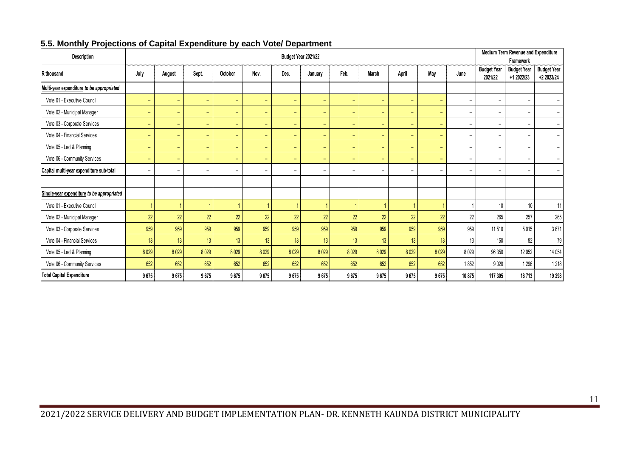<span id="page-11-0"></span>

| Description                                |                |                          |                          |                          | Medium Term Revenue and Expenditure<br>Framework |                          |                          |                          |                          |                          |                          |                          |                               |                                  |                                  |
|--------------------------------------------|----------------|--------------------------|--------------------------|--------------------------|--------------------------------------------------|--------------------------|--------------------------|--------------------------|--------------------------|--------------------------|--------------------------|--------------------------|-------------------------------|----------------------------------|----------------------------------|
| R thousand                                 | July           | August                   | Sept.                    | October                  | Nov.                                             | Dec.                     | January                  | Feb.                     | March                    | April                    | May                      | June                     | <b>Budget Year</b><br>2021/22 | <b>Budget Year</b><br>+1 2022/23 | <b>Budget Year</b><br>+2 2023/24 |
| Multi-year expenditure to be appropriated  |                |                          |                          |                          |                                                  |                          |                          |                          |                          |                          |                          |                          |                               |                                  |                                  |
| Vote 01 - Executive Council                | -              | $\overline{\phantom{0}}$ | $\equiv$                 | $\equiv$                 | $\equiv$                                         | $\overline{\phantom{a}}$ | $\overline{\phantom{0}}$ | $\overline{\phantom{0}}$ |                          | -                        | $\overline{\phantom{0}}$ | $\overline{\phantom{a}}$ | -                             | $\overline{\phantom{a}}$         | $\overline{\phantom{a}}$         |
| Vote 02 - Municipal Manager                | -              | ۰                        | ٠                        | $\overline{\phantom{m}}$ | $\overline{\phantom{a}}$                         | $\overline{\phantom{a}}$ | -                        | $\equiv$                 | $\overline{\phantom{0}}$ | $\overline{\phantom{0}}$ | $\overline{\phantom{a}}$ | $\overline{\phantom{a}}$ | -                             | $\overline{\phantom{a}}$         | $\overline{\phantom{a}}$         |
| Vote 03 - Corporate Services               | ۰              | $\overline{\phantom{0}}$ | $\equiv$                 | ٠                        | $\overline{\phantom{a}}$                         | $\overline{\phantom{0}}$ | -                        | $\overline{\phantom{0}}$ |                          | -                        | $\overline{\phantom{0}}$ | $\overline{\phantom{a}}$ | -                             | $\overline{\phantom{a}}$         | $\overline{\phantom{a}}$         |
| Vote 04 - Financial Services               | -              | ÷                        | $\overline{\phantom{a}}$ | $\equiv$                 | $\equiv$                                         | $\overline{\phantom{a}}$ | $\overline{\phantom{0}}$ | $\equiv$                 | $\overline{\phantom{0}}$ | $\overline{\phantom{0}}$ | $\overline{\phantom{0}}$ | $\overline{\phantom{a}}$ | $\overline{\phantom{0}}$      | $\overline{\phantom{a}}$         | $\overline{\phantom{a}}$         |
| Vote 05 - Led & Planning                   | $\equiv$       | $\overline{\phantom{0}}$ | $\equiv$                 | $\equiv$                 | $\overline{\phantom{a}}$                         | $\overline{\phantom{a}}$ | $\overline{\phantom{a}}$ | $\overline{\phantom{a}}$ | $\overline{\phantom{0}}$ | $\overline{\phantom{0}}$ | $\overline{\phantom{0}}$ | $\overline{\phantom{a}}$ | $\overline{\phantom{a}}$      | $\overline{\phantom{a}}$         | $\overline{\phantom{a}}$         |
| Vote 06 - Community Services               | ۰.             | ۰                        | $\equiv$                 | $\equiv$                 | $\overline{\phantom{a}}$                         | $\overline{\phantom{a}}$ | $\overline{\phantom{0}}$ | $\overline{\phantom{0}}$ | $\overline{\phantom{0}}$ | $\overline{\phantom{0}}$ | $\overline{\phantom{a}}$ | $\overline{\phantom{a}}$ | $\overline{\phantom{0}}$      | $\overline{\phantom{a}}$         | $\overline{\phantom{a}}$         |
| Capital multi-year expenditure sub-total   | $\blacksquare$ | $\overline{\phantom{0}}$ | $\blacksquare$           | $\blacksquare$           | $\blacksquare$                                   | $\overline{\phantom{0}}$ | -                        | $\overline{\phantom{0}}$ | $\overline{\phantom{0}}$ | -                        | $\blacksquare$           | $\overline{\phantom{0}}$ | -                             | $\blacksquare$                   | $\blacksquare$                   |
|                                            |                |                          |                          |                          |                                                  |                          |                          |                          |                          |                          |                          |                          |                               |                                  |                                  |
| Single-year expenditure to be appropriated |                |                          |                          |                          |                                                  |                          |                          |                          |                          |                          |                          |                          |                               |                                  |                                  |
| Vote 01 - Executive Council                |                |                          |                          |                          |                                                  |                          |                          |                          |                          |                          |                          |                          | 10 <sup>°</sup>               | 10                               | 11                               |
| Vote 02 - Municipal Manager                | 22             | 22                       | 22                       | 22                       | 22                                               | 22                       | 22                       | 22                       | 22                       | 22                       | 22                       | 22                       | 265                           | 257                              | 265                              |
| Vote 03 - Corporate Services               | 959            | 959                      | 959                      | 959                      | 959                                              | 959                      | 959                      | 959                      | 959                      | 959                      | 959                      | 959                      | 11 510                        | 5015                             | 3671                             |
| Vote 04 - Financial Services               | 13             | 13                       | 13                       | 13                       | 13                                               | 13                       | 13                       | 13                       | 13                       | 13                       | 13                       | 13                       | 150                           | 82                               | 79                               |
| Vote 05 - Led & Planning                   | 8 0 29         | 8029                     | 8029                     | 8029                     | 8029                                             | 8029                     | 8029                     | 8029                     | 8029                     | 8029                     | 8029                     | 8 0 2 9                  | 96 350                        | 12 052                           | 14 0 54                          |
| Vote 06 - Community Services               | 652            | 652                      | 652                      | 652                      | 652                                              | 652                      | 652                      | 652                      | 652                      | 652                      | 652                      | 1852                     | 9020                          | 1 2 9 6                          | 1 2 1 8                          |
| <b>Total Capital Expenditure</b>           | 9675           | 9675                     | 9675                     | 9675                     | 9675                                             | 9675                     | 9675                     | 9675                     | 9675                     | 9675                     | 9675                     | 10 875                   | 117 305                       | 18713                            | 19 298                           |

#### **5.5. Monthly Projections of Capital Expenditure by each Vote/ Department**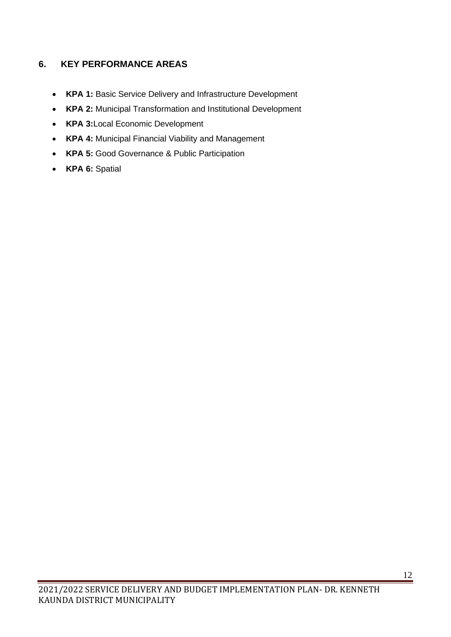# <span id="page-12-0"></span>**6. KEY PERFORMANCE AREAS**

- **KPA 1:** Basic Service Delivery and Infrastructure Development
- **KPA 2:** Municipal Transformation and Institutional Development
- **KPA 3:**Local Economic Development
- **KPA 4:** Municipal Financial Viability and Management
- **KPA 5:** Good Governance & Public Participation
- **KPA 6:** Spatial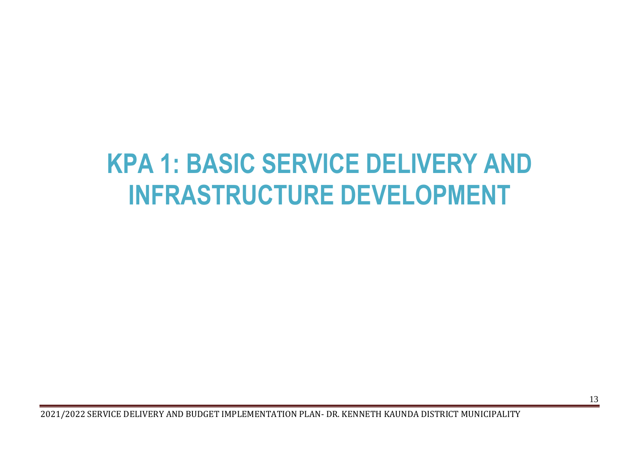# **KPA 1: BASIC SERVICE DELIVERY AND INFRASTRUCTURE DEVELOPMENT**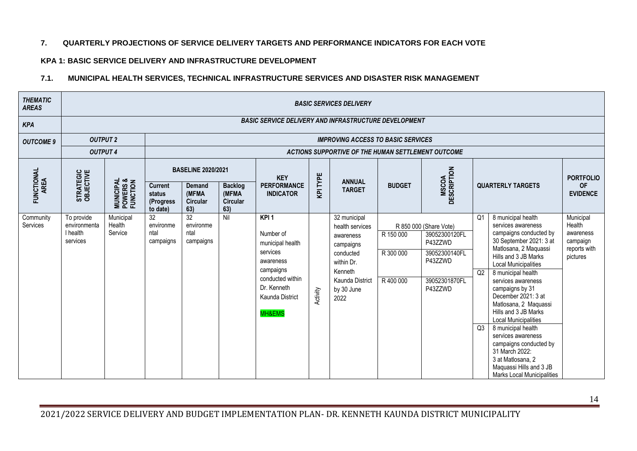#### **7. QUARTERLY PROJECTIONS OF SERVICE DELIVERY TARGETS AND PERFORMANCE INDICATORS FOR EACH VOTE**

#### **KPA 1: BASIC SERVICE DELIVERY AND INFRASTRUCTURE DEVELOPMENT**

#### **7.1. MUNICIPAL HEALTH SERVICES, TECHNICAL INFRASTRUCTURE SERVICES AND DISASTER RISK MANAGEMENT**

| <b>THEMATIC</b><br><b>AREAS</b> |                                                    |                                                |                                                    |                                                              |                                                   |                                                                                                                                                         |          | <b>BASIC SERVICES DELIVERY</b>                                                                                                                  |                                   |                                                                                                            |                            |                                                                                                                                                                                                                                                                                                                                                                                                                                                                                                                           |                                                                          |  |  |  |
|---------------------------------|----------------------------------------------------|------------------------------------------------|----------------------------------------------------|--------------------------------------------------------------|---------------------------------------------------|---------------------------------------------------------------------------------------------------------------------------------------------------------|----------|-------------------------------------------------------------------------------------------------------------------------------------------------|-----------------------------------|------------------------------------------------------------------------------------------------------------|----------------------------|---------------------------------------------------------------------------------------------------------------------------------------------------------------------------------------------------------------------------------------------------------------------------------------------------------------------------------------------------------------------------------------------------------------------------------------------------------------------------------------------------------------------------|--------------------------------------------------------------------------|--|--|--|
| <b>KPA</b>                      |                                                    |                                                |                                                    | <b>BASIC SERVICE DELIVERY AND INFRASTRUCTURE DEVELOPMENT</b> |                                                   |                                                                                                                                                         |          |                                                                                                                                                 |                                   |                                                                                                            |                            |                                                                                                                                                                                                                                                                                                                                                                                                                                                                                                                           |                                                                          |  |  |  |
| <b>OUTCOME 9</b>                | <b>OUTPUT 2</b>                                    |                                                |                                                    |                                                              |                                                   |                                                                                                                                                         |          | <b>IMPROVING ACCESS TO BASIC SERVICES</b>                                                                                                       |                                   |                                                                                                            |                            |                                                                                                                                                                                                                                                                                                                                                                                                                                                                                                                           |                                                                          |  |  |  |
|                                 | <b>OUTPUT 4</b>                                    |                                                |                                                    |                                                              |                                                   |                                                                                                                                                         |          | ACTIONS SUPPORTIVE OF THE HUMAN SETTLEMENT OUTCOME                                                                                              |                                   |                                                                                                            |                            |                                                                                                                                                                                                                                                                                                                                                                                                                                                                                                                           |                                                                          |  |  |  |
|                                 |                                                    |                                                | <b>BASELINE 2020/2021</b>                          |                                                              | <b>KEY</b>                                        |                                                                                                                                                         |          |                                                                                                                                                 |                                   |                                                                                                            |                            | <b>PORTFOLIO</b>                                                                                                                                                                                                                                                                                                                                                                                                                                                                                                          |                                                                          |  |  |  |
| FUNCTIONAL<br>AREA              | STRATEGIC<br>OBJECTIVE                             | <b>MUNICIPAL<br/>POWERS &amp;<br/>FUNCTION</b> | <b>Current</b><br>status<br>(Progress)<br>to date) | <b>Demand</b><br>(MFMA<br><b>Circular</b><br>63)             | <b>Backlog</b><br>(MFMA<br><b>Circular</b><br>63) | <b>PERFORMANCE</b><br><b>INDICATOR</b>                                                                                                                  | KPI TYPE | <b>ANNUAL</b><br><b>TARGET</b>                                                                                                                  | <b>BUDGET</b>                     | <b>MSCOA</b><br>DESCRIPTION                                                                                |                            | <b>QUARTERLY TARGETS</b>                                                                                                                                                                                                                                                                                                                                                                                                                                                                                                  | <b>OF</b><br><b>EVIDENCE</b>                                             |  |  |  |
| Community<br>Services           | To provide<br>environmenta<br>I health<br>services | Municipal<br>Health<br>Service                 | 32<br>environme<br>ntal<br>campaigns               | 32<br>environme<br>ntal<br>campaigns                         | Nil                                               | KPI <sub>1</sub><br>Number of<br>municipal health<br>services<br>awareness<br>campaigns<br>conducted within<br>Dr. Kenneth<br>Kaunda District<br>MH&EMS | Activity | 32 municipal<br>health services<br>awareness<br>campaigns<br>conducted<br>within Dr.<br>Kenneth<br><b>Kaunda District</b><br>by 30 June<br>2022 | R 150 000<br>R 300 000<br>R400000 | R 850 000 (Share Vote)<br>39052300120FL<br>P43ZZWD<br>39052300140FL<br>P43ZZWD<br>39052301870FL<br>P43ZZWD | Q <sub>1</sub><br>Q2<br>Q3 | 8 municipal health<br>services awareness<br>campaigns conducted by<br>30 September 2021: 3 at<br>Matlosana, 2 Maquassi<br>Hills and 3 JB Marks<br><b>Local Municipalities</b><br>8 municipal health<br>services awareness<br>campaigns by 31<br>December 2021: 3 at<br>Matlosana, 2 Maquassi<br>Hills and 3 JB Marks<br><b>Local Municipalities</b><br>8 municipal health<br>services awareness<br>campaigns conducted by<br>31 March 2022:<br>3 at Matlosana, 2<br>Maquassi Hills and 3 JB<br>Marks Local Municipalities | Municipal<br>Health<br>awareness<br>campaign<br>reports with<br>pictures |  |  |  |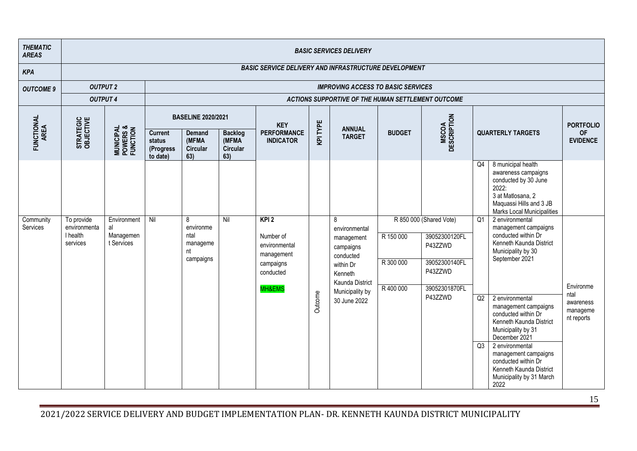| <b>THEMATIC</b><br><b>AREAS</b> |                                                    |                                                |                                                   |                                                       |                                             |                                                                                      |          | <b>BASIC SERVICES DELIVERY</b>                                                                                                           |                                     |                                                                                                             |                |                                                                                                                                                                                                                                                                                                                                                                                                        |                                                          |
|---------------------------------|----------------------------------------------------|------------------------------------------------|---------------------------------------------------|-------------------------------------------------------|---------------------------------------------|--------------------------------------------------------------------------------------|----------|------------------------------------------------------------------------------------------------------------------------------------------|-------------------------------------|-------------------------------------------------------------------------------------------------------------|----------------|--------------------------------------------------------------------------------------------------------------------------------------------------------------------------------------------------------------------------------------------------------------------------------------------------------------------------------------------------------------------------------------------------------|----------------------------------------------------------|
| <b>KPA</b>                      |                                                    |                                                |                                                   |                                                       |                                             | <b>BASIC SERVICE DELIVERY AND INFRASTRUCTURE DEVELOPMENT</b>                         |          |                                                                                                                                          |                                     |                                                                                                             |                |                                                                                                                                                                                                                                                                                                                                                                                                        |                                                          |
| <b>OUTCOME 9</b>                | <b>OUTPUT 2</b>                                    |                                                |                                                   |                                                       |                                             |                                                                                      |          | <b>IMPROVING ACCESS TO BASIC SERVICES</b>                                                                                                |                                     |                                                                                                             |                |                                                                                                                                                                                                                                                                                                                                                                                                        |                                                          |
|                                 | <b>OUTPUT 4</b>                                    |                                                |                                                   |                                                       |                                             |                                                                                      |          | ACTIONS SUPPORTIVE OF THE HUMAN SETTLEMENT OUTCOME                                                                                       |                                     |                                                                                                             |                |                                                                                                                                                                                                                                                                                                                                                                                                        |                                                          |
|                                 |                                                    |                                                |                                                   | <b>BASELINE 2020/2021</b>                             |                                             | <b>KEY</b>                                                                           |          |                                                                                                                                          |                                     |                                                                                                             |                |                                                                                                                                                                                                                                                                                                                                                                                                        | <b>PORTFOLIO</b>                                         |
| FUNCTIONAL<br>AREA              | STRATEGIC<br>OBJECTIVE                             | <b>MUNICIPAL<br/>POWERS &amp;<br/>FUNCTION</b> | <b>Current</b><br>status<br>(Progress<br>to date) | <b>Demand</b><br>(MFMA<br>Circular<br>63)             | <b>Backlog</b><br>(MFMA)<br>Circular<br>63) | <b>PERFORMANCE</b><br><b>INDICATOR</b>                                               | KPI TYPE | <b>ANNUAL</b><br><b>TARGET</b>                                                                                                           | <b>BUDGET</b>                       | <b>MSCOA</b><br>DESCRIPTION                                                                                 |                | <b>QUARTERLY TARGETS</b>                                                                                                                                                                                                                                                                                                                                                                               | <b>OF</b><br><b>EVIDENCE</b>                             |
|                                 |                                                    |                                                |                                                   |                                                       |                                             |                                                                                      |          |                                                                                                                                          |                                     |                                                                                                             | Q4             | 8 municipal health<br>awareness campaigns<br>conducted by 30 June<br>2022:<br>3 at Matlosana, 2<br>Maquassi Hills and 3 JB<br><b>Marks Local Municipalities</b>                                                                                                                                                                                                                                        |                                                          |
| Community<br>Services           | To provide<br>environmenta<br>I health<br>services | Environment<br>al<br>Managemen<br>t Services   | Nil                                               | 8<br>environme<br>ntal<br>manageme<br>nt<br>campaigns | Nil                                         | KPI2<br>Number of<br>environmental<br>management<br>campaigns<br>conducted<br>MH&EMS | Outcome  | 8<br>environmental<br>management<br>campaigns<br>conducted<br>within Dr<br>Kenneth<br>Kaunda District<br>Municipality by<br>30 June 2022 | R 150 000<br>R 300 000<br>R 400 000 | R 850 000 (Shared Vote)<br>39052300120FL<br>P43ZZWD<br>39052300140FL<br>P43ZZWD<br>39052301870FL<br>P43ZZWD | Q1<br>Q2<br>Q3 | 2 environmental<br>management campaigns<br>conducted within Dr<br>Kenneth Kaunda District<br>Municipality by 30<br>September 2021<br>2 environmental<br>management campaigns<br>conducted within Dr<br>Kenneth Kaunda District<br>Municipality by 31<br>December 2021<br>2 environmental<br>management campaigns<br>conducted within Dr<br>Kenneth Kaunda District<br>Municipality by 31 March<br>2022 | Environme<br>ntal<br>awareness<br>manageme<br>nt reports |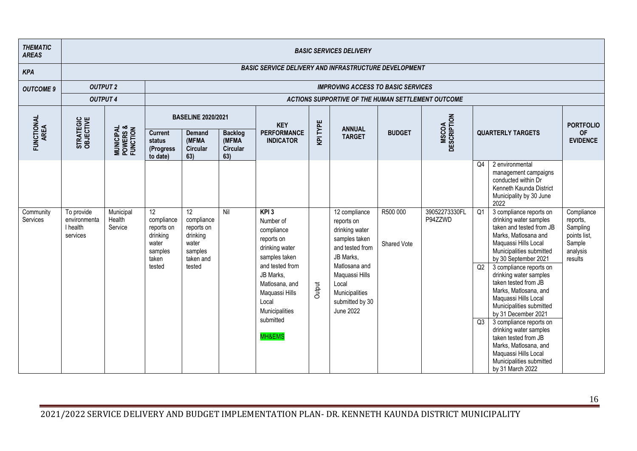| <b>THEMATIC</b><br><b>AREAS</b> |                                                    |                                                |                                                                                                |                                                                                                    |                                            |                                                                                                                                                                                                           |          | <b>BASIC SERVICES DELIVERY</b>                                                                                                                                                                      |                         |                             |                             |                                                                                                                                                                                                                                                                                                                                                                                                                                                                                                                                                  |                                                                                     |  |  |  |  |
|---------------------------------|----------------------------------------------------|------------------------------------------------|------------------------------------------------------------------------------------------------|----------------------------------------------------------------------------------------------------|--------------------------------------------|-----------------------------------------------------------------------------------------------------------------------------------------------------------------------------------------------------------|----------|-----------------------------------------------------------------------------------------------------------------------------------------------------------------------------------------------------|-------------------------|-----------------------------|-----------------------------|--------------------------------------------------------------------------------------------------------------------------------------------------------------------------------------------------------------------------------------------------------------------------------------------------------------------------------------------------------------------------------------------------------------------------------------------------------------------------------------------------------------------------------------------------|-------------------------------------------------------------------------------------|--|--|--|--|
| <b>KPA</b>                      |                                                    |                                                |                                                                                                |                                                                                                    |                                            | <b>BASIC SERVICE DELIVERY AND INFRASTRUCTURE DEVELOPMENT</b>                                                                                                                                              |          |                                                                                                                                                                                                     |                         |                             |                             |                                                                                                                                                                                                                                                                                                                                                                                                                                                                                                                                                  |                                                                                     |  |  |  |  |
| <b>OUTCOME 9</b>                | <b>OUTPUT 2</b>                                    |                                                |                                                                                                | <b>IMPROVING ACCESS TO BASIC SERVICES</b><br>ACTIONS SUPPORTIVE OF THE HUMAN SETTLEMENT OUTCOME    |                                            |                                                                                                                                                                                                           |          |                                                                                                                                                                                                     |                         |                             |                             |                                                                                                                                                                                                                                                                                                                                                                                                                                                                                                                                                  |                                                                                     |  |  |  |  |
|                                 | <b>OUTPUT 4</b>                                    |                                                |                                                                                                |                                                                                                    |                                            |                                                                                                                                                                                                           |          |                                                                                                                                                                                                     |                         |                             |                             |                                                                                                                                                                                                                                                                                                                                                                                                                                                                                                                                                  |                                                                                     |  |  |  |  |
|                                 |                                                    |                                                |                                                                                                | <b>BASELINE 2020/2021</b>                                                                          |                                            | <b>KEY</b>                                                                                                                                                                                                |          |                                                                                                                                                                                                     |                         |                             |                             |                                                                                                                                                                                                                                                                                                                                                                                                                                                                                                                                                  | <b>PORTFOLIO</b>                                                                    |  |  |  |  |
| FUNCTIONAL<br>AREA              | STRATEGIC<br>OBJECTIVE                             | <b>MUNICIPAL<br/>POWERS &amp;<br/>FUNCTION</b> | <b>Current</b><br>status<br>(Progress)<br>to date)                                             | <b>Demand</b><br>(MFMA<br><b>Circular</b><br>63)                                                   | <b>Backlog</b><br>(MFMA<br>Circular<br>63) | <b>PERFORMANCE</b><br><b>INDICATOR</b>                                                                                                                                                                    | KPI TYPE | <b>ANNUAL</b><br><b>TARGET</b>                                                                                                                                                                      | <b>BUDGET</b>           | <b>MSCOA</b><br>DESCRIPTION |                             | <b>QUARTERLY TARGETS</b>                                                                                                                                                                                                                                                                                                                                                                                                                                                                                                                         | <b>OF</b><br><b>EVIDENCE</b>                                                        |  |  |  |  |
|                                 |                                                    |                                                |                                                                                                |                                                                                                    |                                            |                                                                                                                                                                                                           |          |                                                                                                                                                                                                     |                         |                             | Q <sub>4</sub>              | 2 environmental<br>management campaigns<br>conducted within Dr<br>Kenneth Kaunda District<br>Municipality by 30 June<br>2022                                                                                                                                                                                                                                                                                                                                                                                                                     |                                                                                     |  |  |  |  |
| Community<br>Services           | To provide<br>environmenta<br>I health<br>services | Municipal<br>Health<br>Service                 | 12 <sup>°</sup><br>compliance<br>reports on<br>drinking<br>water<br>samples<br>taken<br>tested | 12 <sup>°</sup><br>compliance<br>reports on<br>drinking<br>water<br>samples<br>taken and<br>tested | Nil                                        | $KPI$ 3<br>Number of<br>compliance<br>reports on<br>drinking water<br>samples taken<br>and tested from<br>JB Marks,<br>Matlosana, and<br>Maquassi Hills<br>Local<br>Municipalities<br>submitted<br>MH&EMS | Output   | 12 compliance<br>reports on<br>drinking water<br>samples taken<br>and tested from<br>JB Marks,<br>Matlosana and<br>Maquassi Hills<br>Local<br>Municipalities<br>submitted by 30<br><b>June 2022</b> | R500 000<br>Shared Vote | 39052273330FL<br>P94ZZWD    | $\overline{Q1}$<br>Q2<br>Q3 | 3 compliance reports on<br>drinking water samples<br>taken and tested from JB<br>Marks, Matlosana and<br>Maquassi Hills Local<br>Municipalities submitted<br>by 30 September 2021<br>3 compliance reports on<br>drinking water samples<br>taken tested from JB<br>Marks, Matlosana, and<br>Maquassi Hills Local<br>Municipalities submitted<br>by 31 December 2021<br>3 compliance reports on<br>drinking water samples<br>taken tested from JB<br>Marks, Matlosana, and<br>Maquassi Hills Local<br>Municipalities submitted<br>by 31 March 2022 | Compliance<br>reports,<br>Sampling<br>points list,<br>Sample<br>analysis<br>results |  |  |  |  |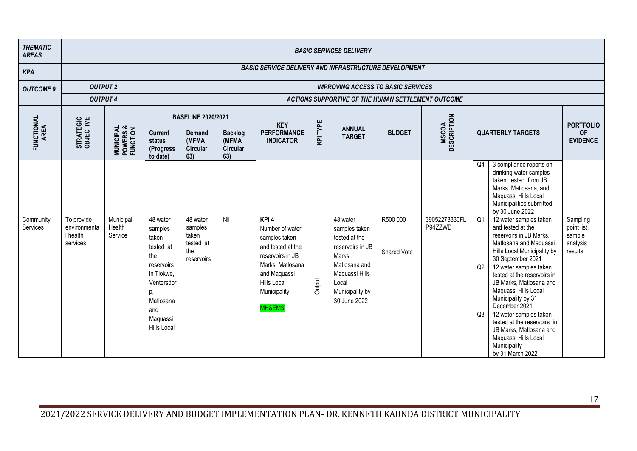| <b>THEMATIC</b><br><b>AREAS</b> |                                                    |                                                |                                                                                                                        |                                                              |                                            |                                                                                                                           |          | <b>BASIC SERVICES DELIVERY</b>                                                                            |               |                             |          |                                                                                                                                                                                                                                                                                                                                                     |                                               |  |  |  |  |
|---------------------------------|----------------------------------------------------|------------------------------------------------|------------------------------------------------------------------------------------------------------------------------|--------------------------------------------------------------|--------------------------------------------|---------------------------------------------------------------------------------------------------------------------------|----------|-----------------------------------------------------------------------------------------------------------|---------------|-----------------------------|----------|-----------------------------------------------------------------------------------------------------------------------------------------------------------------------------------------------------------------------------------------------------------------------------------------------------------------------------------------------------|-----------------------------------------------|--|--|--|--|
| <b>KPA</b>                      |                                                    |                                                |                                                                                                                        | <b>BASIC SERVICE DELIVERY AND INFRASTRUCTURE DEVELOPMENT</b> |                                            |                                                                                                                           |          |                                                                                                           |               |                             |          |                                                                                                                                                                                                                                                                                                                                                     |                                               |  |  |  |  |
| <b>OUTCOME 9</b>                | <b>OUTPUT 2</b>                                    |                                                |                                                                                                                        | <b>IMPROVING ACCESS TO BASIC SERVICES</b>                    |                                            |                                                                                                                           |          |                                                                                                           |               |                             |          |                                                                                                                                                                                                                                                                                                                                                     |                                               |  |  |  |  |
|                                 | <b>OUTPUT 4</b>                                    |                                                |                                                                                                                        | ACTIONS SUPPORTIVE OF THE HUMAN SETTLEMENT OUTCOME           |                                            |                                                                                                                           |          |                                                                                                           |               |                             |          |                                                                                                                                                                                                                                                                                                                                                     |                                               |  |  |  |  |
|                                 |                                                    |                                                |                                                                                                                        | <b>BASELINE 2020/2021</b>                                    |                                            | <b>KEY</b>                                                                                                                |          | <b>ANNUAL</b>                                                                                             |               |                             |          |                                                                                                                                                                                                                                                                                                                                                     | <b>PORTFOLIO</b>                              |  |  |  |  |
| FUNCTIONAL<br>AREA              | STRATEGIC<br>OBJECTIVE                             | <b>MUNICIPAL<br/>POWERS &amp;<br/>FUNCTION</b> | <b>Current</b><br>status<br>(Progress<br>to date)                                                                      | <b>Demand</b><br>(MFMA<br><b>Circular</b><br>63)             | <b>Backlog</b><br>(MFMA<br>Circular<br>63) | <b>PERFORMANCE</b><br><b>INDICATOR</b>                                                                                    | KPI TYPE | <b>TARGET</b>                                                                                             | <b>BUDGET</b> | <b>MSCOA</b><br>DESCRIPTION |          | <b>QUARTERLY TARGETS</b>                                                                                                                                                                                                                                                                                                                            | <b>OF</b><br><b>EVIDENCE</b>                  |  |  |  |  |
| Community<br>Services           | To provide<br>environmenta<br>I health<br>services | Municipal<br>Health<br>Service                 | 48 water<br>samples<br>taken                                                                                           | 48 water<br>samples<br>taken<br>tested at                    | Nil                                        | KPI <sub>4</sub><br>Number of water<br>samples taken                                                                      |          | 48 water<br>samples taken<br>tested at the                                                                | R500 000      | 39052273330FL<br>P94ZZWD    | Q4<br>Q1 | 3 compliance reports on<br>drinking water samples<br>taken tested from JB<br>Marks, Matlosana, and<br>Maquassi Hills Local<br>Municipalities submitted<br>by 30 June 2022<br>12 water samples taken<br>and tested at the<br>reservoirs in JB Marks,<br>Matlosana and Maquassi                                                                       | Sampling<br>point list,<br>sample<br>analysis |  |  |  |  |
|                                 |                                                    |                                                | tested at<br>the<br>reservoirs<br>in Tlokwe.<br>Ventersdor<br>p,<br>Matlosana<br>and<br>Maquassi<br><b>Hills Local</b> | the<br>reservoirs                                            |                                            | and tested at the<br>reservoirs in JB<br>Marks, Matlosana<br>and Maquassi<br><b>Hills Local</b><br>Municipality<br>MH&EMS | Output   | reservoirs in JB<br>Marks,<br>Matlosana and<br>Maquassi Hills<br>Local<br>Municipality by<br>30 June 2022 | Shared Vote   |                             | Q2<br>Q3 | Hills Local Municipality by<br>30 September 2021<br>12 water samples taken<br>tested at the reservoirs in<br>JB Marks, Matlosana and<br>Maquassi Hills Local<br>Municipality by 31<br>December 2021<br>12 water samples taken<br>tested at the reservoirs in<br>JB Marks, Matlosana and<br>Maquassi Hills Local<br>Municipality<br>by 31 March 2022 | results                                       |  |  |  |  |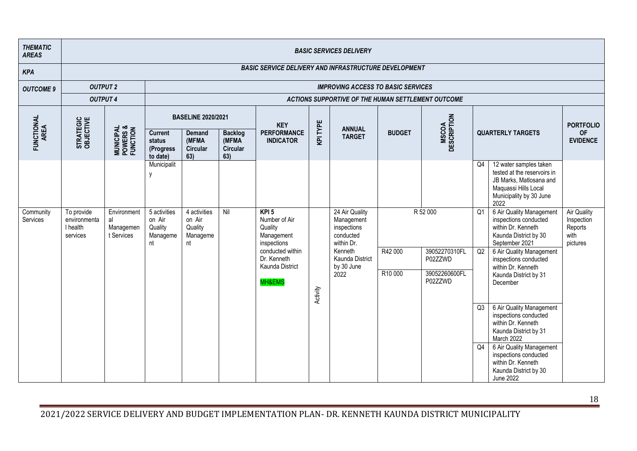| <b>THEMATIC</b><br><b>AREAS</b> |                                                    |                                                |                                                     |                                                     |                                                    |                                                                                                                                  |          | <b>BASIC SERVICES DELIVERY</b>                                                                                             |                    |                                                                  |                                  |                                                                                                                                                                                                                                                                                                                                                                                                                                 |                                                                 |
|---------------------------------|----------------------------------------------------|------------------------------------------------|-----------------------------------------------------|-----------------------------------------------------|----------------------------------------------------|----------------------------------------------------------------------------------------------------------------------------------|----------|----------------------------------------------------------------------------------------------------------------------------|--------------------|------------------------------------------------------------------|----------------------------------|---------------------------------------------------------------------------------------------------------------------------------------------------------------------------------------------------------------------------------------------------------------------------------------------------------------------------------------------------------------------------------------------------------------------------------|-----------------------------------------------------------------|
| <b>KPA</b>                      |                                                    |                                                |                                                     |                                                     |                                                    | <b>BASIC SERVICE DELIVERY AND INFRASTRUCTURE DEVELOPMENT</b>                                                                     |          |                                                                                                                            |                    |                                                                  |                                  |                                                                                                                                                                                                                                                                                                                                                                                                                                 |                                                                 |
| <b>OUTCOME 9</b>                | <b>OUTPUT 2</b>                                    |                                                |                                                     |                                                     |                                                    |                                                                                                                                  |          | <b>IMPROVING ACCESS TO BASIC SERVICES</b>                                                                                  |                    |                                                                  |                                  |                                                                                                                                                                                                                                                                                                                                                                                                                                 |                                                                 |
|                                 | <b>OUTPUT 4</b>                                    |                                                |                                                     |                                                     |                                                    |                                                                                                                                  |          | ACTIONS SUPPORTIVE OF THE HUMAN SETTLEMENT OUTCOME                                                                         |                    |                                                                  |                                  |                                                                                                                                                                                                                                                                                                                                                                                                                                 |                                                                 |
|                                 |                                                    |                                                |                                                     | <b>BASELINE 2020/2021</b>                           |                                                    | <b>KEY</b>                                                                                                                       |          |                                                                                                                            |                    |                                                                  |                                  |                                                                                                                                                                                                                                                                                                                                                                                                                                 | <b>PORTFOLIO</b>                                                |
| FUNCTIONAL<br>AREA              | STRATEGIC<br>OBJECTIVE                             | <b>MUNICIPAL<br/>POWERS &amp;<br/>FUNCTION</b> | <b>Current</b><br>status<br>(Progress<br>to date)   | <b>Demand</b><br>(MFMA<br>Circular<br>63)           | <b>Backlog</b><br>(MFMA)<br><b>Circular</b><br>63) | <b>PERFORMANCE</b><br><b>INDICATOR</b>                                                                                           | KPI TYPE | <b>ANNUAL</b><br><b>TARGET</b>                                                                                             | <b>BUDGET</b>      | <b>MSCOA</b><br>DESCRIPTION                                      |                                  | <b>QUARTERLY TARGETS</b>                                                                                                                                                                                                                                                                                                                                                                                                        | <b>OF</b><br><b>EVIDENCE</b>                                    |
|                                 |                                                    |                                                | Municipalit<br>$\mathsf{v}$                         |                                                     |                                                    |                                                                                                                                  |          |                                                                                                                            |                    |                                                                  | Q4                               | 12 water samples taken<br>tested at the reservoirs in<br>JB Marks, Matlosana and<br>Maquassi Hills Local<br>Municipality by 30 June<br>2022                                                                                                                                                                                                                                                                                     |                                                                 |
| Community<br>Services           | To provide<br>environmenta<br>I health<br>services | Environment<br>al<br>Managemen<br>t Services   | 5 activities<br>on Air<br>Quality<br>Manageme<br>nt | 4 activities<br>on Air<br>Quality<br>Manageme<br>nt | Nil                                                | $KPI$ 5<br>Number of Air<br>Quality<br>Management<br>inspections<br>conducted within<br>Dr. Kenneth<br>Kaunda District<br>MH&EMS | Activity | 24 Air Quality<br>Management<br>inspections<br>conducted<br>within Dr.<br>Kenneth<br>Kaunda District<br>by 30 June<br>2022 | R42 000<br>R10 000 | R 52 000<br>39052270310FL<br>P02ZZWD<br>39052260600FL<br>P02ZZWD | Q1<br>Q2<br>Q3<br>Q <sub>4</sub> | 6 Air Quality Management<br>inspections conducted<br>within Dr. Kenneth<br>Kaunda District by 30<br>September 2021<br>6 Air Quality Management<br>inspections conducted<br>within Dr. Kenneth<br>Kaunda District by 31<br>December<br>6 Air Quality Management<br>inspections conducted<br>within Dr. Kenneth<br>Kaunda District by 31<br>March 2022<br>6 Air Quality Management<br>inspections conducted<br>within Dr. Kenneth | <b>Air Quality</b><br>Inspection<br>Reports<br>with<br>pictures |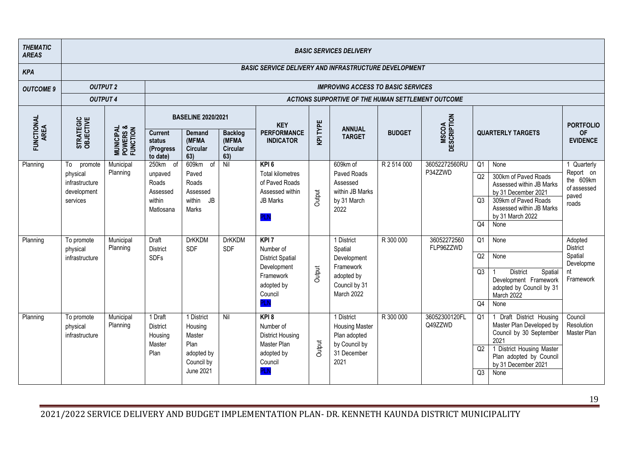| <b>THEMATIC</b><br><b>AREAS</b> |                                          |                                                |                                                    |                                           |                                                    |                                                                |          | <b>BASIC SERVICES DELIVERY</b>                                       |               |                             |                 |                                                                                                       |                                      |
|---------------------------------|------------------------------------------|------------------------------------------------|----------------------------------------------------|-------------------------------------------|----------------------------------------------------|----------------------------------------------------------------|----------|----------------------------------------------------------------------|---------------|-----------------------------|-----------------|-------------------------------------------------------------------------------------------------------|--------------------------------------|
| <b>KPA</b>                      |                                          |                                                |                                                    |                                           |                                                    | <b>BASIC SERVICE DELIVERY AND INFRASTRUCTURE DEVELOPMENT</b>   |          |                                                                      |               |                             |                 |                                                                                                       |                                      |
| <b>OUTCOME 9</b>                | <b>OUTPUT 2</b>                          |                                                |                                                    |                                           |                                                    |                                                                |          | <b>IMPROVING ACCESS TO BASIC SERVICES</b>                            |               |                             |                 |                                                                                                       |                                      |
|                                 | <b>OUTPUT 4</b>                          |                                                |                                                    |                                           |                                                    |                                                                |          | ACTIONS SUPPORTIVE OF THE HUMAN SETTLEMENT OUTCOME                   |               |                             |                 |                                                                                                       |                                      |
|                                 |                                          |                                                |                                                    | <b>BASELINE 2020/2021</b>                 |                                                    | <b>KEY</b>                                                     |          | <b>ANNUAL</b>                                                        |               |                             |                 |                                                                                                       | <b>PORTFOLIO</b>                     |
| FUNCTIONAL<br>AREA              | STRATEGIC<br>OBJECTIVE                   | <b>MUNICIPAL<br/>POWERS &amp;<br/>FUNCTION</b> | <b>Current</b><br>status<br>(Progress)<br>to date) | <b>Demand</b><br>(MFMA<br>Circular<br>63) | <b>Backlog</b><br>(MFMA)<br><b>Circular</b><br>63) | <b>PERFORMANCE</b><br><b>INDICATOR</b>                         | KPI TYPE | <b>TARGET</b>                                                        | <b>BUDGET</b> | <b>MSCOA</b><br>DESCRIPTION |                 | <b>QUARTERLY TARGETS</b>                                                                              | <b>OF</b><br><b>EVIDENCE</b>         |
| Planning                        | To<br>promote<br>physical                | Municipal<br>Planning                          | 250km of<br>unpaved                                | 609km of<br>Paved                         | Nil                                                | $KPI$ 6<br><b>Total kilometres</b>                             |          | 609km of<br>Paved Roads                                              | R 2 514 000   | 36052272560RU<br>P34ZZWD    | Q1              | None                                                                                                  | 1 Quarterly<br>Report on             |
|                                 | infrastructure<br>development            |                                                | Roads<br>Assessed                                  | Roads<br>Assessed                         |                                                    | of Paved Roads<br>Assessed within                              |          | Assessed<br>within JB Marks                                          |               |                             | Q2              | 300km of Paved Roads<br>Assessed within JB Marks<br>by 31 December 2021                               | the 609km<br>of assessed<br>paved    |
|                                 | services                                 |                                                | within<br>Matlosana                                | within<br><b>JB</b><br>Marks              |                                                    | <b>JB Marks</b><br><b>PLN</b>                                  | Output   | by 31 March<br>2022                                                  |               |                             | Q3              | 309km of Paved Roads<br>Assessed within JB Marks<br>by 31 March 2022                                  | roads                                |
|                                 |                                          |                                                |                                                    |                                           |                                                    |                                                                |          |                                                                      |               |                             | Q4              | None                                                                                                  |                                      |
| Planning                        | To promote<br>physical                   | Municipal<br>Planning                          | <b>Draft</b><br><b>District</b>                    | <b>DrKKDM</b><br><b>SDF</b>               | <b>DrKKDM</b><br><b>SDF</b>                        | KPI <sub>7</sub><br>Number of                                  |          | 1 District<br>Spatial                                                | R 300 000     | 36052272560<br>FLP96ZZWD    | $\overline{Q1}$ | None                                                                                                  | Adopted<br><b>District</b>           |
|                                 | infrastructure                           |                                                | <b>SDFs</b>                                        |                                           |                                                    | <b>District Spatial</b><br>Development                         |          | Development<br>Framework                                             |               |                             | Q2              | None                                                                                                  | Spatial<br>Developme                 |
|                                 |                                          |                                                |                                                    |                                           |                                                    | Framework<br>adopted by<br>Council                             | Output   | adopted by<br>Council by 31<br>March 2022                            |               |                             | Q3              | <b>District</b><br>Spatial<br>Development Framework<br>adopted by Council by 31<br>March 2022         | nt<br>Framework                      |
|                                 |                                          |                                                |                                                    |                                           |                                                    | <b>PLN</b>                                                     |          |                                                                      |               |                             | Q4              | None                                                                                                  |                                      |
| Planning                        | To promote<br>physical<br>infrastructure | Municipal<br>Planning                          | 1 Draft<br><b>District</b><br>Housing<br>Master    | 1 District<br>Housing<br>Master<br>Plan   | Nil                                                | $KPI$ 8<br>Number of<br><b>District Housing</b><br>Master Plan |          | 1 District<br><b>Housing Master</b><br>Plan adopted<br>by Council by | R 300 000     | 36052300120FL<br>Q49ZZWD    | Q <sub>1</sub>  | Draft District Housing<br>$\mathbf{1}$<br>Master Plan Developed by<br>Council by 30 September<br>2021 | Council<br>Resolution<br>Master Plan |
|                                 |                                          |                                                | Plan                                               | adopted by<br>Council by                  |                                                    | adopted by<br>Council                                          | Output   | 31 December<br>2021                                                  |               |                             | Q2              | 1 District Housing Master<br>Plan adopted by Council<br>by 31 December 2021                           |                                      |
|                                 |                                          |                                                |                                                    | June 2021                                 |                                                    | PLN                                                            |          |                                                                      |               |                             | Q3              | None                                                                                                  |                                      |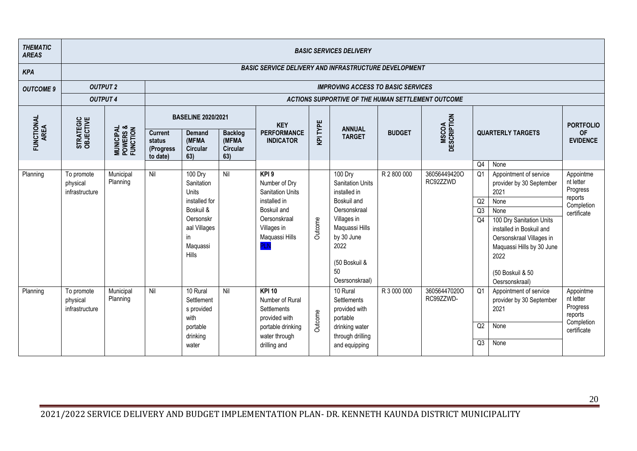| <b>THEMATIC</b><br><b>AREAS</b> |                                          |                                                |                                                   |                                                                                                                      |                                             |                                                                                                                                  |          | <b>BASIC SERVICES DELIVERY</b>                                                                                                                                                    |               |                             |                            |                                                                                                                                                                                                                                           |                                                                            |
|---------------------------------|------------------------------------------|------------------------------------------------|---------------------------------------------------|----------------------------------------------------------------------------------------------------------------------|---------------------------------------------|----------------------------------------------------------------------------------------------------------------------------------|----------|-----------------------------------------------------------------------------------------------------------------------------------------------------------------------------------|---------------|-----------------------------|----------------------------|-------------------------------------------------------------------------------------------------------------------------------------------------------------------------------------------------------------------------------------------|----------------------------------------------------------------------------|
| <b>KPA</b>                      |                                          |                                                |                                                   |                                                                                                                      |                                             | <b>BASIC SERVICE DELIVERY AND INFRASTRUCTURE DEVELOPMENT</b>                                                                     |          |                                                                                                                                                                                   |               |                             |                            |                                                                                                                                                                                                                                           |                                                                            |
| <b>OUTCOME 9</b>                | <b>OUTPUT 2</b>                          |                                                |                                                   |                                                                                                                      |                                             |                                                                                                                                  |          | <b>IMPROVING ACCESS TO BASIC SERVICES</b>                                                                                                                                         |               |                             |                            |                                                                                                                                                                                                                                           |                                                                            |
|                                 | <b>OUTPUT 4</b>                          |                                                |                                                   |                                                                                                                      |                                             |                                                                                                                                  |          | ACTIONS SUPPORTIVE OF THE HUMAN SETTLEMENT OUTCOME                                                                                                                                |               |                             |                            |                                                                                                                                                                                                                                           |                                                                            |
|                                 |                                          |                                                |                                                   | <b>BASELINE 2020/2021</b>                                                                                            |                                             | <b>KEY</b>                                                                                                                       | TYPE     |                                                                                                                                                                                   |               |                             |                            |                                                                                                                                                                                                                                           | <b>PORTFOLIO</b>                                                           |
| FUNCTIONAL<br>AREA              | STRATEGIC<br>OBJECTIVE                   | <b>MUNICIPAL<br/>POWERS &amp;<br/>FUNCTION</b> | <b>Current</b><br>status<br>(Progress<br>to date) | <b>Demand</b><br>(MFMA<br>Circular<br>63)                                                                            | <b>Backlog</b><br>(MFMA)<br>Circular<br>63) | <b>PERFORMANCE</b><br><b>INDICATOR</b>                                                                                           | <b>Q</b> | <b>ANNUAL</b><br><b>TARGET</b>                                                                                                                                                    | <b>BUDGET</b> | <b>MSCOA</b><br>DESCRIPTION |                            | <b>QUARTERLY TARGETS</b>                                                                                                                                                                                                                  | <b>OF</b><br><b>EVIDENCE</b>                                               |
|                                 |                                          |                                                |                                                   |                                                                                                                      |                                             |                                                                                                                                  |          |                                                                                                                                                                                   |               |                             | Q <sub>4</sub>             | None                                                                                                                                                                                                                                      |                                                                            |
| Planning                        | To promote<br>physical<br>infrastructure | Municipal<br>Planning                          | Nil                                               | 100 Dry<br>Sanitation<br>Units<br>installed for<br>Boskuil &<br>Oersonskr<br>aal Villages<br>in<br>Maquassi<br>Hills | Nil                                         | KPI9<br>Number of Dry<br><b>Sanitation Units</b><br>installed in<br>Boskuil and<br>Oersonskraal<br>Villages in<br>Maquassi Hills | Outcome  | 100 Dry<br><b>Sanitation Units</b><br>installed in<br>Boskuil and<br>Oersonskraal<br>Villages in<br>Maquassi Hills<br>by 30 June<br>2022<br>(50 Boskuil &<br>50<br>Oesrsonskraal) | R 2 800 000   | 36056449420O<br>RC92ZZWD    | Q1<br>Q2<br>Q3<br>Q4       | Appointment of service<br>provider by 30 September<br>2021<br>None<br>None<br>100 Dry Sanitation Units<br>installed in Boskuil and<br>Oersonskraal Villages in<br>Maquassi Hills by 30 June<br>2022<br>(50 Boskuil & 50<br>Oesrsonskraal) | Appointme<br>nt letter<br>Progress<br>reports<br>Completion<br>certificate |
| Planning                        | To promote<br>physical<br>infrastructure | Municipal<br>Planning                          | Nil                                               | 10 Rural<br>Settlement<br>s provided<br>with<br>portable<br>drinking<br>water                                        | Nil                                         | $KPI$ 10<br>Number of Rural<br><b>Settlements</b><br>provided with<br>portable drinking<br>water through<br>drilling and         | Outcome  | 10 Rural<br>Settlements<br>provided with<br>portable<br>drinking water<br>through drilling<br>and equipping                                                                       | R 3 000 000   | 36056447020O<br>RC99ZZWD-   | Q1<br>Q2<br>Q <sub>3</sub> | Appointment of service<br>provider by 30 September<br>2021<br>None<br>None                                                                                                                                                                | Appointme<br>nt letter<br>Progress<br>reports<br>Completion<br>certificate |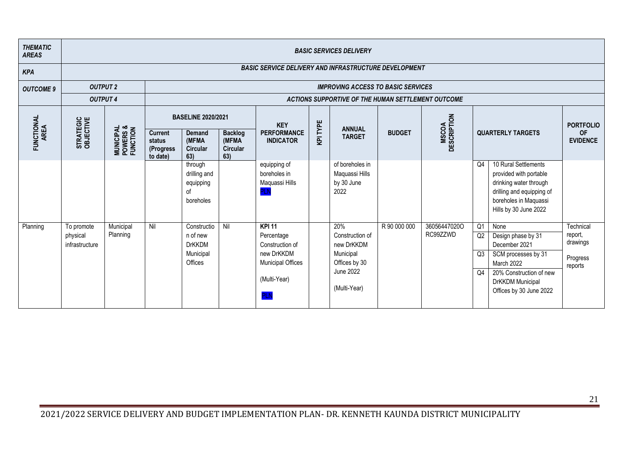| <b>THEMATIC</b><br><b>AREAS</b> |                                          |                                                |                                                   |                                                                  |                                                   |                                                                                                                        |          | <b>BASIC SERVICES DELIVERY</b>                                                                  |               |                             |                                  |                                                                                                                                                            |                                                         |
|---------------------------------|------------------------------------------|------------------------------------------------|---------------------------------------------------|------------------------------------------------------------------|---------------------------------------------------|------------------------------------------------------------------------------------------------------------------------|----------|-------------------------------------------------------------------------------------------------|---------------|-----------------------------|----------------------------------|------------------------------------------------------------------------------------------------------------------------------------------------------------|---------------------------------------------------------|
| <b>KPA</b>                      |                                          |                                                |                                                   |                                                                  |                                                   | <b>BASIC SERVICE DELIVERY AND INFRASTRUCTURE DEVELOPMENT</b>                                                           |          |                                                                                                 |               |                             |                                  |                                                                                                                                                            |                                                         |
| <b>OUTCOME 9</b>                | <b>OUTPUT 2</b>                          |                                                |                                                   |                                                                  |                                                   |                                                                                                                        |          | <b>IMPROVING ACCESS TO BASIC SERVICES</b>                                                       |               |                             |                                  |                                                                                                                                                            |                                                         |
|                                 | <b>OUTPUT 4</b>                          |                                                |                                                   |                                                                  |                                                   |                                                                                                                        |          | ACTIONS SUPPORTIVE OF THE HUMAN SETTLEMENT OUTCOME                                              |               |                             |                                  |                                                                                                                                                            |                                                         |
|                                 |                                          |                                                |                                                   | <b>BASELINE 2020/2021</b>                                        |                                                   | <b>KEY</b>                                                                                                             |          |                                                                                                 |               |                             |                                  |                                                                                                                                                            | <b>PORTFOLIO</b>                                        |
| FUNCTIONAL<br>AREA              | STRATEGIC<br>OBJECTIVE                   | <b>MUNICIPAL<br/>POWERS &amp;<br/>FUNCTION</b> | <b>Current</b><br>status<br>(Progress<br>to date) | <b>Demand</b><br>(MFMA<br><b>Circular</b><br>63)                 | <b>Backlog</b><br>(MFMA<br><b>Circular</b><br>63) | <b>PERFORMANCE</b><br><b>INDICATOR</b>                                                                                 | KPI TYPE | <b>ANNUAL</b><br><b>TARGET</b>                                                                  | <b>BUDGET</b> | <b>MSCOA</b><br>DESCRIPTION |                                  | <b>QUARTERLY TARGETS</b>                                                                                                                                   | <b>OF</b><br><b>EVIDENCE</b>                            |
|                                 |                                          |                                                |                                                   | through<br>drilling and<br>equipping<br>of<br>boreholes          |                                                   | equipping of<br>boreholes in<br>Maquassi Hills<br>PI N                                                                 |          | of boreholes in<br>Maquassi Hills<br>by 30 June<br>2022                                         |               |                             | Q <sub>4</sub>                   | 10 Rural Settlements<br>provided with portable<br>drinking water through<br>drilling and equipping of<br>boreholes in Maquassi<br>Hills by 30 June 2022    |                                                         |
| Planning                        | To promote<br>physical<br>infrastructure | Municipal<br>Planning                          | Nil                                               | Constructio<br>n of new<br><b>DrKKDM</b><br>Municipal<br>Offices | Nil                                               | <b>KPI 11</b><br>Percentage<br>Construction of<br>new DrKKDM<br><b>Municipal Offices</b><br>(Multi-Year)<br><b>PLN</b> |          | 20%<br>Construction of<br>new DrKKDM<br>Municipal<br>Offices by 30<br>June 2022<br>(Multi-Year) | R 90 000 000  | 36056447020O<br>RC99ZZWD    | Q <sub>1</sub><br>Q2<br>Q3<br>Q4 | None<br>Design phase by 31<br>December 2021<br>SCM processes by 31<br>March 2022<br>20% Construction of new<br>DrKKDM Municipal<br>Offices by 30 June 2022 | Technical<br>report,<br>drawings<br>Progress<br>reports |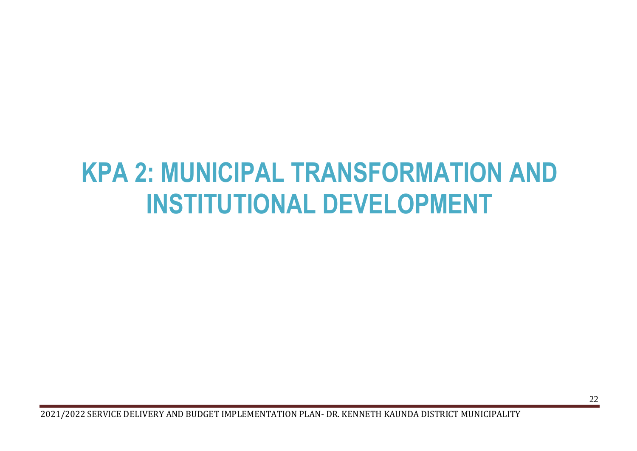# <span id="page-22-0"></span>**KPA 2: MUNICIPAL TRANSFORMATION AND INSTITUTIONAL DEVELOPMENT**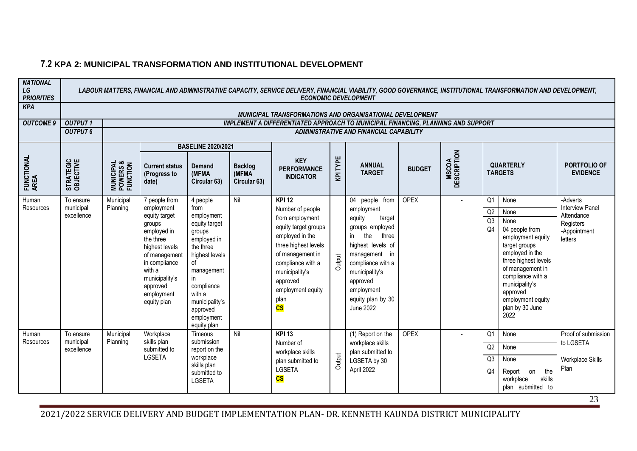| <b>NATIONAL</b><br>LG<br><b>PRIORITIES</b> |                        |                                                |                                                |                                 |                                         | <b>ECONOMIC DEVELOPMENT</b>                                                             |          |                                           |               |                             |                | LABOUR MATTERS, FINANCIAL AND ADMINISTRATIVE CAPACITY, SERVICE DELIVERY, FINANCIAL VIABILITY, GOOD GOVERNANCE, INSTITUTIONAL TRANSFORMATION AND DEVELOPMENT, |                                    |
|--------------------------------------------|------------------------|------------------------------------------------|------------------------------------------------|---------------------------------|-----------------------------------------|-----------------------------------------------------------------------------------------|----------|-------------------------------------------|---------------|-----------------------------|----------------|--------------------------------------------------------------------------------------------------------------------------------------------------------------|------------------------------------|
| <b>KPA</b>                                 |                        |                                                |                                                |                                 |                                         | MUNICIPAL TRANSFORMATIONS AND ORGANISATIONAL DEVELOPMENT                                |          |                                           |               |                             |                |                                                                                                                                                              |                                    |
| <b>OUTCOME 9</b>                           | <b>OUTPUT1</b>         |                                                |                                                |                                 |                                         | <b>IMPLEMENT A DIFFERENTIATED APPROACH TO MUNICIPAL FINANCING, PLANNING AND SUPPORT</b> |          |                                           |               |                             |                |                                                                                                                                                              |                                    |
|                                            | <b>OUTPUT 6</b>        |                                                |                                                |                                 |                                         |                                                                                         |          | ADMINISTRATIVE AND FINANCIAL CAPABILITY   |               |                             |                |                                                                                                                                                              |                                    |
|                                            |                        |                                                |                                                | <b>BASELINE 2020/2021</b>       |                                         |                                                                                         |          |                                           |               |                             |                |                                                                                                                                                              |                                    |
| FUNCTIONAL<br>AREA                         | STRATEGIC<br>OBJECTIVE | <b>MUNICIPAL<br/>POWERS &amp;<br/>FUNCTION</b> | <b>Current status</b><br>(Progress to<br>date) | Demand<br>(MFMA<br>Circular 63) | <b>Backlog</b><br>(MFMA<br>Circular 63) | <b>KEY</b><br><b>PERFORMANCE</b><br><b>INDICATOR</b>                                    | KPI TYPE | <b>ANNUAL</b><br><b>TARGET</b>            | <b>BUDGET</b> | <b>MSCOA</b><br>DESCRIPTION |                | <b>QUARTERLY</b><br><b>TARGETS</b>                                                                                                                           | PORTFOLIO OF<br><b>EVIDENCE</b>    |
| Human<br>Resources                         | To ensure<br>municipal | Municipal<br>Planning                          | 7 people from<br>employment                    | 4 people<br>from                | Nil                                     | <b>KPI 12</b><br>Number of people                                                       |          | $\overline{04}$ people from<br>employment | <b>OPEX</b>   |                             | Q1             | None                                                                                                                                                         | -Adverts<br><b>Interview Panel</b> |
|                                            | excellence             |                                                | equity target                                  | employment                      |                                         | from employment                                                                         |          | equity<br>target                          |               |                             | Q2             | None                                                                                                                                                         | Attendance                         |
|                                            |                        |                                                | groups                                         | equity target                   |                                         | equity target groups                                                                    |          | groups employed                           |               |                             | Q3<br>Q4       | None<br>04 people from                                                                                                                                       | Registers                          |
|                                            |                        |                                                | employed in<br>the three                       | groups<br>employed in           |                                         | employed in the                                                                         |          | the<br>three<br>in                        |               |                             |                | employment equity                                                                                                                                            | -Appointment<br>letters            |
|                                            |                        |                                                | highest levels                                 | the three                       |                                         | three highest levels                                                                    |          | highest levels of                         |               |                             |                | target groups                                                                                                                                                |                                    |
|                                            |                        |                                                | of management                                  | highest levels                  |                                         | of management in                                                                        |          | management in                             |               |                             |                | employed in the                                                                                                                                              |                                    |
|                                            |                        |                                                | in compliance<br>with a                        | of                              |                                         | compliance with a                                                                       | Output   | compliance with a                         |               |                             |                | three highest levels<br>of management in                                                                                                                     |                                    |
|                                            |                        |                                                | municipality's                                 | management<br>in                |                                         | municipality's<br>approved                                                              |          | municipality's                            |               |                             |                | compliance with a                                                                                                                                            |                                    |
|                                            |                        |                                                | approved                                       | compliance                      |                                         | employment equity                                                                       |          | approved<br>employment                    |               |                             |                | municipality's                                                                                                                                               |                                    |
|                                            |                        |                                                | employment                                     | with a                          |                                         | plan                                                                                    |          | equity plan by 30                         |               |                             |                | approved<br>employment equity                                                                                                                                |                                    |
|                                            |                        |                                                | equity plan                                    | municipality's<br>approved      |                                         | $\overline{\text{cs}}$                                                                  |          | June 2022                                 |               |                             |                | plan by 30 June                                                                                                                                              |                                    |
|                                            |                        |                                                |                                                | employment                      |                                         |                                                                                         |          |                                           |               |                             |                | 2022                                                                                                                                                         |                                    |
|                                            |                        |                                                |                                                | equity plan                     |                                         |                                                                                         |          |                                           |               |                             |                |                                                                                                                                                              |                                    |
| Human<br>Resources                         | To ensure<br>municipal | Municipal<br>Planning                          | Workplace<br>skills plan                       | Timeous<br>submission           | Nil                                     | <b>KPI 13</b><br>Number of                                                              |          | (1) Report on the<br>workplace skills     | OPEX          |                             | Q1             | None                                                                                                                                                         | Proof of submission<br>to LGSETA   |
|                                            | excellence             |                                                | submitted to                                   | report on the                   |                                         | workplace skills                                                                        |          | plan submitted to                         |               |                             | Q2             | None                                                                                                                                                         |                                    |
|                                            |                        |                                                | <b>LGSETA</b>                                  | workplace<br>skills plan        |                                         | plan submitted to                                                                       | Output   | LGSETA by 30                              |               |                             | Q3             | None                                                                                                                                                         | Workplace Skills<br>Plan           |
|                                            |                        |                                                |                                                | submitted to                    |                                         | <b>LGSETA</b><br>$\overline{\mathbf{c}}$ s                                              |          | April 2022                                |               |                             | Q <sub>4</sub> | Report<br>the<br>on<br>workplace<br>skills                                                                                                                   |                                    |
|                                            |                        |                                                |                                                | <b>LGSETA</b>                   |                                         |                                                                                         |          |                                           |               |                             |                | plan submitted to                                                                                                                                            |                                    |
|                                            |                        |                                                |                                                |                                 |                                         |                                                                                         |          |                                           |               |                             |                |                                                                                                                                                              | $\cap$                             |

#### **7.2 KPA 2: MUNICIPAL TRANSFORMATION AND INSTITUTIONAL DEVELOPMENT**

2021/2022 SERVICE DELIVERY AND BUDGET IMPLEMENTATION PLAN- DR. KENNETH KAUNDA DISTRICT MUNICIPALITY

23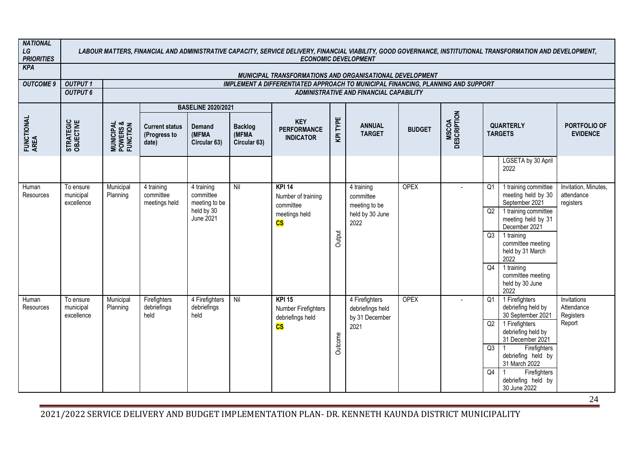| <b>NATIONAL</b><br>LG<br><b>PRIORITIES</b> |                                      |                                                |                                                |                                          |                                         | <b>ECONOMIC DEVELOPMENT</b>                                                      |          |                                                      |               |                             |                | LABOUR MATTERS, FINANCIAL AND ADMINISTRATIVE CAPACITY, SERVICE DELIVERY, FINANCIAL VIABILITY, GOOD GOVERNANCE, INSTITUTIONAL TRANSFORMATION AND DEVELOPMENT, |                                                 |
|--------------------------------------------|--------------------------------------|------------------------------------------------|------------------------------------------------|------------------------------------------|-----------------------------------------|----------------------------------------------------------------------------------|----------|------------------------------------------------------|---------------|-----------------------------|----------------|--------------------------------------------------------------------------------------------------------------------------------------------------------------|-------------------------------------------------|
| <b>KPA</b>                                 |                                      |                                                |                                                |                                          |                                         | MUNICIPAL TRANSFORMATIONS AND ORGANISATIONAL DEVELOPMENT                         |          |                                                      |               |                             |                |                                                                                                                                                              |                                                 |
| <b>OUTCOME 9</b>                           | <b>OUTPUT1</b>                       |                                                |                                                |                                          |                                         | IMPLEMENT A DIFFERENTIATED APPROACH TO MUNICIPAL FINANCING, PLANNING AND SUPPORT |          |                                                      |               |                             |                |                                                                                                                                                              |                                                 |
|                                            | <b>OUTPUT 6</b>                      |                                                |                                                |                                          |                                         |                                                                                  |          | ADMINISTRATIVE AND FINANCIAL CAPABILITY              |               |                             |                |                                                                                                                                                              |                                                 |
|                                            |                                      |                                                |                                                | <b>BASELINE 2020/2021</b>                |                                         |                                                                                  |          |                                                      |               |                             |                |                                                                                                                                                              |                                                 |
| FUNCTIONAL<br>AREA                         | STRATEGIC<br>OBJECTIVE               | <b>MUNICIPAL<br/>POWERS &amp;<br/>FUNCTION</b> | <b>Current status</b><br>(Progress to<br>date) | <b>Demand</b><br>(MFMA<br>Circular 63)   | <b>Backlog</b><br>(MFMA<br>Circular 63) | <b>KEY</b><br><b>PERFORMANCE</b><br><b>INDICATOR</b>                             | KPI TYPE | <b>ANNUAL</b><br><b>TARGET</b>                       | <b>BUDGET</b> | <b>MSCOA</b><br>DESCRIPTION |                | <b>QUARTERLY</b><br><b>TARGETS</b>                                                                                                                           | PORTFOLIO OF<br><b>EVIDENCE</b>                 |
|                                            |                                      |                                                |                                                |                                          |                                         |                                                                                  |          |                                                      |               |                             |                | LGSETA by 30 April<br>2022                                                                                                                                   |                                                 |
| Human<br>Resources                         | To ensure<br>municipal<br>excellence | Municipal<br>Planning                          | 4 training<br>committee<br>meetings held       | 4 training<br>committee<br>meeting to be | Nil                                     | <b>KPI 14</b><br>Number of training<br>committee                                 |          | 4 training<br>committee<br>meeting to be             | <b>OPEX</b>   | $\overline{a}$              | Q <sub>1</sub> | 1 training committee<br>meeting held by 30<br>September 2021                                                                                                 | Invitation, Minutes,<br>attendance<br>registers |
|                                            |                                      |                                                |                                                | held by 30<br>June 2021                  |                                         | meetings held<br>$\overline{\text{cs}}$                                          |          | held by 30 June<br>2022                              |               |                             | Q2             | 1 training committee<br>meeting held by 31<br>December 2021                                                                                                  |                                                 |
|                                            |                                      |                                                |                                                |                                          |                                         |                                                                                  | Output   |                                                      |               |                             | Q3             | 1 training<br>committee meeting<br>held by 31 March<br>2022                                                                                                  |                                                 |
|                                            |                                      |                                                |                                                |                                          |                                         |                                                                                  |          |                                                      |               |                             | Q4             | 1 training<br>committee meeting<br>held by 30 June<br>2022                                                                                                   |                                                 |
| Human<br><b>Resources</b>                  | To ensure<br>municipal<br>excellence | Municipal<br>Planning                          | Firefighters<br>debriefings<br>held            | 4 Firefighters<br>debriefings<br>held    | Nil                                     | <b>KPI 15</b><br>Number Firefighters<br>debriefings held                         |          | 4 Firefighters<br>debriefings held<br>by 31 December | <b>OPEX</b>   | $\overline{a}$              | Q1             | 1 Firefighters<br>debriefing held by<br>30 September 2021                                                                                                    | Invitations<br>Attendance<br>Registers          |
|                                            |                                      |                                                |                                                |                                          |                                         | $\overline{\text{cs}}$                                                           | Outcome  | 2021                                                 |               |                             | Q2             | 1 Firefighters<br>debriefing held by<br>31 December 2021                                                                                                     | Report                                          |
|                                            |                                      |                                                |                                                |                                          |                                         |                                                                                  |          |                                                      |               |                             | Q3             | Firefighters<br>debriefing held by<br>31 March 2022                                                                                                          |                                                 |
|                                            |                                      |                                                |                                                |                                          |                                         |                                                                                  |          |                                                      |               |                             | Q4             | Firefighters<br>debriefing held by<br>30 June 2022                                                                                                           |                                                 |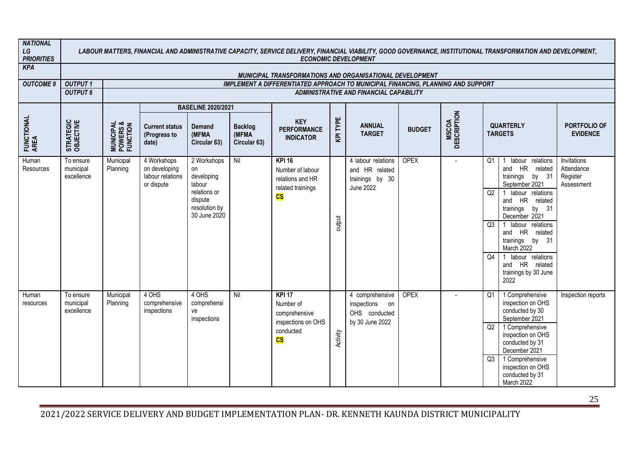| <b>NATIONAL</b><br>LG<br><b>PRIORITIES</b> |                                      |                                                |                                                                |                                                                                                       |                                         | LABOUR MATTERS, FINANCIAL AND ADMINISTRATIVE CAPACITY, SERVICE DELIVERY, FINANCIAL VIABILITY, GOOD GOVERNANCE, INSTITUTIONAL TRANSFORMATION AND DEVELOPMENT,<br><b>ECONOMIC DEVELOPMENT</b> |          |                                                                             |               |                             |                      |                                                                                                                                                                                                                                                                                                              |                                                     |
|--------------------------------------------|--------------------------------------|------------------------------------------------|----------------------------------------------------------------|-------------------------------------------------------------------------------------------------------|-----------------------------------------|---------------------------------------------------------------------------------------------------------------------------------------------------------------------------------------------|----------|-----------------------------------------------------------------------------|---------------|-----------------------------|----------------------|--------------------------------------------------------------------------------------------------------------------------------------------------------------------------------------------------------------------------------------------------------------------------------------------------------------|-----------------------------------------------------|
| <b>KPA</b>                                 |                                      |                                                |                                                                |                                                                                                       |                                         | MUNICIPAL TRANSFORMATIONS AND ORGANISATIONAL DEVELOPMENT                                                                                                                                    |          |                                                                             |               |                             |                      |                                                                                                                                                                                                                                                                                                              |                                                     |
| <b>OUTCOME 9</b>                           | <b>OUTPUT1</b>                       |                                                |                                                                |                                                                                                       |                                         | <b>IMPLEMENT A DIFFERENTIATED APPROACH TO MUNICIPAL FINANCING, PLANNING AND SUPPORT</b>                                                                                                     |          |                                                                             |               |                             |                      |                                                                                                                                                                                                                                                                                                              |                                                     |
|                                            | <b>OUTPUT 6</b>                      |                                                |                                                                |                                                                                                       |                                         |                                                                                                                                                                                             |          | ADMINISTRATIVE AND FINANCIAL CAPABILITY                                     |               |                             |                      |                                                                                                                                                                                                                                                                                                              |                                                     |
|                                            |                                      |                                                |                                                                | <b>BASELINE 2020/2021</b>                                                                             |                                         |                                                                                                                                                                                             |          |                                                                             |               |                             |                      |                                                                                                                                                                                                                                                                                                              |                                                     |
| FUNCTIONAL<br>AREA                         | STRATEGIC<br>OBJECTIVE               | <b>MUNICIPAL<br/>POWERS &amp;<br/>FUNCTION</b> | <b>Current status</b><br>(Progress to<br>date)                 | Demand<br>(MFMA<br>Circular 63)                                                                       | <b>Backlog</b><br>(MFMA<br>Circular 63) | <b>KEY</b><br><b>PERFORMANCE</b><br><b>INDICATOR</b>                                                                                                                                        | KPI TYPE | <b>ANNUAL</b><br><b>TARGET</b>                                              | <b>BUDGET</b> | <b>MSCOA</b><br>DESCRIPTION | <b>TARGETS</b>       | <b>QUARTERLY</b>                                                                                                                                                                                                                                                                                             | PORTFOLIO OF<br><b>EVIDENCE</b>                     |
| Human<br><b>Resources</b>                  | To ensure<br>municipal<br>excellence | Municipal<br>Planning                          | 4 Workshops<br>on developing<br>labour relations<br>or dispute | 2 Workshops<br>on<br>developing<br>labour<br>relations or<br>dispute<br>resolution by<br>30 June 2020 | Nil                                     | <b>KPI 16</b><br>Number of labour<br>relations and HR<br>related trainings<br>$\overline{\text{cs}}$                                                                                        | output   | 4 labour relations<br>and HR related<br>trainings by 30<br><b>June 2022</b> | <b>OPEX</b>   |                             | Q1<br>Q2<br>Q3<br>Q4 | 1 labour relations<br>and HR related<br>trainings<br>by 31<br>September 2021<br>1 labour relations<br>and HR related<br>trainings<br>by 31<br>December 2021<br>1 labour relations<br>and HR related<br>trainings by 31<br>March 2022<br>1 labour relations<br>and HR related<br>trainings by 30 June<br>2022 | Invitations<br>Attendance<br>Register<br>Assessment |
| Human<br>resources                         | To ensure<br>municipal<br>excellence | Municipal<br>Planning                          | 4 OHS<br>comprehensive<br>inspections                          | 4 OHS<br>comprehensi<br>ve<br>inspections                                                             | Nil                                     | <b>KPI 17</b><br>Number of<br>comprehensive<br>inspections on OHS<br>conducted<br>$\overline{\text{cs}}$                                                                                    | Activity | 4 comprehensive<br>inspections on<br>OHS conducted<br>by 30 June 2022       | OPEX          |                             | Q1<br>Q2<br>Q3       | 1 Comprehensive<br>inspection on OHS<br>conducted by 30<br>September 2021<br>1 Comprehensive<br>inspection on OHS<br>conducted by 31<br>December 2021<br>1 Comprehensive<br>inspection on OHS<br>conducted by 31<br>March 2022                                                                               | Inspection reports                                  |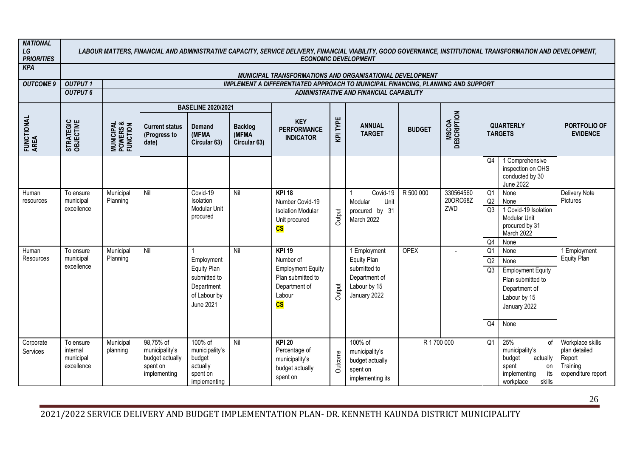| <b>NATIONAL</b><br>${\cal L} G$<br><b>PRIORITIES</b> |                                                  |                                                |                                                                            |                                                                                                    |                                         | <b>ECONOMIC DEVELOPMENT</b>                                                                                                      |          |                                                                                              |               |                              |                                  | LABOUR MATTERS, FINANCIAL AND ADMINISTRATIVE CAPACITY, SERVICE DELIVERY, FINANCIAL VIABILITY, GOOD GOVERNANCE, INSTITUTIONAL TRANSFORMATION AND DEVELOPMENT, |                                                                               |
|------------------------------------------------------|--------------------------------------------------|------------------------------------------------|----------------------------------------------------------------------------|----------------------------------------------------------------------------------------------------|-----------------------------------------|----------------------------------------------------------------------------------------------------------------------------------|----------|----------------------------------------------------------------------------------------------|---------------|------------------------------|----------------------------------|--------------------------------------------------------------------------------------------------------------------------------------------------------------|-------------------------------------------------------------------------------|
| <b>KPA</b>                                           |                                                  |                                                |                                                                            |                                                                                                    |                                         | MUNICIPAL TRANSFORMATIONS AND ORGANISATIONAL DEVELOPMENT                                                                         |          |                                                                                              |               |                              |                                  |                                                                                                                                                              |                                                                               |
| <b>OUTCOME 9</b>                                     | <b>OUTPUT1</b>                                   |                                                |                                                                            |                                                                                                    |                                         | IMPLEMENT A DIFFERENTIATED APPROACH TO MUNICIPAL FINANCING, PLANNING AND SUPPORT                                                 |          |                                                                                              |               |                              |                                  |                                                                                                                                                              |                                                                               |
|                                                      | <b>OUTPUT 6</b>                                  |                                                |                                                                            |                                                                                                    |                                         |                                                                                                                                  |          | ADMINISTRATIVE AND FINANCIAL CAPABILITY                                                      |               |                              |                                  |                                                                                                                                                              |                                                                               |
|                                                      |                                                  |                                                |                                                                            | <b>BASELINE 2020/2021</b>                                                                          |                                         |                                                                                                                                  |          |                                                                                              |               |                              |                                  |                                                                                                                                                              |                                                                               |
| FUNCTIONAL<br>AREA                                   | STRATEGIC<br>OBJECTIVE                           | <b>MUNICIPAL<br/>POWERS &amp;<br/>FUNCTION</b> | <b>Current status</b><br>(Progress to<br>date)                             | <b>Demand</b><br>(MFMA<br>Circular 63)                                                             | <b>Backlog</b><br>(MFMA<br>Circular 63) | <b>KEY</b><br><b>PERFORMANCE</b><br><b>INDICATOR</b>                                                                             | KPI TYPE | <b>ANNUAL</b><br><b>TARGET</b>                                                               | <b>BUDGET</b> | <b>MSCOA</b><br>DESCRIPTION  |                                  | <b>QUARTERLY</b><br><b>TARGETS</b>                                                                                                                           | PORTFOLIO OF<br><b>EVIDENCE</b>                                               |
|                                                      |                                                  |                                                |                                                                            |                                                                                                    |                                         |                                                                                                                                  |          |                                                                                              |               |                              | Q4                               | 1 Comprehensive<br>inspection on OHS<br>conducted by 30<br><b>June 2022</b>                                                                                  |                                                                               |
| Human<br>resources                                   | To ensure<br>municipal<br>excellence             | Municipal<br>Planning                          | Nil                                                                        | Covid-19<br>Isolation<br>Modular Unit<br>procured                                                  | Nil                                     | <b>KPI 18</b><br>Number Covid-19<br><b>Isolation Modular</b><br>Unit procured<br>$\overline{\text{cs}}$                          | Output   | Covid-19<br>Modular<br>Unit<br>procured by 31<br>March 2022                                  | R 500 000     | 330564560<br>200RC68Z<br>ZWD | Q <sub>1</sub><br>Q2<br>Q3<br>Q4 | None<br>None<br>1 Covid-19 Isolation<br>Modular Unit<br>procured by 31<br>March 2022<br>None                                                                 | Delivery Note<br>Pictures                                                     |
| Human<br>Resources                                   | To ensure<br>municipal<br>excellence             | Municipal<br>Planning                          | Nil                                                                        | Employment<br><b>Equity Plan</b><br>submitted to<br>Department<br>of Labour by<br><b>June 2021</b> | Nil                                     | <b>KPI 19</b><br>Number of<br><b>Employment Equity</b><br>Plan submitted to<br>Department of<br>Labour<br>$\overline{\text{cs}}$ | Output   | 1 Employment<br>Equity Plan<br>submitted to<br>Department of<br>Labour by 15<br>January 2022 | <b>OPEX</b>   |                              | Q1<br>Q2<br>Q3<br>Q4             | None<br>None<br><b>Employment Equity</b><br>Plan submitted to<br>Department of<br>Labour by 15<br>January 2022<br>None                                       | 1 Employment<br><b>Equity Plan</b>                                            |
| Corporate<br>Services                                | To ensure<br>internal<br>municipal<br>excellence | Municipal<br>planning                          | 98,75% of<br>municipality's<br>budget actually<br>spent on<br>implementing | 100% of<br>municipality's<br>budget<br>actually<br>spent on<br>implementing                        | Nil                                     | <b>KPI 20</b><br>Percentage of<br>municipality's<br>budget actually<br>spent on                                                  | Outcome  | 100% of<br>municipality's<br>budget actually<br>spent on<br>implementing its                 | R 1700 000    |                              | Q1                               | 25%<br>of<br>municipality's<br>budget<br>actually<br>spent<br>on<br>its<br>implementing<br>skills<br>workplace                                               | Workplace skills<br>plan detailed<br>Report<br>Training<br>expenditure report |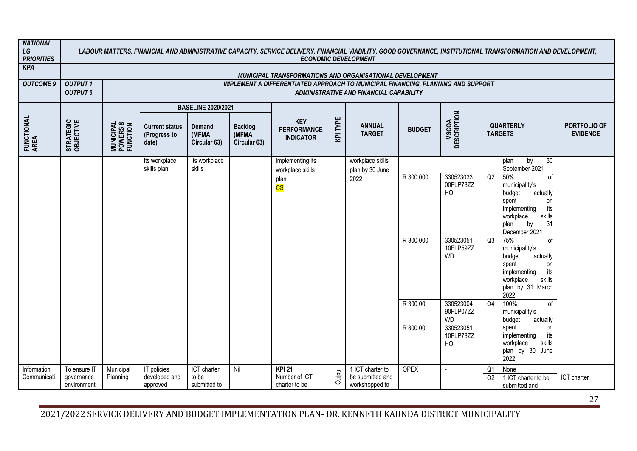| <b>NATIONAL</b><br>LG<br><b>PRIORITIES</b> |                                           |                                                |                                                |                                      |                                         |                                                                                         |          | <b>ECONOMIC DEVELOPMENT</b>                            |                        |                                                                     |          | LABOUR MATTERS, FINANCIAL AND ADMINISTRATIVE CAPACITY, SERVICE DELIVERY, FINANCIAL VIABILITY, GOOD GOVERNANCE, INSTITUTIONAL TRANSFORMATION AND DEVELOPMENT,                                                                                                                                                        |                                 |
|--------------------------------------------|-------------------------------------------|------------------------------------------------|------------------------------------------------|--------------------------------------|-----------------------------------------|-----------------------------------------------------------------------------------------|----------|--------------------------------------------------------|------------------------|---------------------------------------------------------------------|----------|---------------------------------------------------------------------------------------------------------------------------------------------------------------------------------------------------------------------------------------------------------------------------------------------------------------------|---------------------------------|
| <b>KPA</b>                                 |                                           |                                                |                                                |                                      |                                         | MUNICIPAL TRANSFORMATIONS AND ORGANISATIONAL DEVELOPMENT                                |          |                                                        |                        |                                                                     |          |                                                                                                                                                                                                                                                                                                                     |                                 |
| <b>OUTCOME 9</b>                           | <b>OUTPUT1</b>                            |                                                |                                                |                                      |                                         | <b>IMPLEMENT A DIFFERENTIATED APPROACH TO MUNICIPAL FINANCING, PLANNING AND SUPPORT</b> |          |                                                        |                        |                                                                     |          |                                                                                                                                                                                                                                                                                                                     |                                 |
|                                            | <b>OUTPUT 6</b>                           |                                                |                                                |                                      |                                         |                                                                                         |          | ADMINISTRATIVE AND FINANCIAL CAPABILITY                |                        |                                                                     |          |                                                                                                                                                                                                                                                                                                                     |                                 |
|                                            |                                           |                                                |                                                | <b>BASELINE 2020/2021</b>            |                                         |                                                                                         |          |                                                        |                        |                                                                     |          |                                                                                                                                                                                                                                                                                                                     |                                 |
| FUNCTIONAL<br>AREA                         | STRATEGIC<br>OBJECTIVE                    | <b>MUNICIPAL<br/>POWERS &amp;<br/>FUNCTION</b> | <b>Current status</b><br>(Progress to<br>date) | Demand<br>(MFMA<br>Circular 63)      | <b>Backlog</b><br>(MFMA<br>Circular 63) | <b>KEY</b><br><b>PERFORMANCE</b><br><b>INDICATOR</b>                                    | KPI TYPE | <b>ANNUAL</b><br><b>TARGET</b>                         | <b>BUDGET</b>          | <b>MSCOA</b><br>DESCRIPTION                                         |          | <b>QUARTERLY</b><br><b>TARGETS</b>                                                                                                                                                                                                                                                                                  | PORTFOLIO OF<br><b>EVIDENCE</b> |
|                                            |                                           |                                                | its workplace                                  | its workplace<br>skills              |                                         | implementing its                                                                        |          | workplace skills                                       |                        |                                                                     |          | 30<br>by<br>plan                                                                                                                                                                                                                                                                                                    |                                 |
|                                            |                                           |                                                | skills plan                                    |                                      |                                         | workplace skills<br>plan<br>$\overline{\text{CS}}$                                      |          | plan by 30 June<br>2022                                | R 300 000<br>R 300 000 | 330523033<br>00FLP78ZZ<br>HO<br>330523051<br>10FLP59ZZ<br><b>WD</b> | Q2<br>Q3 | September 2021<br>50%<br>of<br>municipality's<br>budget<br>actually<br>spent<br>on<br>implementing<br>its<br>workplace<br>skills<br>by<br>31<br>plan<br>December 2021<br>75%<br>of<br>municipality's<br>budget<br>actually<br>spent<br>on<br>implementing<br>its<br>workplace<br>skills<br>plan by 31 March<br>2022 |                                 |
|                                            |                                           |                                                |                                                |                                      |                                         |                                                                                         |          |                                                        | R 300 00<br>R 800 00   | 330523004<br>90FLP07ZZ<br><b>WD</b><br>330523051<br>10FLP78ZZ<br>HO | Q4       | 100%<br>0f<br>municipality's<br>budget<br>actually<br>spent<br>on<br>implementing<br>its<br>workplace<br>skills<br>plan by 30 June<br>2022                                                                                                                                                                          |                                 |
| Information,<br>Communicati                | To ensure IT<br>governance<br>environment | Municipal<br>Planning                          | IT policies<br>developed and<br>approved       | ICT charter<br>to be<br>submitted to | Nil                                     | <b>KPI 21</b><br>Number of ICT<br>charter to be                                         | Outpu    | 1 ICT charter to<br>be submitted and<br>workshopped to | <b>OPEX</b>            | $\overline{\phantom{a}}$                                            | Q1<br>Q2 | None<br>1 ICT charter to be<br>submitted and                                                                                                                                                                                                                                                                        | ICT charter                     |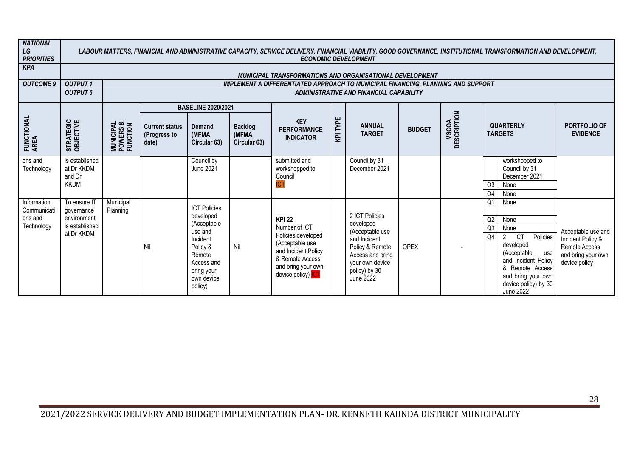| <b>NATIONAL</b><br>LG<br><b>PRIORITIES</b>           |                                                                           |                                                |                                                |                                                                                                                                                   |                                         |                                                                                                                                                                      |          | <b>ECONOMIC DEVELOPMENT</b>                                                                                                                                   |               |                             |                                  | LABOUR MATTERS, FINANCIAL AND ADMINISTRATIVE CAPACITY, SERVICE DELIVERY, FINANCIAL VIABILITY, GOOD GOVERNANCE, INSTITUTIONAL TRANSFORMATION AND DEVELOPMENT,                                   |                                                                                                 |
|------------------------------------------------------|---------------------------------------------------------------------------|------------------------------------------------|------------------------------------------------|---------------------------------------------------------------------------------------------------------------------------------------------------|-----------------------------------------|----------------------------------------------------------------------------------------------------------------------------------------------------------------------|----------|---------------------------------------------------------------------------------------------------------------------------------------------------------------|---------------|-----------------------------|----------------------------------|------------------------------------------------------------------------------------------------------------------------------------------------------------------------------------------------|-------------------------------------------------------------------------------------------------|
| <b>KPA</b>                                           |                                                                           |                                                |                                                |                                                                                                                                                   |                                         | <b>MUNICIPAL TRANSFORMATIONS AND ORGANISATIONAL DEVELOPMENT</b>                                                                                                      |          |                                                                                                                                                               |               |                             |                                  |                                                                                                                                                                                                |                                                                                                 |
| <b>OUTCOME 9</b>                                     | <b>OUTPUT1</b>                                                            |                                                |                                                |                                                                                                                                                   |                                         | <b>IMPLEMENT A DIFFERENTIATED APPROACH TO MUNICIPAL FINANCING, PLANNING AND SUPPORT</b>                                                                              |          |                                                                                                                                                               |               |                             |                                  |                                                                                                                                                                                                |                                                                                                 |
|                                                      | <b>OUTPUT 6</b>                                                           |                                                |                                                |                                                                                                                                                   |                                         |                                                                                                                                                                      |          | ADMINISTRATIVE AND FINANCIAL CAPABILITY                                                                                                                       |               |                             |                                  |                                                                                                                                                                                                |                                                                                                 |
|                                                      |                                                                           |                                                |                                                | <b>BASELINE 2020/2021</b>                                                                                                                         |                                         |                                                                                                                                                                      |          |                                                                                                                                                               |               |                             |                                  |                                                                                                                                                                                                |                                                                                                 |
| FUNCTIONAL<br>AREA                                   | STRATEGIC<br>OBJECTIVE                                                    | <b>MUNICIPAL<br/>POWERS &amp;<br/>FUNCTION</b> | <b>Current status</b><br>(Progress to<br>date) | <b>Demand</b><br>(MFMA<br>Circular 63)                                                                                                            | <b>Backlog</b><br>(MFMA<br>Circular 63) | <b>KEY</b><br><b>PERFORMANCE</b><br><b>INDICATOR</b>                                                                                                                 | KPI TYPE | <b>ANNUAL</b><br><b>TARGET</b>                                                                                                                                | <b>BUDGET</b> | <b>MSCOA</b><br>DESCRIPTION |                                  | <b>QUARTERLY</b><br><b>TARGETS</b>                                                                                                                                                             | PORTFOLIO OF<br><b>EVIDENCE</b>                                                                 |
| ons and<br>Technology                                | is established<br>at Dr KKDM<br>and Dr<br><b>KKDM</b>                     |                                                |                                                | Council by<br>June 2021                                                                                                                           |                                         | submitted and<br>workshopped to<br>Council<br><b>ICT</b>                                                                                                             |          | Council by 31<br>December 2021                                                                                                                                |               |                             | Q3<br>Q4                         | workshopped to<br>Council by 31<br>December 2021<br>None<br>None                                                                                                                               |                                                                                                 |
| Information,<br>Communicati<br>ons and<br>Technology | To ensure IT<br>qovernance<br>environment<br>is established<br>at Dr KKDM | Municipal<br>Planning                          | Nil                                            | <b>ICT Policies</b><br>developed<br>(Acceptable<br>use and<br>Incident<br>Policy &<br>Remote<br>Access and<br>bring your<br>own device<br>policy) | Nil                                     | <b>KPI 22</b><br>Number of ICT<br>Policies developed<br>(Acceptable use<br>and Incident Policy<br>& Remote Access<br>and bring your own<br>device policy) <b>ICT</b> |          | 2 ICT Policies<br>developed<br>(Acceptable use<br>and Incident<br>Policy & Remote<br>Access and bring<br>your own device<br>policy) by 30<br><b>June 2022</b> | <b>OPEX</b>   |                             | Q <sub>1</sub><br>Q2<br>Q3<br>Q4 | None<br>None<br>None<br>TCT<br>$2^{\circ}$<br>Policies<br>developed<br>(Acceptable<br>use<br>and Incident Policy<br>& Remote Access<br>and bring your own<br>device policy) by 30<br>June 2022 | Acceptable use and<br>Incident Policy &<br>Remote Access<br>and bring your own<br>device policy |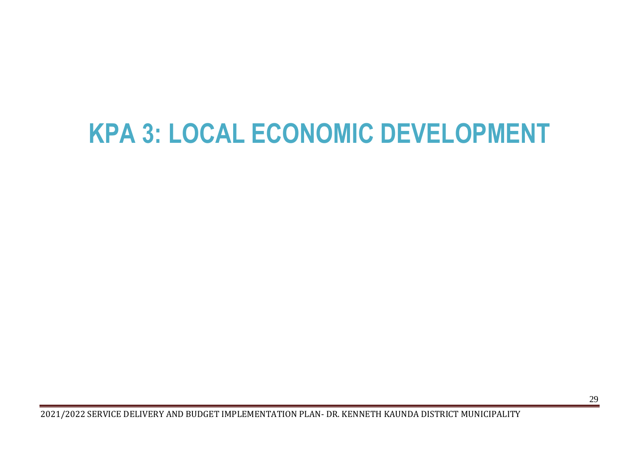# <span id="page-29-0"></span>**KPA 3: LOCAL ECONOMIC DEVELOPMENT**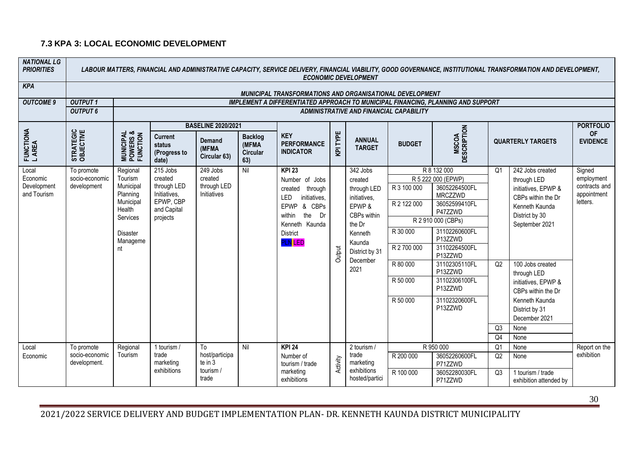#### **7.3 KPA 3: LOCAL ECONOMIC DEVELOPMENT**

| <b>NATIONAL LG</b><br><b>PRIORITIES</b> |                                |                                                                                                          |                                                                                |                                        |                                             |                                                                                                                                                                          |                | <b>ECONOMIC DEVELOPMENT</b>                                                                                                          |                                                                                           |                                                                                                                                                                                                                                                     |                | LABOUR MATTERS, FINANCIAL AND ADMINISTRATIVE CAPACITY, SERVICE DELIVERY, FINANCIAL VIABILITY, GOOD GOVERNANCE, INSTITUTIONAL TRANSFORMATION AND DEVELOPMENT,                                                                                        |                                                        |
|-----------------------------------------|--------------------------------|----------------------------------------------------------------------------------------------------------|--------------------------------------------------------------------------------|----------------------------------------|---------------------------------------------|--------------------------------------------------------------------------------------------------------------------------------------------------------------------------|----------------|--------------------------------------------------------------------------------------------------------------------------------------|-------------------------------------------------------------------------------------------|-----------------------------------------------------------------------------------------------------------------------------------------------------------------------------------------------------------------------------------------------------|----------------|-----------------------------------------------------------------------------------------------------------------------------------------------------------------------------------------------------------------------------------------------------|--------------------------------------------------------|
| <b>KPA</b>                              |                                |                                                                                                          |                                                                                |                                        |                                             | MUNICIPAL TRANSFORMATIONS AND ORGANISATIONAL DEVELOPMENT                                                                                                                 |                |                                                                                                                                      |                                                                                           |                                                                                                                                                                                                                                                     |                |                                                                                                                                                                                                                                                     |                                                        |
| <b>OUTCOME 9</b>                        | <b>OUTPUT1</b>                 |                                                                                                          |                                                                                |                                        |                                             |                                                                                                                                                                          |                |                                                                                                                                      |                                                                                           | <b>IMPLEMENT A DIFFERENTIATED APPROACH TO MUNICIPAL FINANCING, PLANNING AND SUPPORT</b>                                                                                                                                                             |                |                                                                                                                                                                                                                                                     |                                                        |
|                                         | <b>OUTPUT 6</b>                |                                                                                                          |                                                                                |                                        |                                             |                                                                                                                                                                          |                | <b>ADMINISTRATIVE AND FINANCIAL CAPABILITY</b>                                                                                       |                                                                                           |                                                                                                                                                                                                                                                     |                |                                                                                                                                                                                                                                                     |                                                        |
|                                         |                                |                                                                                                          |                                                                                | <b>BASELINE 2020/2021</b>              |                                             |                                                                                                                                                                          |                |                                                                                                                                      |                                                                                           |                                                                                                                                                                                                                                                     |                |                                                                                                                                                                                                                                                     | <b>PORTFOLIO</b>                                       |
| FUNCTIONA<br>L AREA                     | STRATEGIC<br>OBJECTIVE         | <b>MUNICIPAL<br/>POWERS &amp;<br/>FUNCTION</b>                                                           | <b>Current</b><br>status<br>(Progress to<br>date)                              | <b>Demand</b><br>(MFMA<br>Circular 63) | <b>Backlog</b><br>(MFMA)<br>Circular<br>63) | <b>KEY</b><br><b>PERFORMANCE</b><br><b>INDICATOR</b>                                                                                                                     | <b>KPITYPE</b> | <b>ANNUAL</b><br><b>TARGET</b>                                                                                                       | <b>BUDGET</b>                                                                             | <b>MSCOA</b><br>DESCRIPTION                                                                                                                                                                                                                         |                | <b>QUARTERLY TARGETS</b>                                                                                                                                                                                                                            | <b>OF</b><br><b>EVIDENCE</b>                           |
| Local                                   | To promote                     | Regional                                                                                                 | 215 Jobs                                                                       | 249 Jobs                               | Nil                                         | <b>KPI 23</b>                                                                                                                                                            |                | 342 Jobs                                                                                                                             |                                                                                           | R 8 132 000                                                                                                                                                                                                                                         | Q <sub>1</sub> | 242 Jobs created                                                                                                                                                                                                                                    | Signed                                                 |
| Economic<br>Development<br>and Tourism  | socio-economic<br>development  | Tourism<br>Municipal<br>Planning<br>Municipal<br>Health<br>Services<br><b>Disaster</b><br>Manageme<br>nt | created<br>through LED<br>Initiatives,<br>EPWP, CBP<br>and Capital<br>projects | created<br>through LED<br>Initiatives  |                                             | Number of Jobs<br>through<br>created<br>LED<br>initiatives,<br>& CBPs<br><b>EPWP</b><br>the<br>Dr<br>within<br>Kenneth Kaunda<br><b>District</b><br><mark>pln</mark> led | Output         | created<br>through LED<br>initiatives,<br>EPWP &<br>CBPs within<br>the Dr<br>Kenneth<br>Kaunda<br>District by 31<br>December<br>2021 | R 3 100 000<br>R 2 122 000<br>R 30 000<br>R 2 700 000<br>R 80 000<br>R 50 000<br>R 50 000 | R 5 222 000 (EPWP)<br>36052264500FL<br><b>MRCZZWD</b><br>36052599410FL<br>P47ZZWD<br>R 2 910 000 (CBPs)<br>31102260600FL<br>P13ZZWD<br>31102264500FL<br>P13ZZWD<br>31102305110FL<br>P13ZZWD<br>31102306100FL<br>P13ZZWD<br>31102320600FL<br>P13ZZWD | Q2             | through LED<br>initiatives, EPWP &<br>CBPs within the Dr<br>Kenneth Kaunda<br>District by 30<br>September 2021<br>100 Jobs created<br>through LED<br>initiatives, EPWP &<br>CBPs within the Dr<br>Kenneth Kaunda<br>District by 31<br>December 2021 | employment<br>contracts and<br>appointment<br>letters. |
|                                         |                                |                                                                                                          |                                                                                |                                        |                                             |                                                                                                                                                                          |                |                                                                                                                                      |                                                                                           |                                                                                                                                                                                                                                                     | Q3<br>Q4       | None<br>None                                                                                                                                                                                                                                        |                                                        |
| Local                                   | To promote                     | Regional                                                                                                 | 1 tourism /                                                                    | To                                     | Nil                                         | <b>KPI 24</b>                                                                                                                                                            |                | 2 tourism /                                                                                                                          |                                                                                           | R 950 000                                                                                                                                                                                                                                           | Q <sub>1</sub> | None                                                                                                                                                                                                                                                | Report on the                                          |
| Economic                                | socio-economic<br>development. | Tourism                                                                                                  | trade<br>marketing                                                             | host/participa<br>te in 3              |                                             | Number of<br>tourism / trade                                                                                                                                             | Activity       | trade<br>marketing                                                                                                                   | R 200 000                                                                                 | 36052260600FL<br>P71ZZWD                                                                                                                                                                                                                            | Q2             | None                                                                                                                                                                                                                                                | exhibition                                             |
|                                         |                                |                                                                                                          | exhibitions                                                                    | tourism /<br>trade                     |                                             | marketing<br>exhibitions                                                                                                                                                 |                | exhibitions<br>hosted/partici                                                                                                        | R 100 000                                                                                 | 36052280030FL<br>P71ZZWD                                                                                                                                                                                                                            | Q3             | 1 tourism / trade<br>exhibition attended by                                                                                                                                                                                                         |                                                        |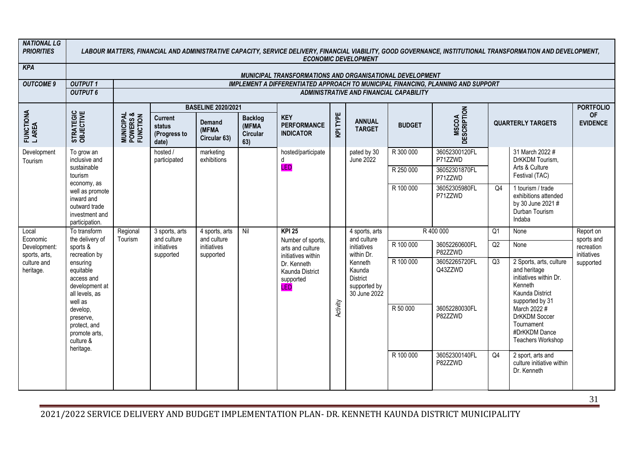| <b>NATIONAL LG</b><br><b>PRIORITIES</b> |                                                                                                                             |                                                |                                                   |                                        |                                            |                                                          |          | <b>ECONOMIC DEVELOPMENT</b>                                   |                       |                                                                                         |                | LABOUR MATTERS, FINANCIAL AND ADMINISTRATIVE CAPACITY, SERVICE DELIVERY, FINANCIAL VIABILITY, GOOD GOVERNANCE, INSTITUTIONAL TRANSFORMATION AND DEVELOPMENT,      |                              |
|-----------------------------------------|-----------------------------------------------------------------------------------------------------------------------------|------------------------------------------------|---------------------------------------------------|----------------------------------------|--------------------------------------------|----------------------------------------------------------|----------|---------------------------------------------------------------|-----------------------|-----------------------------------------------------------------------------------------|----------------|-------------------------------------------------------------------------------------------------------------------------------------------------------------------|------------------------------|
| <b>KPA</b>                              |                                                                                                                             |                                                |                                                   |                                        |                                            | MUNICIPAL TRANSFORMATIONS AND ORGANISATIONAL DEVELOPMENT |          |                                                               |                       |                                                                                         |                |                                                                                                                                                                   |                              |
| <b>OUTCOME 9</b>                        | <b>OUTPUT1</b>                                                                                                              |                                                |                                                   |                                        |                                            |                                                          |          |                                                               |                       | <b>IMPLEMENT A DIFFERENTIATED APPROACH TO MUNICIPAL FINANCING, PLANNING AND SUPPORT</b> |                |                                                                                                                                                                   |                              |
|                                         | <b>OUTPUT 6</b>                                                                                                             |                                                |                                                   |                                        |                                            |                                                          |          | ADMINISTRATIVE AND FINANCIAL CAPABILITY                       |                       |                                                                                         |                |                                                                                                                                                                   |                              |
|                                         |                                                                                                                             |                                                |                                                   | <b>BASELINE 2020/2021</b>              |                                            |                                                          |          |                                                               |                       |                                                                                         |                |                                                                                                                                                                   | <b>PORTFOLIO</b>             |
| FUNCTIONA<br>LAREA                      | STRATEGIC<br>OBJECTIVE                                                                                                      | <b>MUNICIPAL<br/>POWERS &amp;<br/>FUNCTION</b> | <b>Current</b><br>status<br>(Progress to<br>date) | <b>Demand</b><br>(MFMA<br>Circular 63) | <b>Backlog</b><br>(MFMA<br>Circular<br>63) | <b>KEY</b><br><b>PERFORMANCE</b><br><b>INDICATOR</b>     | KPI TYPE | <b>ANNUAL</b><br><b>TARGET</b>                                | <b>BUDGET</b>         | <b>MSCOA</b><br>DESCRIPTION                                                             |                | <b>QUARTERLY TARGETS</b>                                                                                                                                          | <b>OF</b><br><b>EVIDENCE</b> |
| Development<br>Tourism                  | To grow an<br>inclusive and                                                                                                 |                                                | hosted /<br>participated                          | marketing<br>exhibitions               |                                            | hosted/participate<br>d                                  |          | pated by 30<br><b>June 2022</b>                               | R 300 000             | 36052300120FL<br>P71ZZWD                                                                |                | 31 March 2022 #<br>DrKKDM Tourism,                                                                                                                                |                              |
|                                         | sustainable<br>tourism<br>economy, as                                                                                       |                                                |                                                   |                                        |                                            | <b>LED</b>                                               |          |                                                               | R 250 000             | 36052301870FL<br>P71ZZWD                                                                |                | Arts & Culture<br>Festival (TAC)                                                                                                                                  |                              |
|                                         | well as promote<br>inward and<br>outward trade<br>investment and<br>participation.                                          |                                                |                                                   |                                        |                                            |                                                          |          |                                                               | R 100 000             | 36052305980FL<br>P71ZZWD                                                                | Q4             | 1 tourism / trade<br>exhibitions attended<br>by 30 June 2021 #<br>Durban Tourism<br>Indaba                                                                        |                              |
| Local<br>Economic                       | To transform<br>the delivery of                                                                                             | Regional<br>Tourism                            | 3 sports, arts<br>and culture                     | 4 sports, arts<br>and culture          | Nil                                        | $KPI$ 25<br>Number of sports,                            |          | 4 sports, arts<br>and culture                                 |                       | R 400 000                                                                               | Q <sub>1</sub> | None                                                                                                                                                              | Report on<br>sports and      |
| Development:<br>sports, arts,           | sports &<br>recreation by                                                                                                   |                                                | initiatives<br>supported                          | initiatives<br>supported               |                                            | arts and culture<br>initiatives within                   |          | initiatives<br>within Dr.                                     | R 100 000             | 36052260600FL<br>P82ZZWD                                                                | Q2             | None                                                                                                                                                              | recreation<br>initiatives    |
| culture and<br>heritage.                | ensuring<br>equitable<br>access and<br>development at<br>all levels, as<br>well as<br>develop,<br>preserve,<br>protect, and |                                                |                                                   |                                        |                                            | Dr. Kenneth<br>Kaunda District<br>supported<br>LED       | Activity | Kenneth<br>Kaunda<br>District<br>supported by<br>30 June 2022 | R 100 000<br>R 50 000 | 36052265720FL<br>Q43ZZWD<br>36052280030FL<br>P82ZZWD                                    | Q3             | 2 Sports, arts, culture<br>and heritage<br>initiatives within Dr.<br>Kenneth<br>Kaunda District<br>supported by 31<br>March 2022 #<br>DrKKDM Soccer<br>Tournament | supported                    |
|                                         | promote arts,<br>culture &<br>heritage.                                                                                     |                                                |                                                   |                                        |                                            |                                                          |          |                                                               |                       |                                                                                         |                | #DrKKDM Dance<br>Teachers Workshop                                                                                                                                |                              |
|                                         |                                                                                                                             |                                                |                                                   |                                        |                                            |                                                          |          |                                                               | R 100 000             | 36052300140FL<br>P82ZZWD                                                                | Q <sub>4</sub> | 2 sport, arts and<br>culture initiative within<br>Dr. Kenneth                                                                                                     |                              |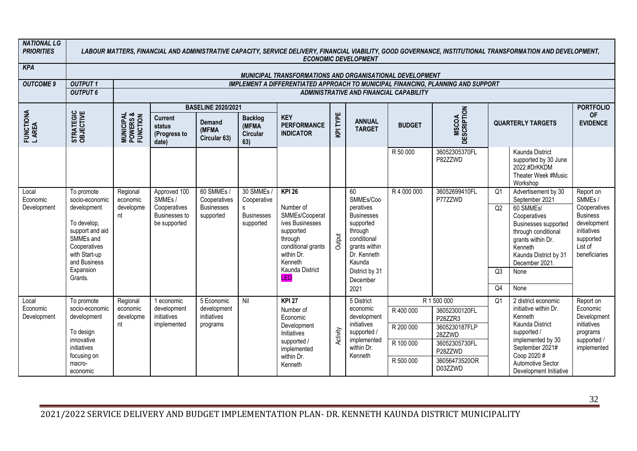| <b>NATIONAL LG</b><br><b>PRIORITIES</b> |                                                                                                                            |                                                |                                                         |                                                      |                                             |                                                                                                                             |          | <b>ECONOMIC DEVELOPMENT</b>                                                                                 |                                                  |                                                                                                                            |                      | LABOUR MATTERS, FINANCIAL AND ADMINISTRATIVE CAPACITY, SERVICE DELIVERY, FINANCIAL VIABILITY, GOOD GOVERNANCE, INSTITUTIONAL TRANSFORMATION AND DEVELOPMENT,                                   |                                                                                               |
|-----------------------------------------|----------------------------------------------------------------------------------------------------------------------------|------------------------------------------------|---------------------------------------------------------|------------------------------------------------------|---------------------------------------------|-----------------------------------------------------------------------------------------------------------------------------|----------|-------------------------------------------------------------------------------------------------------------|--------------------------------------------------|----------------------------------------------------------------------------------------------------------------------------|----------------------|------------------------------------------------------------------------------------------------------------------------------------------------------------------------------------------------|-----------------------------------------------------------------------------------------------|
| <b>KPA</b>                              |                                                                                                                            |                                                |                                                         |                                                      |                                             | MUNICIPAL TRANSFORMATIONS AND ORGANISATIONAL DEVELOPMENT                                                                    |          |                                                                                                             |                                                  |                                                                                                                            |                      |                                                                                                                                                                                                |                                                                                               |
| <b>OUTCOME 9</b>                        | <b>OUTPUT1</b>                                                                                                             |                                                |                                                         |                                                      |                                             |                                                                                                                             |          |                                                                                                             |                                                  | <b>IMPLEMENT A DIFFERENTIATED APPROACH TO MUNICIPAL FINANCING, PLANNING AND SUPPORT</b>                                    |                      |                                                                                                                                                                                                |                                                                                               |
|                                         | <b>OUTPUT 6</b>                                                                                                            |                                                |                                                         |                                                      |                                             |                                                                                                                             |          |                                                                                                             | <b>ADMINISTRATIVE AND FINANCIAL CAPABILITY</b>   |                                                                                                                            |                      |                                                                                                                                                                                                |                                                                                               |
|                                         |                                                                                                                            |                                                |                                                         |                                                      |                                             |                                                                                                                             |          |                                                                                                             |                                                  |                                                                                                                            |                      |                                                                                                                                                                                                |                                                                                               |
|                                         |                                                                                                                            |                                                |                                                         | <b>BASELINE 2020/2021</b>                            |                                             |                                                                                                                             |          |                                                                                                             |                                                  |                                                                                                                            |                      |                                                                                                                                                                                                | <b>PORTFOLIO</b>                                                                              |
| FUNCTIONA<br>L AREA                     | STRATEGIC<br>OBJECTIVE                                                                                                     | <b>MUNICIPAL<br/>POWERS &amp;<br/>FUNCTION</b> | <b>Current</b><br>status<br>(Progress to<br>date)       | <b>Demand</b><br>(MFMA<br>Circular 63)               | <b>Backlog</b><br>(MFMA)<br>Circular<br>63) | <b>KEY</b><br><b>PERFORMANCE</b><br><b>INDICATOR</b>                                                                        | KPI TYPE | <b>ANNUAL</b><br><b>TARGET</b>                                                                              | <b>BUDGET</b>                                    | <b>MSCOA</b><br>DESCRIPTION                                                                                                |                      | <b>QUARTERLY TARGETS</b>                                                                                                                                                                       | <b>OF</b><br><b>EVIDENCE</b>                                                                  |
|                                         |                                                                                                                            |                                                |                                                         |                                                      |                                             |                                                                                                                             |          |                                                                                                             | R 50 000                                         | 36052305370FL<br>P82ZZWD                                                                                                   |                      | Kaunda District<br>supported by 30 June<br>2022.#DrKKDM<br>Theater Week #Music<br>Workshop                                                                                                     |                                                                                               |
| Local<br>Economic<br>Development        | To promote<br>socio-economic<br>development                                                                                | Regional<br>economic<br>developme              | Approved 100<br>SMME <sub>s</sub> /<br>Cooperatives     | 60 SMMEs /<br>Cooperatives<br><b>Businesses</b>      | 30 SMMEs /<br>Cooperative<br>$\mathsf{s}$   | <b>KPI 26</b><br>Number of                                                                                                  |          | 60<br>SMMEs/Coo<br>peratives                                                                                | R4 000 000                                       | 36052699410FL<br>P77ZZWD                                                                                                   | Q <sub>1</sub><br>Q2 | Advertisement by 30<br>September 2021<br>60 SMMEs/                                                                                                                                             | Report on<br>SMME <sub>s</sub> /<br>Cooperatives                                              |
|                                         | To develop.<br>support and aid<br>SMMEs and<br>Cooperatives<br>with Start-up<br>and Business                               | nt                                             | Businesses to<br>be supported                           | supported                                            | <b>Businesses</b><br>supported              | SMMEs/Cooperat<br>ives Businesses<br>supported<br>through<br>conditional grants<br>within Dr.<br>Kenneth                    | Output   | <b>Businesses</b><br>supported<br>through<br>conditional<br>grants within<br>Dr. Kenneth<br>Kaunda          |                                                  |                                                                                                                            |                      | Cooperatives<br>Businesses supported<br>through conditional<br>grants within Dr.<br>Kenneth<br>Kaunda District by 31<br>December 2021.                                                         | <b>Business</b><br>development<br>initiatives<br>supported<br>List of<br>beneficiaries        |
|                                         | Expansion<br>Grants.                                                                                                       |                                                |                                                         |                                                      |                                             | Kaunda District<br>LED                                                                                                      |          | District by 31<br>December                                                                                  |                                                  |                                                                                                                            | Q3<br>Q <sub>4</sub> | None                                                                                                                                                                                           |                                                                                               |
|                                         |                                                                                                                            |                                                |                                                         |                                                      |                                             |                                                                                                                             |          | 2021                                                                                                        |                                                  |                                                                                                                            |                      | None                                                                                                                                                                                           |                                                                                               |
| Local<br>Economic<br>Development        | To promote<br>socio-economic<br>development<br>To design<br>innovative<br>initiatives<br>focusing on<br>macro-<br>economic | Regional<br>economic<br>developme<br>nt        | 1 economic<br>development<br>initiatives<br>implemented | 5 Economic<br>development<br>initiatives<br>programs | Nil                                         | <b>KPI 27</b><br>Number of<br>Economic<br>Development<br>Initiatives<br>supported /<br>implemented<br>within Dr.<br>Kenneth | Activity | 5 District<br>economic<br>development<br>initiatives<br>supported /<br>implemented<br>within Dr.<br>Kenneth | R 400 000<br>R 200 000<br>R 100 000<br>R 500 000 | R 1 500 000<br>36052300120FL<br>P28ZZR3<br>3605230187FLP<br>28ZZWD<br>36052305730FL<br>P28ZZWD<br>36056473520OR<br>D03ZZWD | Q <sub>1</sub>       | 2 district economic<br>initiative within Dr.<br>Kenneth<br>Kaunda District<br>supported /<br>implemented by 30<br>September 2021#<br>Coop 2020#<br>Automotive Sector<br>Development Initiative | Report on<br>Economic<br>Development<br>initiatives<br>programs<br>supported /<br>implemented |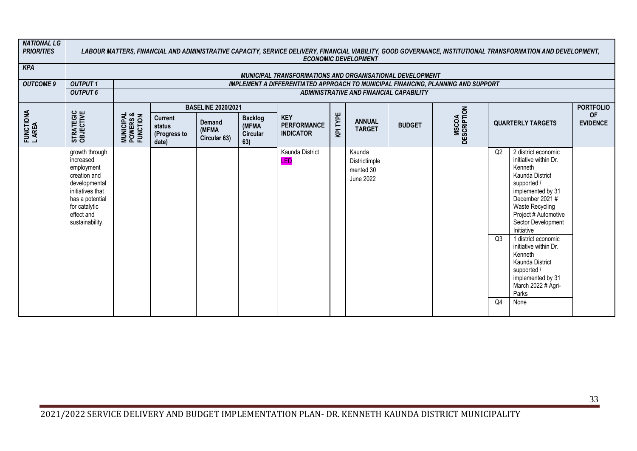| <b>NATIONAL LG</b><br><b>PRIORITIES</b> |                                                                                                                                                                     |                                                |                                                   |                                        |                                            |                                                          |          | <b>ECONOMIC DEVELOPMENT</b>                       |                                                |                                                                                         |                            | LABOUR MATTERS, FINANCIAL AND ADMINISTRATIVE CAPACITY, SERVICE DELIVERY, FINANCIAL VIABILITY, GOOD GOVERNANCE, INSTITUTIONAL TRANSFORMATION AND DEVELOPMENT,                                                                                                                                                                                                                    |                              |
|-----------------------------------------|---------------------------------------------------------------------------------------------------------------------------------------------------------------------|------------------------------------------------|---------------------------------------------------|----------------------------------------|--------------------------------------------|----------------------------------------------------------|----------|---------------------------------------------------|------------------------------------------------|-----------------------------------------------------------------------------------------|----------------------------|---------------------------------------------------------------------------------------------------------------------------------------------------------------------------------------------------------------------------------------------------------------------------------------------------------------------------------------------------------------------------------|------------------------------|
| <b>KPA</b>                              |                                                                                                                                                                     |                                                |                                                   |                                        |                                            | MUNICIPAL TRANSFORMATIONS AND ORGANISATIONAL DEVELOPMENT |          |                                                   |                                                |                                                                                         |                            |                                                                                                                                                                                                                                                                                                                                                                                 |                              |
| <b>OUTCOME 9</b>                        | <b>OUTPUT1</b>                                                                                                                                                      |                                                |                                                   |                                        |                                            |                                                          |          |                                                   |                                                | <b>IMPLEMENT A DIFFERENTIATED APPROACH TO MUNICIPAL FINANCING, PLANNING AND SUPPORT</b> |                            |                                                                                                                                                                                                                                                                                                                                                                                 |                              |
|                                         | <b>OUTPUT 6</b>                                                                                                                                                     |                                                |                                                   |                                        |                                            |                                                          |          |                                                   | <b>ADMINISTRATIVE AND FINANCIAL CAPABILITY</b> |                                                                                         |                            |                                                                                                                                                                                                                                                                                                                                                                                 |                              |
|                                         |                                                                                                                                                                     |                                                |                                                   | <b>BASELINE 2020/2021</b>              |                                            |                                                          |          |                                                   |                                                |                                                                                         |                            |                                                                                                                                                                                                                                                                                                                                                                                 | <b>PORTFOLIO</b>             |
| FUNCTIONA<br>L AREA                     | STRATEGIC<br>OBJECTIVE                                                                                                                                              | <b>MUNICIPAL<br/>POWERS &amp;<br/>FUNCTION</b> | <b>Current</b><br>status<br>(Progress to<br>date) | <b>Demand</b><br>(MFMA<br>Circular 63) | <b>Backlog</b><br>(MFMA<br>Circular<br>63) | <b>KEY</b><br><b>PERFORMANCE</b><br><b>INDICATOR</b>     | KPI TYPE | <b>ANNUAL</b><br><b>TARGET</b>                    | <b>BUDGET</b>                                  | MSCOA<br>DESCRIPTION                                                                    |                            | <b>QUARTERLY TARGETS</b>                                                                                                                                                                                                                                                                                                                                                        | <b>OF</b><br><b>EVIDENCE</b> |
|                                         | growth through<br>increased<br>employment<br>creation and<br>developmental<br>initiatives that<br>has a potential<br>for catalytic<br>effect and<br>sustainability. |                                                |                                                   |                                        |                                            | Kaunda District<br>LED                                   |          | Kaunda<br>Districtimple<br>mented 30<br>June 2022 |                                                |                                                                                         | Q2<br>Q3<br>Q <sub>4</sub> | 2 district economic<br>initiative within Dr.<br>Kenneth<br>Kaunda District<br>supported /<br>implemented by 31<br>December 2021#<br><b>Waste Recycling</b><br>Project # Automotive<br>Sector Development<br>Initiative<br>1 district economic<br>initiative within Dr.<br>Kenneth<br>Kaunda District<br>supported /<br>implemented by 31<br>March 2022 # Agri-<br>Parks<br>None |                              |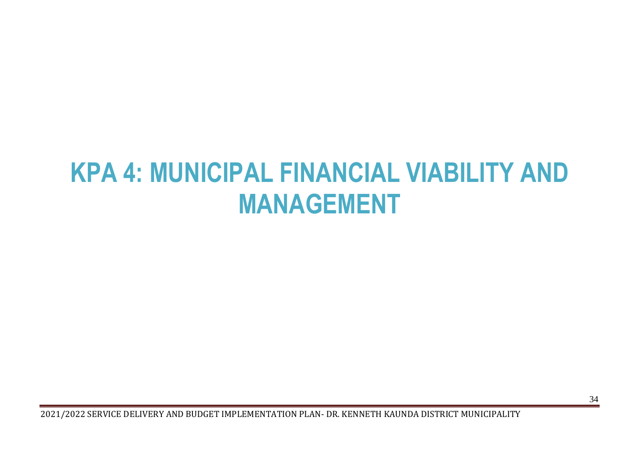# <span id="page-34-0"></span>**KPA 4: MUNICIPAL FINANCIAL VIABILITY AND MANAGEMENT**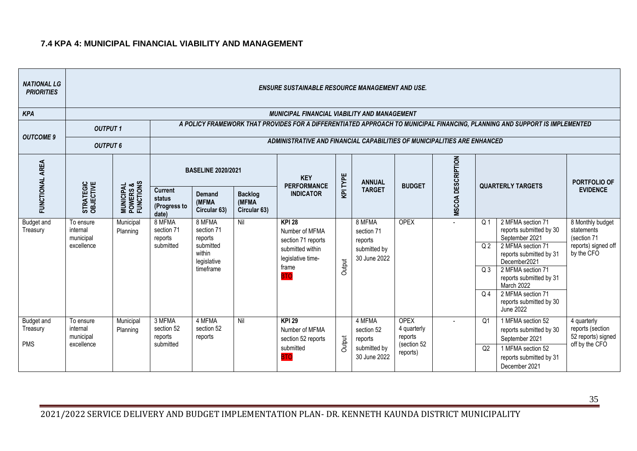#### **7.4 KPA 4: MUNICIPAL FINANCIAL VIABILITY AND MANAGEMENT**

| <b>NATIONAL LG</b><br><b>PRIORITIES</b> |                                                  |                                                 |                                                   |                                                                                    |                                         | <b>ENSURE SUSTAINABLE RESOURCE MANAGEMENT AND USE.</b>                                                                |          |                                                                 |                                                                  |                          |                                                    |                                                                                                                                                                                |                                                                                    |
|-----------------------------------------|--------------------------------------------------|-------------------------------------------------|---------------------------------------------------|------------------------------------------------------------------------------------|-----------------------------------------|-----------------------------------------------------------------------------------------------------------------------|----------|-----------------------------------------------------------------|------------------------------------------------------------------|--------------------------|----------------------------------------------------|--------------------------------------------------------------------------------------------------------------------------------------------------------------------------------|------------------------------------------------------------------------------------|
| <b>KPA</b>                              |                                                  |                                                 |                                                   |                                                                                    |                                         | <b>MUNICIPAL FINANCIAL VIABILITY AND MANAGEMENT</b>                                                                   |          |                                                                 |                                                                  |                          |                                                    |                                                                                                                                                                                |                                                                                    |
| <b>OUTCOME 9</b>                        | <b>OUTPUT1</b>                                   |                                                 |                                                   |                                                                                    |                                         |                                                                                                                       |          |                                                                 |                                                                  |                          |                                                    | A POLICY FRAMEWORK THAT PROVIDES FOR A DIFFERENTIATED APPROACH TO MUNICIPAL FINANCING, PLANNING AND SUPPORT IS IMPLEMENTED                                                     |                                                                                    |
|                                         | <b>OUTPUT 6</b>                                  |                                                 |                                                   |                                                                                    |                                         | ADMINISTRATIVE AND FINANCIAL CAPABILITIES OF MUNICIPALITIES ARE ENHANCED                                              |          |                                                                 |                                                                  |                          |                                                    |                                                                                                                                                                                |                                                                                    |
|                                         |                                                  |                                                 |                                                   | <b>BASELINE 2020/2021</b>                                                          |                                         | <b>KEY</b><br><b>PERFORMANCE</b>                                                                                      | KPI TYPE | <b>ANNUAL</b>                                                   | <b>BUDGET</b>                                                    |                          |                                                    | <b>QUARTERLY TARGETS</b>                                                                                                                                                       | PORTFOLIO OF                                                                       |
| FUNCTIONAL AREA                         | STRATEGIC<br>OBJECTIVE                           | <b>MUNICIPAL<br/>POWERS &amp;<br/>FUNCTIONS</b> | <b>Current</b><br>status<br>(Progress to<br>date) | Demand<br>(MFMA<br>Circular 63)                                                    | <b>Backlog</b><br>(MFMA<br>Circular 63) | <b>INDICATOR</b>                                                                                                      |          | <b>TARGET</b>                                                   |                                                                  | <b>MSCOA DESCRIPTION</b> |                                                    |                                                                                                                                                                                | <b>EVIDENCE</b>                                                                    |
| <b>Budget and</b><br>Treasury           | To ensure<br>internal<br>municipal<br>excellence | Municipal<br>Planning                           | 8 MFMA<br>section 71<br>reports<br>submitted      | 8 MFMA<br>section 71<br>reports<br>submitted<br>within<br>legislative<br>timeframe | Nil                                     | <b>KPI 28</b><br>Number of MFMA<br>section 71 reports<br>submitted within<br>legislative time-<br>frame<br><b>BTC</b> | Output   | 8 MFMA<br>section 71<br>reports<br>submitted by<br>30 June 2022 | <b>OPEX</b>                                                      |                          | Q <sub>1</sub><br>Q <sub>2</sub><br>Q <sub>3</sub> | 2 MFMA section 71<br>reports submitted by 30<br>September 2021<br>2 MFMA section 71<br>reports submitted by 31<br>December2021<br>2 MFMA section 71<br>reports submitted by 31 | 8 Monthly budget<br>statements<br>(section 71<br>reports) signed off<br>by the CFO |
|                                         |                                                  |                                                 |                                                   |                                                                                    |                                         |                                                                                                                       |          |                                                                 |                                                                  |                          | Q <sub>4</sub>                                     | March 2022<br>2 MFMA section 71<br>reports submitted by 30<br><b>June 2022</b>                                                                                                 |                                                                                    |
| Budget and<br>Treasury<br><b>PMS</b>    | To ensure<br>internal<br>municipal<br>excellence | Municipal<br>Planning                           | 3 MFMA<br>section 52<br>reports<br>submitted      | 4 MFMA<br>section 52<br>reports                                                    | Nil                                     | <b>KPI 29</b><br>Number of MFMA<br>section 52 reports<br>submitted<br><b>BTC</b>                                      | Output   | 4 MFMA<br>section 52<br>reports<br>submitted by<br>30 June 2022 | <b>OPEX</b><br>4 quarterly<br>reports<br>(section 52<br>reports) |                          | Q <sub>1</sub><br>Q2                               | 1 MFMA section 52<br>reports submitted by 30<br>September 2021<br>1 MFMA section 52<br>reports submitted by 31<br>December 2021                                                | 4 quarterly<br>reports (section<br>52 reports) signed<br>off by the CFO            |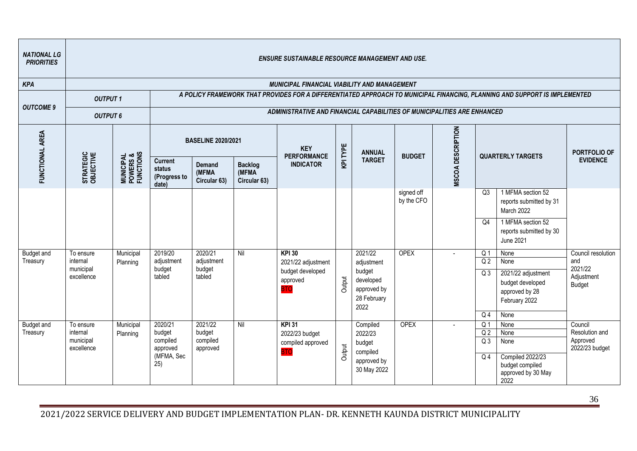| <b>NATIONAL LG</b><br><b>PRIORITIES</b> |                                                  |                                                 |                                                                |                                                                                                                                                                                                                                                  |              | <b>ENSURE SUSTAINABLE RESOURCE MANAGEMENT AND USE.</b>                            |        |                                                                                    |                          |  |                                                                                        |                                                                                                                            |                                                                     |
|-----------------------------------------|--------------------------------------------------|-------------------------------------------------|----------------------------------------------------------------|--------------------------------------------------------------------------------------------------------------------------------------------------------------------------------------------------------------------------------------------------|--------------|-----------------------------------------------------------------------------------|--------|------------------------------------------------------------------------------------|--------------------------|--|----------------------------------------------------------------------------------------|----------------------------------------------------------------------------------------------------------------------------|---------------------------------------------------------------------|
| <b>KPA</b>                              |                                                  |                                                 |                                                                |                                                                                                                                                                                                                                                  |              | <b>MUNICIPAL FINANCIAL VIABILITY AND MANAGEMENT</b>                               |        |                                                                                    |                          |  |                                                                                        |                                                                                                                            |                                                                     |
| <b>OUTCOME 9</b>                        | <b>OUTPUT1</b>                                   |                                                 |                                                                |                                                                                                                                                                                                                                                  |              |                                                                                   |        |                                                                                    |                          |  |                                                                                        | A POLICY FRAMEWORK THAT PROVIDES FOR A DIFFERENTIATED APPROACH TO MUNICIPAL FINANCING, PLANNING AND SUPPORT IS IMPLEMENTED |                                                                     |
|                                         | <b>OUTPUT 6</b>                                  |                                                 |                                                                |                                                                                                                                                                                                                                                  |              | ADMINISTRATIVE AND FINANCIAL CAPABILITIES OF MUNICIPALITIES ARE ENHANCED          |        |                                                                                    |                          |  |                                                                                        |                                                                                                                            |                                                                     |
| FUNCTIONAL AREA                         |                                                  |                                                 |                                                                | MSCOA DESCRIPTION<br><b>BASELINE 2020/2021</b><br>KPI TYPE<br><b>KEY</b><br><b>ANNUAL</b><br><b>PERFORMANCE</b><br><b>BUDGET</b><br><b>QUARTERLY TARGETS</b><br><b>TARGET</b><br><b>INDICATOR</b><br>Demand<br><b>Backlog</b><br>(MFMA<br>(MFMA) |              |                                                                                   |        |                                                                                    |                          |  |                                                                                        |                                                                                                                            | PORTFOLIO OF                                                        |
|                                         | STRATEGIC<br>OBJECTIVE                           | <b>MUNICIPAL<br/>POWERS &amp;<br/>FUNCTIONS</b> | <b>Current</b><br>status<br>(Progress to<br>date)              | Circular 63)                                                                                                                                                                                                                                     | Circular 63) |                                                                                   |        |                                                                                    |                          |  |                                                                                        |                                                                                                                            | <b>EVIDENCE</b>                                                     |
|                                         |                                                  |                                                 |                                                                |                                                                                                                                                                                                                                                  |              |                                                                                   |        |                                                                                    | signed off<br>by the CFO |  | Q3                                                                                     | 1 MFMA section 52<br>reports submitted by 31<br>March 2022                                                                 |                                                                     |
|                                         |                                                  |                                                 |                                                                |                                                                                                                                                                                                                                                  |              |                                                                                   |        |                                                                                    |                          |  | Q4                                                                                     | 1 MFMA section 52<br>reports submitted by 30<br><b>June 2021</b>                                                           |                                                                     |
| <b>Budget and</b><br>Treasury           | To ensure<br>internal<br>municipal<br>excellence | Municipal<br>Planning                           | 2019/20<br>adjustment<br>budget<br>tabled                      | 2020/21<br>adjustment<br>budget<br>tabled                                                                                                                                                                                                        | Nil          | <b>KPI 30</b><br>2021/22 adjustment<br>budget developed<br>approved<br><b>BTO</b> | Output | 2021/22<br>adjustment<br>budget<br>developed<br>approved by<br>28 February<br>2022 | <b>OPEX</b>              |  | Q <sub>1</sub><br>Q <sub>2</sub><br>Q3                                                 | None<br>None<br>2021/22 adjustment<br>budget developed<br>approved by 28<br>February 2022                                  | Council resolution<br>and<br>2021/22<br>Adjustment<br><b>Budget</b> |
| <b>Budget and</b><br>Treasury           | To ensure<br>internal<br>municipal<br>excellence | Municipal<br>Planning                           | 2020/21<br>budget<br>compiled<br>approved<br>(MFMA, Sec<br>25) | 2021/22<br>budget<br>compiled<br>approved                                                                                                                                                                                                        | Nil          | $KPI$ 31<br>2022/23 budget<br>compiled approved<br><b>BTC</b>                     | Output | Compiled<br>2022/23<br>budget<br>compiled<br>approved by<br>30 May 2022            | <b>OPEX</b>              |  | Q <sub>4</sub><br>Q <sub>1</sub><br>Q <sub>2</sub><br>Q <sub>3</sub><br>Q <sub>4</sub> | None<br>None<br>None<br>None<br><b>Compiled 2022/23</b><br>budget compiled<br>approved by 30 May<br>2022                   | Council<br>Resolution and<br>Approved<br>2022/23 budget             |

36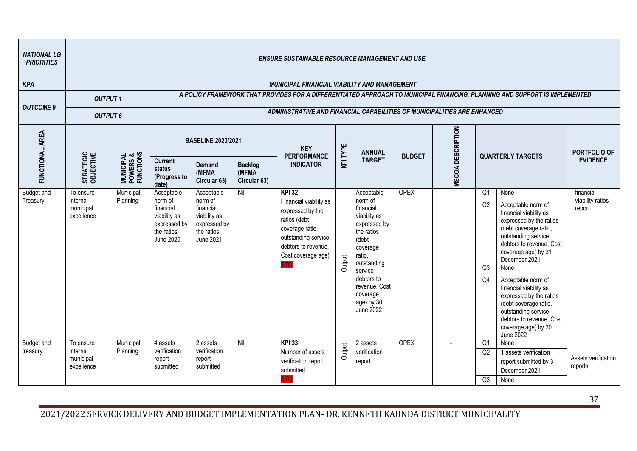| <b>NATIONAL LG</b><br><b>PRIORITIES</b> |                                                  |                                                 |                                                                                                      |                                                                                               |                                          | <b>ENSURE SUSTAINABLE RESOURCE MANAGEMENT AND USE.</b>                                                                                                                           |          |                                                                                                                                                                                                                 |               |                   |                      |                                                                                                                                                                                                                                                                                                                                                                                                        |                                         |
|-----------------------------------------|--------------------------------------------------|-------------------------------------------------|------------------------------------------------------------------------------------------------------|-----------------------------------------------------------------------------------------------|------------------------------------------|----------------------------------------------------------------------------------------------------------------------------------------------------------------------------------|----------|-----------------------------------------------------------------------------------------------------------------------------------------------------------------------------------------------------------------|---------------|-------------------|----------------------|--------------------------------------------------------------------------------------------------------------------------------------------------------------------------------------------------------------------------------------------------------------------------------------------------------------------------------------------------------------------------------------------------------|-----------------------------------------|
| <b>KPA</b>                              |                                                  |                                                 |                                                                                                      |                                                                                               |                                          | <b>MUNICIPAL FINANCIAL VIABILITY AND MANAGEMENT</b>                                                                                                                              |          |                                                                                                                                                                                                                 |               |                   |                      |                                                                                                                                                                                                                                                                                                                                                                                                        |                                         |
| <b>OUTCOME 9</b>                        | <b>OUTPUT1</b>                                   |                                                 |                                                                                                      |                                                                                               |                                          |                                                                                                                                                                                  |          |                                                                                                                                                                                                                 |               |                   |                      | A POLICY FRAMEWORK THAT PROVIDES FOR A DIFFERENTIATED APPROACH TO MUNICIPAL FINANCING, PLANNING AND SUPPORT IS IMPLEMENTED                                                                                                                                                                                                                                                                             |                                         |
|                                         | <b>OUTPUT 6</b>                                  |                                                 |                                                                                                      |                                                                                               |                                          | ADMINISTRATIVE AND FINANCIAL CAPABILITIES OF MUNICIPALITIES ARE ENHANCED                                                                                                         |          |                                                                                                                                                                                                                 |               |                   |                      |                                                                                                                                                                                                                                                                                                                                                                                                        |                                         |
| FUNCTIONAL AREA                         |                                                  |                                                 |                                                                                                      | <b>BASELINE 2020/2021</b>                                                                     |                                          | <b>KEY</b><br><b>PERFORMANCE</b>                                                                                                                                                 | KPI TYPE | <b>ANNUAL</b>                                                                                                                                                                                                   | <b>BUDGET</b> | MSCOA DESCRIPTION |                      | <b>QUARTERLY TARGETS</b>                                                                                                                                                                                                                                                                                                                                                                               | PORTFOLIO OF                            |
|                                         | STRATEGIC<br>OBJECTIVE                           | <b>MUNICIPAL<br/>POWERS &amp;<br/>FUNCTIONS</b> | <b>Current</b><br>status<br>(Progress to<br>date)                                                    | Demand<br>(MFMA<br>Circular 63)                                                               | <b>Backlog</b><br>(MFMA)<br>Circular 63) | <b>INDICATOR</b>                                                                                                                                                                 |          | <b>TARGET</b>                                                                                                                                                                                                   |               |                   |                      |                                                                                                                                                                                                                                                                                                                                                                                                        | <b>EVIDENCE</b>                         |
| <b>Budget and</b><br>Treasury           | To ensure<br>internal<br>municipal<br>excellence | Municipal<br>Planning                           | Acceptable<br>norm of<br>financial<br>viability as<br>expressed by<br>the ratios<br><b>June 2020</b> | Acceptable<br>norm of<br>financial<br>viability as<br>expressed by<br>the ratios<br>June 2021 | Nil                                      | <b>KPI 32</b><br>Financial viability as<br>expressed by the<br>ratios (debt<br>coverage ratio,<br>outstanding service<br>debtors to revenue.<br>Cost coverage age)<br><b>BTO</b> | Output   | Acceptable<br>norm of<br>financial<br>viability as<br>expressed by<br>the ratios<br>(debt<br>coverage<br>ratio,<br>outstanding<br>service<br>debtors to<br>revenue, Cost<br>coverage<br>age) by 30<br>June 2022 | <b>OPEX</b>   |                   | Q1<br>Q2<br>Q3<br>Q4 | None<br>Acceptable norm of<br>financial viability as<br>expressed by the ratios<br>(debt coverage ratio,<br>outstanding service<br>debtors to revenue, Cost<br>coverage age) by 31<br>December 2021<br>None<br>Acceptable norm of<br>financial viability as<br>expressed by the ratios<br>(debt coverage ratio,<br>outstanding service<br>debtors to revenue, Cost<br>coverage age) by 30<br>June 2022 | financial<br>viability ratios<br>report |
| <b>Budget and</b><br>treasury           | To ensure<br>internal<br>municipal<br>excellence | Municipal<br>Planning                           | 4 assets<br>verification<br>report<br>submitted                                                      | 2 assets<br>verification<br>report<br>submitted                                               | Nil                                      | <b>KPI 33</b><br>Number of assets<br>verification report<br>submitted<br><b>BTC</b>                                                                                              | Output   | 2 assets<br>verification<br>report                                                                                                                                                                              | <b>OPEX</b>   |                   | Q1<br>Q2<br>Q3       | None<br>1 assets verification<br>report submitted by 31<br>December 2021<br>None                                                                                                                                                                                                                                                                                                                       | Assets verification<br>reports          |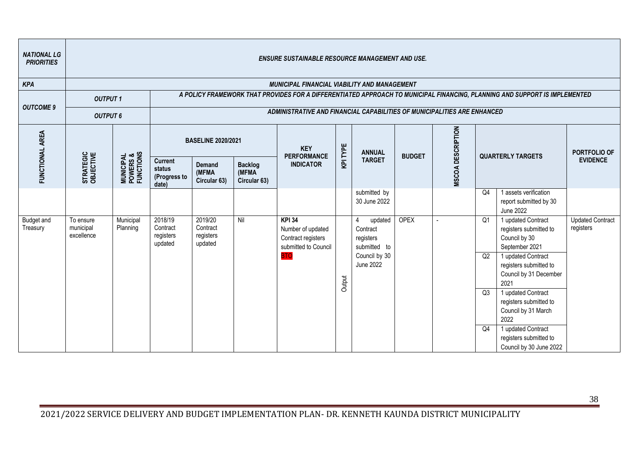| <b>NATIONAL LG</b><br><b>PRIORITIES</b> |                                      |                                                 |                                                   |                                                                                                                                                                                                                                      |                       | <b>ENSURE SUSTAINABLE RESOURCE MANAGEMENT AND USE.</b>                           |        |                                                                    |             |                |    |                                                                                                                            |                                      |  |
|-----------------------------------------|--------------------------------------|-------------------------------------------------|---------------------------------------------------|--------------------------------------------------------------------------------------------------------------------------------------------------------------------------------------------------------------------------------------|-----------------------|----------------------------------------------------------------------------------|--------|--------------------------------------------------------------------|-------------|----------------|----|----------------------------------------------------------------------------------------------------------------------------|--------------------------------------|--|
| <b>KPA</b>                              |                                      |                                                 |                                                   |                                                                                                                                                                                                                                      |                       | <b>MUNICIPAL FINANCIAL VIABILITY AND MANAGEMENT</b>                              |        |                                                                    |             |                |    |                                                                                                                            |                                      |  |
| <b>OUTCOME 9</b>                        | <b>OUTPUT1</b>                       |                                                 |                                                   |                                                                                                                                                                                                                                      |                       | ADMINISTRATIVE AND FINANCIAL CAPABILITIES OF MUNICIPALITIES ARE ENHANCED         |        |                                                                    |             |                |    | A POLICY FRAMEWORK THAT PROVIDES FOR A DIFFERENTIATED APPROACH TO MUNICIPAL FINANCING, PLANNING AND SUPPORT IS IMPLEMENTED |                                      |  |
|                                         | <b>OUTPUT 6</b>                      |                                                 |                                                   |                                                                                                                                                                                                                                      |                       |                                                                                  |        |                                                                    |             |                |    |                                                                                                                            |                                      |  |
| FUNCTIONAL AREA                         |                                      |                                                 |                                                   | MSCOA DESCRIPTION<br><b>BASELINE 2020/2021</b><br>KPI TYPE<br><b>KEY</b><br><b>ANNUAL</b><br><b>PERFORMANCE</b><br><b>BUDGET</b><br><b>QUARTERLY TARGETS</b><br><b>TARGET</b><br><b>INDICATOR</b><br><b>Demand</b><br><b>Backlog</b> |                       |                                                                                  |        |                                                                    |             |                |    |                                                                                                                            |                                      |  |
|                                         | STRATEGIC<br>OBJECTIVE               | <b>MUNICIPAL<br/>POWERS &amp;<br/>FUNCTIONS</b> | <b>Current</b><br>status<br>(Progress to<br>date) | (MFMA<br>Circular 63)                                                                                                                                                                                                                | (MFMA<br>Circular 63) |                                                                                  |        |                                                                    |             |                |    |                                                                                                                            | <b>EVIDENCE</b>                      |  |
|                                         |                                      |                                                 |                                                   |                                                                                                                                                                                                                                      |                       |                                                                                  |        | submitted by<br>30 June 2022                                       |             |                | Q4 | 1 assets verification<br>report submitted by 30<br><b>June 2022</b>                                                        |                                      |  |
| <b>Budget and</b><br>Treasury           | To ensure<br>municipal<br>excellence | Municipal<br>Planning                           | 2018/19<br>Contract<br>registers<br>updated       | 2019/20<br>Contract<br>registers<br>updated                                                                                                                                                                                          | Nil                   | <b>KPI 34</b><br>Number of updated<br>Contract registers<br>submitted to Council |        | $\overline{4}$<br>updated<br>Contract<br>registers<br>submitted to | <b>OPEX</b> | $\overline{a}$ | Q1 | 1 updated Contract<br>registers submitted to<br>Council by 30<br>September 2021                                            | <b>Updated Contract</b><br>registers |  |
|                                         |                                      |                                                 |                                                   |                                                                                                                                                                                                                                      |                       | <b>BTO</b>                                                                       | Output | Council by 30<br><b>June 2022</b>                                  |             |                | Q2 | 1 updated Contract<br>registers submitted to<br>Council by 31 December<br>2021                                             |                                      |  |
|                                         |                                      |                                                 |                                                   |                                                                                                                                                                                                                                      |                       |                                                                                  |        |                                                                    |             |                | Q3 | 1 updated Contract<br>registers submitted to<br>Council by 31 March<br>2022                                                |                                      |  |
|                                         |                                      |                                                 |                                                   |                                                                                                                                                                                                                                      |                       |                                                                                  |        |                                                                    |             |                | Q4 | 1 updated Contract<br>registers submitted to<br>Council by 30 June 2022                                                    |                                      |  |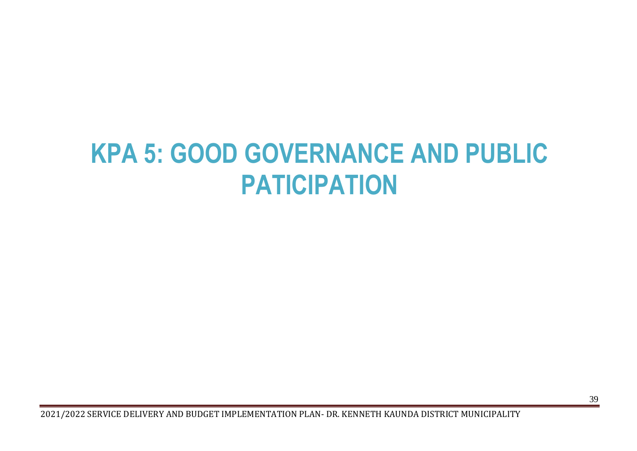# <span id="page-39-0"></span>**KPA 5: GOOD GOVERNANCE AND PUBLIC PATICIPATION**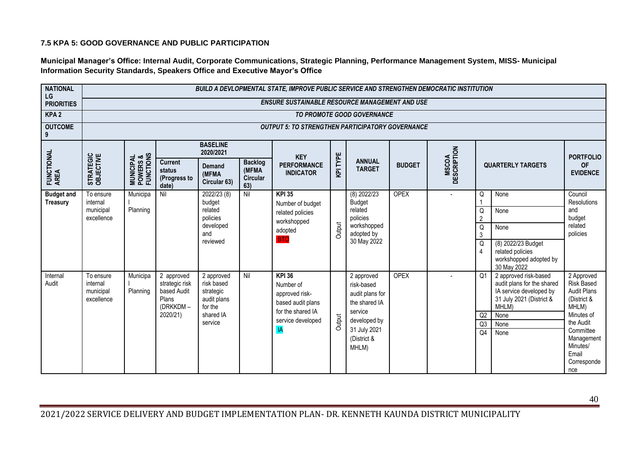#### **7.5 KPA 5: GOOD GOVERNANCE AND PUBLIC PARTICIPATION**

**Municipal Manager's Office: Internal Audit, Corporate Communications, Strategic Planning, Performance Management System, MISS- Municipal Information Security Standards, Speakers Office and Executive Mayor's Office**

| <b>NATIONAL</b><br>LG                |                                                  |                                                 |                                                                  |                                                                 |                                                   | BUILD A DEVLOPMENTAL STATE, IMPROVE PUBLIC SERVICE AND STRENGTHEN DEMOCRATIC INSTITUTION |          |                                                              |               |                             |                          |                                                                                                                     |                                                                                 |
|--------------------------------------|--------------------------------------------------|-------------------------------------------------|------------------------------------------------------------------|-----------------------------------------------------------------|---------------------------------------------------|------------------------------------------------------------------------------------------|----------|--------------------------------------------------------------|---------------|-----------------------------|--------------------------|---------------------------------------------------------------------------------------------------------------------|---------------------------------------------------------------------------------|
| <b>PRIORITIES</b>                    |                                                  |                                                 |                                                                  |                                                                 |                                                   | <b>ENSURE SUSTAINABLE RESOURCE MANAGEMENT AND USE</b>                                    |          |                                                              |               |                             |                          |                                                                                                                     |                                                                                 |
| KPA <sub>2</sub>                     |                                                  |                                                 |                                                                  |                                                                 |                                                   |                                                                                          |          | TO PROMOTE GOOD GOVERNANCE                                   |               |                             |                          |                                                                                                                     |                                                                                 |
| <b>OUTCOME</b><br>9                  |                                                  |                                                 |                                                                  |                                                                 |                                                   | <b>OUTPUT 5: TO STRENGTHEN PARTICIPATORY GOVERNANCE</b>                                  |          |                                                              |               |                             |                          |                                                                                                                     |                                                                                 |
|                                      |                                                  |                                                 |                                                                  | <b>BASELINE</b><br>2020/2021                                    |                                                   | <b>KEY</b>                                                                               |          |                                                              |               |                             |                          |                                                                                                                     | <b>PORTFOLIO</b>                                                                |
| FUNCTIONAL<br>AREA                   | STRATEGIC<br>OBJECTIVE                           | <b>MUNICIPAL<br/>POWERS &amp;<br/>FUNCTIONS</b> | <b>Current</b><br>status<br>(Progress to<br>date)                | <b>Demand</b><br>(MFMA<br>Circular 63)                          | <b>Backlog</b><br>(MFMA<br><b>Circular</b><br>63) | <b>PERFORMANCE</b><br><b>INDICATOR</b>                                                   | KPI TYPE | <b>ANNUAL</b><br><b>TARGET</b>                               | <b>BUDGET</b> | <b>MSCOA</b><br>DESCRIPTION |                          | <b>QUARTERLY TARGETS</b>                                                                                            | <b>OF</b><br><b>EVIDENCE</b>                                                    |
| <b>Budget and</b><br><b>Treasury</b> | To ensure<br>internal                            | Municipa                                        | Nil                                                              | 2022/23 (8)<br>budget                                           | Nil                                               | <b>KPI 35</b><br>Number of budget                                                        |          | $(8)$ 2022/23<br><b>Budget</b>                               | <b>OPEX</b>   |                             | Q                        | None                                                                                                                | Council<br><b>Resolutions</b>                                                   |
|                                      | municipal                                        | Planning                                        |                                                                  | related                                                         |                                                   | related policies                                                                         |          | related                                                      |               |                             | Q                        | None                                                                                                                | and                                                                             |
|                                      | excellence                                       |                                                 |                                                                  | policies<br>developed<br>and                                    |                                                   | workshopped<br>adopted                                                                   | Output   | policies<br>workshopped<br>adopted by                        |               |                             | $\overline{2}$<br>Q<br>3 | None                                                                                                                | budget<br>related<br>policies                                                   |
|                                      |                                                  |                                                 |                                                                  | reviewed                                                        |                                                   | <b>BTO</b>                                                                               |          | 30 May 2022                                                  |               |                             | Q<br>$\overline{4}$      | (8) 2022/23 Budget<br>related policies<br>workshopped adopted by<br>30 May 2022                                     |                                                                                 |
| Internal<br>Audit                    | To ensure<br>internal<br>municipal<br>excellence | Municipa<br>Planning                            | 2 approved<br>strategic risk<br>based Audit<br>Plans<br>(DRKKDM- | 2 approved<br>risk based<br>strategic<br>audit plans<br>for the | Nil                                               | <b>KPI 36</b><br>Number of<br>approved risk-<br>based audit plans                        |          | 2 approved<br>risk-based<br>audit plans for<br>the shared IA | <b>OPEX</b>   |                             | Q <sub>1</sub>           | 2 approved risk-based<br>audit plans for the shared<br>IA service developed by<br>31 July 2021 (District &<br>MHLM) | 2 Approved<br><b>Risk Based</b><br><b>Audit Plans</b><br>(District &<br>MHLM)   |
|                                      |                                                  |                                                 | 2020/21)                                                         | shared IA                                                       |                                                   | for the shared IA<br>service developed                                                   | Output   | service<br>developed by                                      |               |                             | Q2                       | None                                                                                                                | Minutes of                                                                      |
|                                      |                                                  |                                                 |                                                                  | service                                                         |                                                   | IA                                                                                       |          | 31 July 2021<br>(District &<br>MHLM)                         |               |                             | Q3<br>Q <sub>4</sub>     | None<br>None                                                                                                        | the Audit<br>Committee<br>Management<br>Minutes/<br>Email<br>Corresponde<br>nce |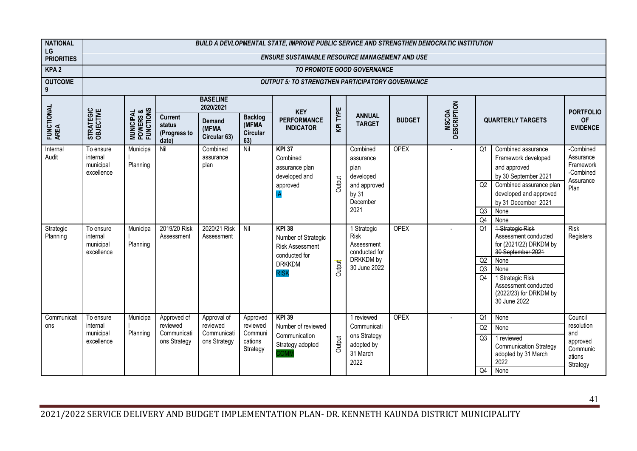| <b>NATIONAL</b><br>LG                      |                                                                                                      |                                                 |                                                        |                                                             |                                                        | BUILD A DEVLOPMENTAL STATE, IMPROVE PUBLIC SERVICE AND STRENGTHEN DEMOCRATIC INSTITUTION                                                                                                    |                  |                                                                                                                                                                            |                            |                             |                                                          |                                                                                                                                                                                                                                                                                                                                                                |                                                                                            |
|--------------------------------------------|------------------------------------------------------------------------------------------------------|-------------------------------------------------|--------------------------------------------------------|-------------------------------------------------------------|--------------------------------------------------------|---------------------------------------------------------------------------------------------------------------------------------------------------------------------------------------------|------------------|----------------------------------------------------------------------------------------------------------------------------------------------------------------------------|----------------------------|-----------------------------|----------------------------------------------------------|----------------------------------------------------------------------------------------------------------------------------------------------------------------------------------------------------------------------------------------------------------------------------------------------------------------------------------------------------------------|--------------------------------------------------------------------------------------------|
| <b>PRIORITIES</b>                          |                                                                                                      |                                                 |                                                        |                                                             |                                                        | <b>ENSURE SUSTAINABLE RESOURCE MANAGEMENT AND USE</b>                                                                                                                                       |                  |                                                                                                                                                                            |                            |                             |                                                          |                                                                                                                                                                                                                                                                                                                                                                |                                                                                            |
| KPA <sub>2</sub>                           |                                                                                                      |                                                 |                                                        |                                                             |                                                        |                                                                                                                                                                                             |                  | TO PROMOTE GOOD GOVERNANCE                                                                                                                                                 |                            |                             |                                                          |                                                                                                                                                                                                                                                                                                                                                                |                                                                                            |
| <b>OUTCOME</b><br>9                        |                                                                                                      |                                                 |                                                        |                                                             |                                                        | <b>OUTPUT 5: TO STRENGTHEN PARTICIPATORY GOVERNANCE</b>                                                                                                                                     |                  |                                                                                                                                                                            |                            |                             |                                                          |                                                                                                                                                                                                                                                                                                                                                                |                                                                                            |
|                                            |                                                                                                      |                                                 |                                                        | <b>BASELINE</b><br>2020/2021                                |                                                        | <b>KEY</b>                                                                                                                                                                                  |                  |                                                                                                                                                                            |                            |                             |                                                          |                                                                                                                                                                                                                                                                                                                                                                | <b>PORTFOLIO</b>                                                                           |
| FUNCTIONAL<br>AREA                         | STRATEGIC<br>OBJECTIVE                                                                               | <b>MUNICIPAL<br/>POWERS &amp;<br/>FUNCTIONS</b> | <b>Current</b><br>status<br>(Progress to<br>date)      | Demand<br>(MFMA<br>Circular 63)                             | <b>Backlog</b><br>(MFMA<br><b>Circular</b><br>63)      | <b>PERFORMANCE</b><br><b>INDICATOR</b>                                                                                                                                                      | KPITYPE          | <b>ANNUAL</b><br><b>TARGET</b>                                                                                                                                             | <b>BUDGET</b>              | <b>MSCOA</b><br>DESCRIPTION |                                                          | <b>QUARTERLY TARGETS</b>                                                                                                                                                                                                                                                                                                                                       | <b>OF</b><br><b>EVIDENCE</b>                                                               |
| Internal<br>Audit<br>Strategic<br>Planning | To ensure<br>internal<br>municipal<br>excellence<br>To ensure<br>internal<br>municipal<br>excellence | Municipa<br>Planning<br>Municipa<br>Planning    | Nil<br>2019/20 Risk<br>Assessment                      | Combined<br>assurance<br>plan<br>2020/21 Risk<br>Assessment | Nil<br>Nil                                             | <b>KPI 37</b><br>Combined<br>assurance plan<br>developed and<br>approved<br><b>KPI 38</b><br>Number of Strategic<br><b>Risk Assessment</b><br>conducted for<br><b>DRKKDM</b><br><b>RISK</b> | Output<br>Output | Combined<br>assurance<br>plan<br>developed<br>and approved<br>by 31<br>December<br>2021<br>1 Strategic<br>Risk<br>Assessment<br>conducted for<br>DRKKDM by<br>30 June 2022 | <b>OPEX</b><br><b>OPEX</b> | $\sim$                      | O <sub>1</sub><br>Q2<br>Q3<br>Q4<br>Q1<br>Q2<br>Q3<br>Q4 | Combined assurance<br>Framework developed<br>and approved<br>by 30 September 2021<br>Combined assurance plan<br>developed and approved<br>by 31 December 2021<br>None<br>None<br>1 Strategic Risk<br>Assessment conducted<br>for (2021/22) DRKDM by<br>30 September 2021<br>None<br>None<br>1 Strategic Risk<br>Assessment conducted<br>(2022/23) for DRKDM by | -Combined<br>Assurance<br>Framework<br>-Combined<br>Assurance<br>Plan<br>Risk<br>Registers |
| Communicati<br>ons                         | To ensure<br>internal<br>municipal<br>excellence                                                     | Municipa<br>Planning                            | Approved of<br>reviewed<br>Communicati<br>ons Strategy | Approval of<br>reviewed<br>Communicati<br>ons Strategy      | Approved<br>reviewed<br>Communi<br>cations<br>Strategy | <b>KPI 39</b><br>Number of reviewed<br>Communication<br>Strategy adopted                                                                                                                    | Output           | 1 reviewed<br>Communicati<br>ons Strategy<br>adopted by<br>31 March<br>2022                                                                                                | <b>OPEX</b>                |                             | Q1<br>Q2<br>Q3<br>Q4                                     | 30 June 2022<br>None<br>None<br>1 reviewed<br><b>Communication Strategy</b><br>adopted by 31 March<br>2022<br>None                                                                                                                                                                                                                                             | Council<br>resolution<br>and<br>approved<br>Communic<br>ations<br>Strategy                 |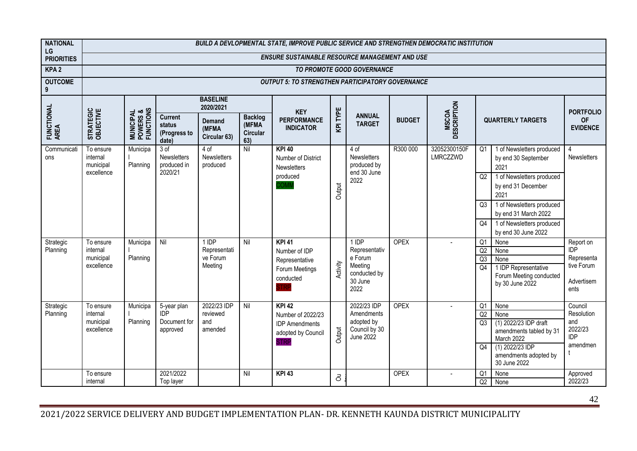| <b>NATIONAL</b><br>LG |                                    |                                                 |                                                   |                                        |                                                   | BUILD A DEVLOPMENTAL STATE, IMPROVE PUBLIC SERVICE AND STRENGTHEN DEMOCRATIC INSTITUTION |           |                                           |               |                             |                 |                                                          |                              |
|-----------------------|------------------------------------|-------------------------------------------------|---------------------------------------------------|----------------------------------------|---------------------------------------------------|------------------------------------------------------------------------------------------|-----------|-------------------------------------------|---------------|-----------------------------|-----------------|----------------------------------------------------------|------------------------------|
| <b>PRIORITIES</b>     |                                    |                                                 |                                                   |                                        |                                                   | <b>ENSURE SUSTAINABLE RESOURCE MANAGEMENT AND USE</b>                                    |           |                                           |               |                             |                 |                                                          |                              |
| KPA <sub>2</sub>      |                                    |                                                 |                                                   |                                        |                                                   |                                                                                          |           | TO PROMOTE GOOD GOVERNANCE                |               |                             |                 |                                                          |                              |
| <b>OUTCOME</b><br>9   |                                    |                                                 |                                                   |                                        |                                                   | <b>OUTPUT 5: TO STRENGTHEN PARTICIPATORY GOVERNANCE</b>                                  |           |                                           |               |                             |                 |                                                          |                              |
|                       |                                    |                                                 |                                                   | <b>BASELINE</b><br>2020/2021           |                                                   | <b>KEY</b>                                                                               |           |                                           |               |                             |                 |                                                          | <b>PORTFOLIO</b>             |
| FUNCTIONAL<br>AREA    | STRATEGIC<br>OBJECTIVE             | <b>MUNICIPAL<br/>POWERS &amp;<br/>FUNCTIONS</b> | <b>Current</b><br>status<br>(Progress to<br>date) | Demand<br>(MFMA<br>Circular 63)        | <b>Backlog</b><br>(MFMA<br><b>Circular</b><br>63) | <b>PERFORMANCE</b><br><b>INDICATOR</b>                                                   | KPITYPE   | <b>ANNUAL</b><br><b>TARGET</b>            | <b>BUDGET</b> | <b>MSCOA</b><br>DESCRIPTION |                 | <b>QUARTERLY TARGETS</b>                                 | <b>OF</b><br><b>EVIDENCE</b> |
| Communicati<br>ons    | To ensure<br>internal<br>municipal | Municipa<br>Planning                            | 3 of<br><b>Newsletters</b><br>produced in         | 4 of<br><b>Newsletters</b><br>produced | $\overline{N}$                                    | $KPI$ 40<br>Number of District<br><b>Newsletters</b>                                     |           | 4 of<br><b>Newsletters</b><br>produced by | R300 000      | 32052300150F<br>LMRCZZWD    | Q <sub>1</sub>  | 1 of Newsletters produced<br>by end 30 September<br>2021 | Newsletters                  |
|                       | excellence                         |                                                 | 2020/21                                           |                                        |                                                   | produced                                                                                 | Output    | end 30 June<br>2022                       |               |                             | Q2              | 1 of Newsletters produced<br>by end 31 December<br>2021  |                              |
|                       |                                    |                                                 |                                                   |                                        |                                                   |                                                                                          |           |                                           |               |                             | Q <sub>3</sub>  | 1 of Newsletters produced<br>by end 31 March 2022        |                              |
|                       |                                    |                                                 |                                                   |                                        |                                                   |                                                                                          |           |                                           |               |                             | $\overline{Q4}$ | 1 of Newsletters produced<br>by end 30 June 2022         |                              |
| Strategic<br>Planning | To ensure<br>internal              | Municipa                                        | Nil                                               | 1 IDP<br>Representati                  | Nil                                               | <b>KPI 41</b><br>Number of IDP                                                           |           | 1 IDP<br>Representativ                    | <b>OPEX</b>   |                             | Q1<br>Q2        | None<br>None                                             | Report on<br>IDP             |
|                       | municipal                          | Planning                                        |                                                   | ve Forum                               |                                                   | Representative                                                                           |           | e Forum                                   |               |                             | Q3              | None                                                     | Representa                   |
|                       | excellence                         |                                                 |                                                   | Meeting                                |                                                   | Forum Meetings                                                                           | Activity  | Meeting<br>conducted by                   |               |                             | Q <sub>4</sub>  | 1 IDP Representative                                     | tive Forum                   |
|                       |                                    |                                                 |                                                   |                                        |                                                   | conducted                                                                                |           | 30 June<br>2022                           |               |                             |                 | Forum Meeting conducted<br>by 30 June 2022               | Advertisem<br>ents           |
| Strategic             | To ensure                          | Municipa                                        | 5-year plan                                       | 2022/23 IDP                            | Nil                                               | <b>KPI 42</b>                                                                            |           | 2022/23 IDP                               | <b>OPEX</b>   |                             | Q1              | None                                                     | Council                      |
| Planning              | internal<br>municipal              | Planning                                        | <b>IDP</b><br>Document for                        | reviewed<br>and                        |                                                   | Number of 2022/23<br><b>IDP</b> Amendments                                               |           | Amendments<br>adopted by                  |               |                             | Q2<br>Q3        | None<br>(1) 2022/23 IDP draft                            | Resolution<br>and            |
|                       | excellence                         |                                                 | approved                                          | amended                                |                                                   | adopted by Council<br><b>STRP</b>                                                        | Output    | Council by 30<br>June 2022                |               |                             |                 | amendments tabled by 31<br>March 2022                    | 2022/23<br><b>IDP</b>        |
|                       |                                    |                                                 |                                                   |                                        |                                                   |                                                                                          |           |                                           |               |                             | Q <sub>4</sub>  | (1) 2022/23 IDP<br>amendments adopted by<br>30 June 2022 | amendmen                     |
|                       | To ensure                          |                                                 | 2021/2022                                         |                                        | $\overline{N}$                                    | <b>KPI 43</b>                                                                            | $\vec{c}$ |                                           | <b>OPEX</b>   |                             | Q <sub>1</sub>  | None                                                     | Approved                     |
|                       | internal                           |                                                 | Top layer                                         |                                        |                                                   |                                                                                          |           |                                           |               |                             | Q2              | None                                                     | 2022/23                      |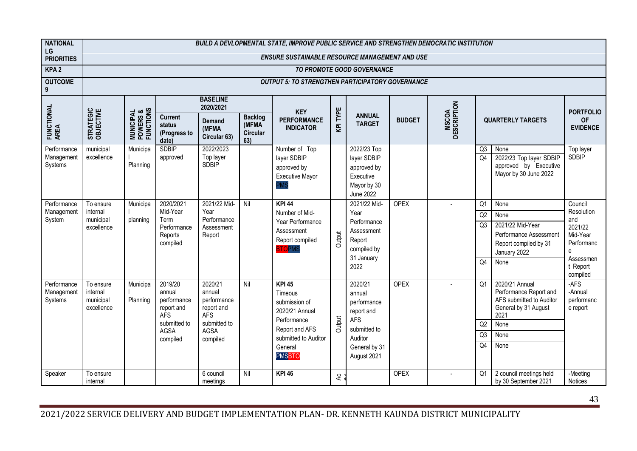| <b>NATIONAL</b>                      |                                                  |                                                 |                                                                                                         |                                                                                                         |                                            | BUILD A DEVLOPMENTAL STATE, IMPROVE PUBLIC SERVICE AND STRENGTHEN DEMOCRATIC INSTITUTION                                                    |                    |                                                                                                                         |               |                             |                                              |                                                                                                                              |                                                                                                             |
|--------------------------------------|--------------------------------------------------|-------------------------------------------------|---------------------------------------------------------------------------------------------------------|---------------------------------------------------------------------------------------------------------|--------------------------------------------|---------------------------------------------------------------------------------------------------------------------------------------------|--------------------|-------------------------------------------------------------------------------------------------------------------------|---------------|-----------------------------|----------------------------------------------|------------------------------------------------------------------------------------------------------------------------------|-------------------------------------------------------------------------------------------------------------|
| LG<br><b>PRIORITIES</b>              |                                                  |                                                 |                                                                                                         |                                                                                                         |                                            | <b>ENSURE SUSTAINABLE RESOURCE MANAGEMENT AND USE</b>                                                                                       |                    |                                                                                                                         |               |                             |                                              |                                                                                                                              |                                                                                                             |
| KPA <sub>2</sub>                     |                                                  |                                                 |                                                                                                         |                                                                                                         |                                            |                                                                                                                                             |                    | TO PROMOTE GOOD GOVERNANCE                                                                                              |               |                             |                                              |                                                                                                                              |                                                                                                             |
| <b>OUTCOME</b><br>9                  |                                                  |                                                 |                                                                                                         |                                                                                                         |                                            | <b>OUTPUT 5: TO STRENGTHEN PARTICIPATORY GOVERNANCE</b>                                                                                     |                    |                                                                                                                         |               |                             |                                              |                                                                                                                              |                                                                                                             |
|                                      |                                                  |                                                 |                                                                                                         | <b>BASELINE</b><br>2020/2021                                                                            |                                            | <b>KEY</b>                                                                                                                                  |                    |                                                                                                                         |               |                             |                                              |                                                                                                                              | <b>PORTFOLIO</b>                                                                                            |
| FUNCTIONAL<br>AREA                   | STRATEGIC<br>OBJECTIVE                           | <b>MUNICIPAL<br/>POWERS &amp;<br/>FUNCTIONS</b> | <b>Current</b><br>status<br>(Progress to<br>date)                                                       | <b>Demand</b><br>(MFMA<br>Circular 63)                                                                  | <b>Backlog</b><br>(MFMA<br>Circular<br>63) | <b>PERFORMANCE</b><br><b>INDICATOR</b>                                                                                                      | <b>KPITYPE</b>     | <b>ANNUAL</b><br><b>TARGET</b>                                                                                          | <b>BUDGET</b> | <b>MSCOA</b><br>DESCRIPTION |                                              | <b>QUARTERLY TARGETS</b>                                                                                                     | <b>OF</b><br><b>EVIDENCE</b>                                                                                |
| Performance<br>Management<br>Systems | municipal<br>excellence                          | Municipa<br>Planning                            | <b>SDBIP</b><br>approved                                                                                | 2022/2023<br>Top layer<br><b>SDBIP</b>                                                                  |                                            | Number of Top<br>layer SDBIP<br>approved by<br>Executive Mayor<br><b>PMS</b>                                                                |                    | 2022/23 Top<br>layer SDBIP<br>approved by<br>Executive<br>Mayor by 30<br><b>June 2022</b>                               |               |                             | Q <sub>3</sub><br>$\overline{04}$            | None<br>2022/23 Top layer SDBIP<br>approved by Executive<br>Mayor by 30 June 2022                                            | Top layer<br><b>SDBIP</b>                                                                                   |
| Performance<br>Management<br>System  | To ensure<br>internal<br>municipal<br>excellence | Municipa<br>planning                            | 2020/2021<br>Mid-Year<br>Term<br>Performance<br>Reports<br>compiled                                     | 2021/22 Mid-<br>Year<br>Performance<br>Assessment<br>Report                                             | Nil                                        | <b>KPI 44</b><br>Number of Mid-<br>Year Performance<br>Assessment<br>Report compiled<br><b>BTO</b> PMS                                      | Output             | 2021/22 Mid-<br>Year<br>Performance<br>Assessment<br>Report<br>compiled by<br>31 January<br>2022                        | <b>OPEX</b>   |                             | Q <sub>1</sub><br>Q2<br>Q3<br>Q <sub>4</sub> | None<br>None<br>2021/22 Mid-Year<br>Performance Assessment<br>Report compiled by 31<br>January 2022<br>None                  | Council<br>Resolution<br>and<br>2021/22<br>Mid-Year<br>Performanc<br>e<br>Assessmen<br>t Report<br>compiled |
| Performance<br>Management<br>Systems | To ensure<br>internal<br>municipal<br>excellence | Municipa<br>Planning                            | 2019/20<br>annual<br>performance<br>report and<br><b>AFS</b><br>submitted to<br><b>AGSA</b><br>compiled | 2020/21<br>annual<br>performance<br>report and<br><b>AFS</b><br>submitted to<br><b>AGSA</b><br>compiled | Nil                                        | $KPI$ 45<br>Timeous<br>submission of<br>2020/21 Annual<br>Performance<br>Report and AFS<br>submitted to Auditor<br>General<br><b>PMSBTO</b> | Output             | 2020/21<br>annual<br>performance<br>report and<br><b>AFS</b><br>submitted to<br>Auditor<br>General by 31<br>August 2021 | <b>OPEX</b>   |                             | Q <sub>1</sub><br>Q2<br>Q3<br>Q4             | 2020/21 Annual<br>Performance Report and<br>AFS submitted to Auditor<br>General by 31 August<br>2021<br>None<br>None<br>None | -AFS<br>-Annual<br>performanc<br>e report                                                                   |
| Speaker                              | To ensure<br>internal                            |                                                 |                                                                                                         | 6 council<br>meetings                                                                                   | Nil                                        | <b>KPI 46</b>                                                                                                                               | $rac{c}{\sqrt{2}}$ |                                                                                                                         | <b>OPEX</b>   |                             | Q <sub>1</sub>                               | 2 council meetings held<br>by 30 September 2021                                                                              | -Meeting<br>Notices                                                                                         |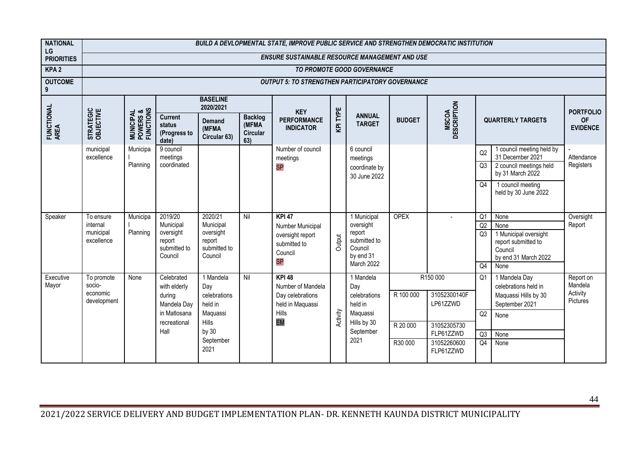| <b>NATIONAL</b><br>LG |                                                  |                                                 |                                                                                             |                                                                                                |                                                   | BUILD A DEVLOPMENTAL STATE, IMPROVE PUBLIC SERVICE AND STRENGTHEN DEMOCRATIC INSTITUTION         |          |                                                                                             |                                  |                                                                                              |                                              |                                                                                                         |                                              |
|-----------------------|--------------------------------------------------|-------------------------------------------------|---------------------------------------------------------------------------------------------|------------------------------------------------------------------------------------------------|---------------------------------------------------|--------------------------------------------------------------------------------------------------|----------|---------------------------------------------------------------------------------------------|----------------------------------|----------------------------------------------------------------------------------------------|----------------------------------------------|---------------------------------------------------------------------------------------------------------|----------------------------------------------|
| <b>PRIORITIES</b>     |                                                  |                                                 |                                                                                             |                                                                                                |                                                   | <b>ENSURE SUSTAINABLE RESOURCE MANAGEMENT AND USE</b>                                            |          |                                                                                             |                                  |                                                                                              |                                              |                                                                                                         |                                              |
| KPA <sub>2</sub>      |                                                  |                                                 |                                                                                             |                                                                                                |                                                   |                                                                                                  |          | TO PROMOTE GOOD GOVERNANCE                                                                  |                                  |                                                                                              |                                              |                                                                                                         |                                              |
| <b>OUTCOME</b><br>9   |                                                  |                                                 |                                                                                             |                                                                                                |                                                   | <b>OUTPUT 5: TO STRENGTHEN PARTICIPATORY GOVERNANCE</b>                                          |          |                                                                                             |                                  |                                                                                              |                                              |                                                                                                         |                                              |
|                       |                                                  |                                                 |                                                                                             | <b>BASELINE</b><br>2020/2021                                                                   |                                                   | <b>KEY</b>                                                                                       |          |                                                                                             |                                  |                                                                                              |                                              |                                                                                                         | <b>PORTFOLIO</b>                             |
| FUNCTIONAL<br>AREA    | STRATEGIC<br>OBJECTIVE                           | <b>MUNICIPAL<br/>POWERS &amp;<br/>FUNCTIONS</b> | <b>Current</b><br>status<br>(Progress to<br>date)                                           | <b>Demand</b><br>(MFMA<br>Circular 63)                                                         | <b>Backlog</b><br>(MFMA<br><b>Circular</b><br>63) | <b>PERFORMANCE</b><br><b>INDICATOR</b>                                                           | KPITYPE  | <b>ANNUAL</b><br><b>TARGET</b>                                                              | <b>BUDGET</b>                    | <b>MSCOA</b><br>DESCRIPTION                                                                  |                                              | <b>QUARTERLY TARGETS</b>                                                                                | <b>OF</b><br><b>EVIDENCE</b>                 |
|                       | municipal<br>excellence                          | Municipa                                        | 9 council<br>meetings                                                                       |                                                                                                |                                                   | Number of council<br>meetings                                                                    |          | 6 council<br>meetings                                                                       |                                  |                                                                                              | Q2                                           | 1 council meeting held by<br>31 December 2021                                                           | Attendance                                   |
|                       |                                                  | Planning                                        | coordinated                                                                                 |                                                                                                |                                                   | <b>SP</b>                                                                                        |          | coordinate by<br>30 June 2022                                                               |                                  |                                                                                              | Q <sub>3</sub>                               | 2 council meetings held<br>by 31 March 2022                                                             | Registers                                    |
|                       |                                                  |                                                 |                                                                                             |                                                                                                |                                                   |                                                                                                  |          |                                                                                             |                                  |                                                                                              | Q4                                           | 1 council meeting<br>held by 30 June 2022                                                               |                                              |
| Speaker               | To ensure<br>internal<br>municipal<br>excellence | Municipa<br>Planning                            | 2019/20<br>Municipal<br>oversight<br>report<br>submitted to<br>Council                      | 2020/21<br>Municipal<br>oversight<br>report<br>submitted to<br>Council                         | Nil                                               | <b>KPI 47</b><br>Number Municipal<br>oversight report<br>submitted to<br>Council<br><b>SP</b>    | Output   | 1 Municipal<br>oversight<br>report<br>submitted to<br>Council<br>by end 31<br>March 2022    | <b>OPEX</b>                      |                                                                                              | Q1<br>Q2<br>Q3<br>Q4                         | None<br>None<br>1 Municipal oversight<br>report submitted to<br>Council<br>by end 31 March 2022<br>None | Oversight<br>Report                          |
| Executive<br>Mayor    | To promote<br>socio-<br>economic<br>development  | None                                            | Celebrated<br>with elderly<br>during<br>Mandela Day<br>in Matlosana<br>recreational<br>Hall | 1 Mandela<br>Day<br>celebrations<br>held in<br>Maquassi<br>Hills<br>by 30<br>September<br>2021 | Nil                                               | <b>KPI 48</b><br>Number of Mandela<br>Day celebrations<br>held in Maquassi<br>Hills<br><b>EM</b> | Activity | 1 Mandela<br>Day<br>celebrations<br>held in<br>Maquassi<br>Hills by 30<br>September<br>2021 | R 100 000<br>R 20 000<br>R30 000 | R150 000<br>31052300140F<br>LP61ZZWD<br>31052305730<br>FLP61ZZWD<br>31052260600<br>FLP61ZZWD | Q <sub>1</sub><br>Q2<br>Q3<br>Q <sub>4</sub> | 1 Mandela Day<br>celebrations held in<br>Maquassi Hills by 30<br>September 2021<br>None<br>None<br>None | Report on<br>Mandela<br>Activity<br>Pictures |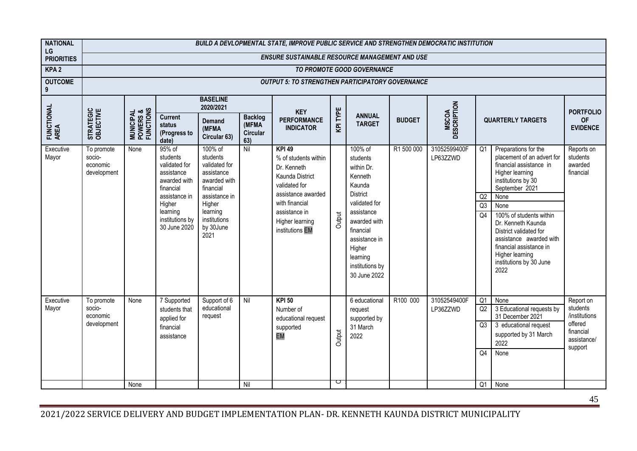| <b>NATIONAL</b><br>LG |                                                 |                                                 |                                                                                                                                                          |                                                                                                                                                             |                                            | BUILD A DEVLOPMENTAL STATE, IMPROVE PUBLIC SERVICE AND STRENGTHEN DEMOCRATIC INSTITUTION                                                                                                |             |                                                                                                                                                                                                                 |               |                             |                                              |                                                                                                                                                                                                                                                                                                                                                 |                                                                                          |
|-----------------------|-------------------------------------------------|-------------------------------------------------|----------------------------------------------------------------------------------------------------------------------------------------------------------|-------------------------------------------------------------------------------------------------------------------------------------------------------------|--------------------------------------------|-----------------------------------------------------------------------------------------------------------------------------------------------------------------------------------------|-------------|-----------------------------------------------------------------------------------------------------------------------------------------------------------------------------------------------------------------|---------------|-----------------------------|----------------------------------------------|-------------------------------------------------------------------------------------------------------------------------------------------------------------------------------------------------------------------------------------------------------------------------------------------------------------------------------------------------|------------------------------------------------------------------------------------------|
| <b>PRIORITIES</b>     |                                                 |                                                 |                                                                                                                                                          |                                                                                                                                                             |                                            | <b>ENSURE SUSTAINABLE RESOURCE MANAGEMENT AND USE</b>                                                                                                                                   |             |                                                                                                                                                                                                                 |               |                             |                                              |                                                                                                                                                                                                                                                                                                                                                 |                                                                                          |
| KPA <sub>2</sub>      |                                                 |                                                 |                                                                                                                                                          |                                                                                                                                                             |                                            |                                                                                                                                                                                         |             | TO PROMOTE GOOD GOVERNANCE                                                                                                                                                                                      |               |                             |                                              |                                                                                                                                                                                                                                                                                                                                                 |                                                                                          |
| <b>OUTCOME</b><br>9   |                                                 |                                                 |                                                                                                                                                          |                                                                                                                                                             |                                            | <b>OUTPUT 5: TO STRENGTHEN PARTICIPATORY GOVERNANCE</b>                                                                                                                                 |             |                                                                                                                                                                                                                 |               |                             |                                              |                                                                                                                                                                                                                                                                                                                                                 |                                                                                          |
|                       |                                                 |                                                 |                                                                                                                                                          | <b>BASELINE</b><br>2020/2021                                                                                                                                |                                            | <b>KEY</b>                                                                                                                                                                              |             |                                                                                                                                                                                                                 |               |                             |                                              |                                                                                                                                                                                                                                                                                                                                                 | <b>PORTFOLIO</b>                                                                         |
| FUNCTIONAL<br>AREA    | STRATEGIC<br>OBJECTIVE                          | <b>MUNICIPAL<br/>POWERS &amp;<br/>FUNCTIONS</b> | <b>Current</b><br>status<br>(Progress to<br>date)                                                                                                        | <b>Demand</b><br>(MFMA<br>Circular 63)                                                                                                                      | <b>Backlog</b><br>(MFMA<br>Circular<br>63) | <b>PERFORMANCE</b><br><b>INDICATOR</b>                                                                                                                                                  | KPITYPE     | <b>ANNUAL</b><br><b>TARGET</b>                                                                                                                                                                                  | <b>BUDGET</b> | <b>MSCOA</b><br>DESCRIPTION |                                              | <b>QUARTERLY TARGETS</b>                                                                                                                                                                                                                                                                                                                        | <b>OF</b><br><b>EVIDENCE</b>                                                             |
| Executive<br>Mayor    | To promote<br>socio-<br>economic<br>development | None                                            | 95% of<br>students<br>validated for<br>assistance<br>awarded with<br>financial<br>assistance in<br>Higher<br>learning<br>institutions by<br>30 June 2020 | 100% of<br>students<br>validated for<br>assistance<br>awarded with<br>financial<br>assistance in<br>Higher<br>learning<br>institutions<br>by 30June<br>2021 | Nil                                        | <b>KPI 49</b><br>% of students within<br>Dr. Kenneth<br>Kaunda District<br>validated for<br>assistance awarded<br>with financial<br>assistance in<br>Higher learning<br>institutions EM | Output      | 100% of<br>students<br>within Dr.<br>Kenneth<br>Kaunda<br><b>District</b><br>validated for<br>assistance<br>awarded with<br>financial<br>assistance in<br>Higher<br>learning<br>institutions by<br>30 June 2022 | R1 500 000    | 31052599400F<br>LP63ZZWD    | Q <sub>1</sub><br>Q2<br>Q3<br>Q <sub>4</sub> | Preparations for the<br>placement of an advert for<br>financial assistance in<br>Higher learning<br>institutions by 30<br>September 2021<br>None<br>None<br>100% of students within<br>Dr. Kenneth Kaunda<br>District validated for<br>assistance awarded with<br>financial assistance in<br>Higher learning<br>institutions by 30 June<br>2022 | Reports on<br>students<br>awarded<br>financial                                           |
| Executive<br>Mayor    | To promote<br>socio-<br>economic<br>development | None                                            | 7 Supported<br>students that<br>applied for<br>financial<br>assistance                                                                                   | Support of 6<br>educational<br>request                                                                                                                      | Nil                                        | <b>KPI 50</b><br>Number of<br>educational request<br>supported<br>EM                                                                                                                    | Output<br>Ō | 6 educational<br>request<br>supported by<br>31 March<br>2022                                                                                                                                                    | R100 000      | 31052549400F<br>LP36ZZWD    | Q1<br>Q2<br>Q <sub>3</sub><br>Q4             | None<br>3 Educational requests by<br>31 December 2021<br>3 educational request<br>supported by 31 March<br>2022<br>None                                                                                                                                                                                                                         | Report on<br>students<br>/institutions<br>offered<br>financial<br>assistance/<br>support |
|                       |                                                 | None                                            |                                                                                                                                                          |                                                                                                                                                             | Nil                                        |                                                                                                                                                                                         |             |                                                                                                                                                                                                                 |               |                             | Q <sub>1</sub>                               | None                                                                                                                                                                                                                                                                                                                                            |                                                                                          |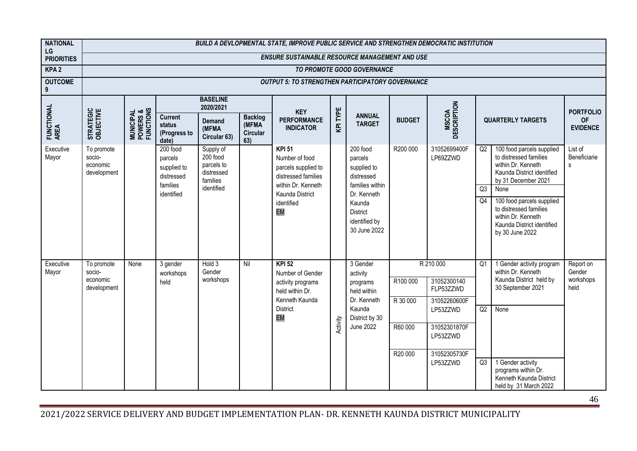| <b>NATIONAL</b><br>LG | BUILD A DEVLOPMENTAL STATE, IMPROVE PUBLIC SERVICE AND STRENGTHEN DEMOCRATIC INSTITUTION<br><b>ENSURE SUSTAINABLE RESOURCE MANAGEMENT AND USE</b> |                                                 |                                                   |                                                               |                                            |                                                                               |                |                                                            |                      |                                          |    |                                                                                                                                |                              |
|-----------------------|---------------------------------------------------------------------------------------------------------------------------------------------------|-------------------------------------------------|---------------------------------------------------|---------------------------------------------------------------|--------------------------------------------|-------------------------------------------------------------------------------|----------------|------------------------------------------------------------|----------------------|------------------------------------------|----|--------------------------------------------------------------------------------------------------------------------------------|------------------------------|
| <b>PRIORITIES</b>     |                                                                                                                                                   |                                                 |                                                   |                                                               |                                            |                                                                               |                |                                                            |                      |                                          |    |                                                                                                                                |                              |
| KPA <sub>2</sub>      |                                                                                                                                                   |                                                 |                                                   |                                                               |                                            |                                                                               |                | TO PROMOTE GOOD GOVERNANCE                                 |                      |                                          |    |                                                                                                                                |                              |
| <b>OUTCOME</b><br>9   |                                                                                                                                                   |                                                 |                                                   |                                                               |                                            | <b>OUTPUT 5: TO STRENGTHEN PARTICIPATORY GOVERNANCE</b>                       |                |                                                            |                      |                                          |    |                                                                                                                                |                              |
|                       |                                                                                                                                                   |                                                 |                                                   | <b>BASELINE</b><br>2020/2021                                  |                                            | <b>KEY</b>                                                                    |                |                                                            |                      |                                          |    |                                                                                                                                | <b>PORTFOLIO</b>             |
| FUNCTIONAL<br>AREA    | STRATEGIC<br>OBJECTIVE                                                                                                                            | <b>MUNICIPAL<br/>POWERS &amp;<br/>FUNCTIONS</b> | <b>Current</b><br>status<br>(Progress to<br>date) | Demand<br>(MFMA<br>Circular 63)                               | <b>Backlog</b><br>(MFMA<br>Circular<br>63) | <b>PERFORMANCE</b><br><b>INDICATOR</b>                                        | <b>KPITYPE</b> | <b>ANNUAL</b><br><b>TARGET</b>                             | <b>BUDGET</b>        | <b>MSCOA</b><br>DESCRIPTION              |    | <b>QUARTERLY TARGETS</b>                                                                                                       | <b>OF</b><br><b>EVIDENCE</b> |
| Executive<br>Mayor    | To promote<br>socio-<br>economic<br>development                                                                                                   |                                                 | 200 food<br>parcels<br>supplied to<br>distressed  | Supply of<br>200 food<br>parcels to<br>distressed<br>families |                                            | <b>KPI 51</b><br>Number of food<br>parcels supplied to<br>distressed families |                | 200 food<br>parcels<br>supplied to<br>distressed           | R200 000             | 31052699400F<br>LP69ZZWD                 | Q2 | 100 food parcels supplied<br>to distressed families<br>within Dr. Kenneth<br>Kaunda District identified<br>by 31 December 2021 | List of<br>Beneficiarie<br>s |
|                       |                                                                                                                                                   |                                                 | families<br>identified                            | identified                                                    |                                            | within Dr. Kenneth<br>Kaunda District                                         |                | families within<br>Dr. Kenneth                             |                      |                                          | Q3 | None                                                                                                                           |                              |
|                       |                                                                                                                                                   |                                                 |                                                   |                                                               |                                            | identified<br>EM                                                              |                | Kaunda<br><b>District</b><br>identified by<br>30 June 2022 |                      |                                          | Q4 | 100 food parcels supplied<br>to distressed families<br>within Dr. Kenneth<br>Kaunda District identified<br>by 30 June 2022     |                              |
| Executive<br>Mayor    | To promote<br>socio-                                                                                                                              | None                                            | 3 gender<br>workshops                             | Hold 3<br>Gender                                              | Nil                                        | <b>KPI 52</b><br>Number of Gender                                             |                | 3 Gender<br>activity                                       |                      | R 210 000                                | Q1 | 1 Gender activity program<br>within Dr. Kenneth                                                                                | Report on<br>Gender          |
|                       | economic<br>development                                                                                                                           |                                                 | held                                              | workshops                                                     |                                            | activity programs<br>held within Dr.<br>Kenneth Kaunda                        |                | programs<br>held within<br>Dr. Kenneth                     | R100 000<br>R 30 000 | 31052300140<br>FLP53ZZWD<br>31052260600F |    | Kaunda District held by<br>30 September 2021                                                                                   | workshops<br>held            |
|                       |                                                                                                                                                   |                                                 |                                                   |                                                               |                                            | <b>District</b><br>EM                                                         |                | Kaunda<br>District by 30                                   |                      | LP53ZZWD                                 | Q2 | None                                                                                                                           |                              |
|                       |                                                                                                                                                   |                                                 |                                                   |                                                               |                                            |                                                                               | Activity       | <b>June 2022</b>                                           | R60 000              | 31052301870F<br>LP53ZZWD                 |    |                                                                                                                                |                              |
|                       |                                                                                                                                                   |                                                 |                                                   |                                                               |                                            |                                                                               |                |                                                            | R20 000              | 31052305730F<br>LP53ZZWD                 | Q3 | 1 Gender activity                                                                                                              |                              |
|                       |                                                                                                                                                   |                                                 |                                                   |                                                               |                                            |                                                                               |                |                                                            |                      |                                          |    | programs within Dr.<br>Kenneth Kaunda District<br>held by 31 March 2022                                                        |                              |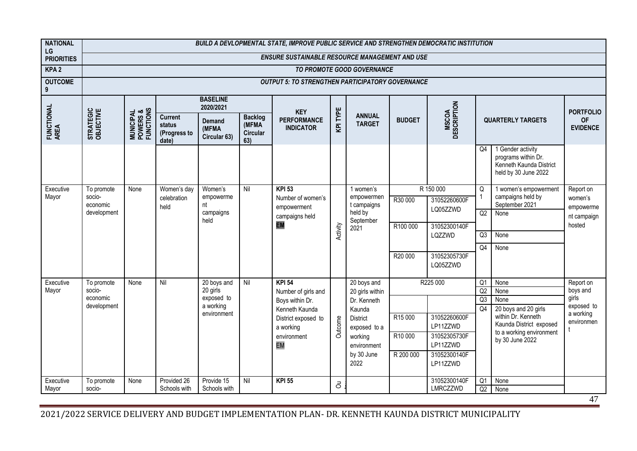| <b>NATIONAL</b><br>LG | BUILD A DEVLOPMENTAL STATE, IMPROVE PUBLIC SERVICE AND STRENGTHEN DEMOCRATIC INSTITUTION |                                                 |                                                   |                                        |                                                   |                                                         |           |                                        |               |                             |                 |                                                                                             |                              |
|-----------------------|------------------------------------------------------------------------------------------|-------------------------------------------------|---------------------------------------------------|----------------------------------------|---------------------------------------------------|---------------------------------------------------------|-----------|----------------------------------------|---------------|-----------------------------|-----------------|---------------------------------------------------------------------------------------------|------------------------------|
| <b>PRIORITIES</b>     |                                                                                          |                                                 |                                                   |                                        |                                                   | <b>ENSURE SUSTAINABLE RESOURCE MANAGEMENT AND USE</b>   |           |                                        |               |                             |                 |                                                                                             |                              |
| KPA <sub>2</sub>      |                                                                                          |                                                 |                                                   |                                        |                                                   |                                                         |           | TO PROMOTE GOOD GOVERNANCE             |               |                             |                 |                                                                                             |                              |
| <b>OUTCOME</b><br>9   |                                                                                          |                                                 |                                                   |                                        |                                                   | <b>OUTPUT 5: TO STRENGTHEN PARTICIPATORY GOVERNANCE</b> |           |                                        |               |                             |                 |                                                                                             |                              |
|                       |                                                                                          |                                                 |                                                   | <b>BASELINE</b><br>2020/2021           |                                                   | <b>KEY</b>                                              |           |                                        |               |                             |                 |                                                                                             | <b>PORTFOLIO</b>             |
| FUNCTIONAL<br>AREA    | STRATEGIC<br>OBJECTIVE                                                                   | <b>MUNICIPAL<br/>POWERS &amp;<br/>FUNCTIONS</b> | <b>Current</b><br>status<br>(Progress to<br>date) | <b>Demand</b><br>(MFMA<br>Circular 63) | <b>Backlog</b><br>(MFMA<br><b>Circular</b><br>63) | <b>PERFORMANCE</b><br><b>INDICATOR</b>                  | KPITYPE   | <b>ANNUAL</b><br><b>TARGET</b>         | <b>BUDGET</b> | <b>MSCOA</b><br>DESCRIPTION |                 | <b>QUARTERLY TARGETS</b>                                                                    | <b>OF</b><br><b>EVIDENCE</b> |
|                       |                                                                                          |                                                 |                                                   |                                        |                                                   |                                                         |           |                                        |               |                             | Q <sub>4</sub>  | 1 Gender activity<br>programs within Dr.<br>Kenneth Kaunda District<br>held by 30 June 2022 |                              |
| Executive<br>Mayor    | To promote<br>socio-<br>economic                                                         | None                                            | Women's day<br>celebration                        | Women's<br>empowerme<br>nt             | Nil                                               | <b>KPI 53</b><br>Number of women's                      |           | 1 women's<br>empowermen<br>t campaigns | R30 000       | R 150 000<br>31052260600F   | Q               | 1 women's empowerment<br>campaigns held by<br>September 2021                                | Report on<br>women's         |
|                       | development                                                                              |                                                 | held                                              | campaigns                              |                                                   | empowerment<br>campaigns held                           |           | held by                                |               | LQ05ZZWD                    | Q2              | None                                                                                        | empowerme<br>nt campaign     |
|                       |                                                                                          |                                                 |                                                   | held                                   |                                                   | EM                                                      |           | September<br>2021                      | R100 000      | 31052300140F                |                 |                                                                                             | hosted                       |
|                       |                                                                                          |                                                 |                                                   |                                        |                                                   |                                                         | Activity  |                                        |               | LQZZWD                      | Q3              | None                                                                                        |                              |
|                       |                                                                                          |                                                 |                                                   |                                        |                                                   |                                                         |           |                                        |               |                             | Q4              | None                                                                                        |                              |
|                       |                                                                                          |                                                 |                                                   |                                        |                                                   |                                                         |           |                                        | R20 000       | 31052305730F<br>LQ05ZZWD    |                 |                                                                                             |                              |
|                       |                                                                                          | None                                            | Nil                                               |                                        | Nil                                               | <b>KPI 54</b>                                           |           | 20 boys and                            |               | R225 000                    | Q1              | None                                                                                        |                              |
| Executive<br>Mayor    | To promote<br>socio-                                                                     |                                                 |                                                   | 20 boys and<br>20 girls                |                                                   | Number of girls and                                     |           | 20 girls within                        |               |                             | Q2              | None                                                                                        | Report on<br>boys and        |
|                       | economic                                                                                 |                                                 |                                                   | exposed to                             |                                                   | Boys within Dr.                                         |           | Dr. Kenneth                            |               |                             | Q3              | None                                                                                        | girls                        |
|                       | development                                                                              |                                                 |                                                   | a working<br>environment               |                                                   | Kenneth Kaunda                                          |           | Kaunda                                 |               |                             | Q4              | 20 boys and 20 girls                                                                        | exposed to<br>a working      |
|                       |                                                                                          |                                                 |                                                   |                                        |                                                   | District exposed to<br>a working                        | Outcome   | <b>District</b>                        | R15 000       | 31052260600F<br>LP11ZZWD    |                 | within Dr. Kenneth<br>Kaunda District exposed                                               | environmen                   |
|                       |                                                                                          |                                                 |                                                   |                                        |                                                   | environment                                             |           | exposed to a<br>working                | R10 000       | 31052305730F                |                 | to a working environment                                                                    |                              |
|                       |                                                                                          |                                                 |                                                   |                                        |                                                   | EM                                                      |           | environment                            |               | LP11ZZWD                    |                 | by 30 June 2022                                                                             |                              |
|                       |                                                                                          |                                                 |                                                   |                                        |                                                   |                                                         |           | by 30 June                             | R 200 000     | 31052300140F                |                 |                                                                                             |                              |
|                       |                                                                                          |                                                 |                                                   |                                        |                                                   |                                                         |           | 2022                                   |               | LP11ZZWD                    |                 |                                                                                             |                              |
| Executive             | To promote                                                                               | None                                            | Provided 26                                       | Provide 15                             | Nil                                               | <b>KPI 55</b>                                           | $\vec{0}$ |                                        |               | 31052300140F                | $\overline{Q1}$ | None                                                                                        |                              |
| Mayor                 | socio-                                                                                   |                                                 | Schools with                                      | Schools with                           |                                                   |                                                         |           |                                        |               | LMRCZZWD                    | Q2              | None                                                                                        |                              |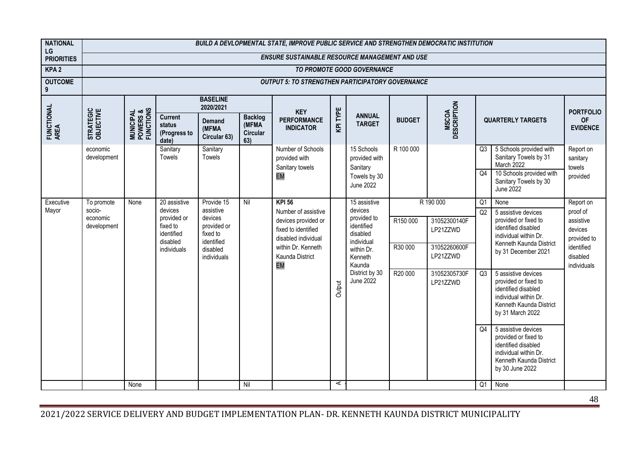| <b>NATIONAL</b>         | BUILD A DEVLOPMENTAL STATE, IMPROVE PUBLIC SERVICE AND STRENGTHEN DEMOCRATIC INSTITUTION |                                                 |                                                   |                                        |                                            |                                                                                          |         |                                               |               |                             |                 |                                                                                                                                            |                                                 |
|-------------------------|------------------------------------------------------------------------------------------|-------------------------------------------------|---------------------------------------------------|----------------------------------------|--------------------------------------------|------------------------------------------------------------------------------------------|---------|-----------------------------------------------|---------------|-----------------------------|-----------------|--------------------------------------------------------------------------------------------------------------------------------------------|-------------------------------------------------|
| LG<br><b>PRIORITIES</b> |                                                                                          |                                                 |                                                   |                                        |                                            | <b>ENSURE SUSTAINABLE RESOURCE MANAGEMENT AND USE</b>                                    |         |                                               |               |                             |                 |                                                                                                                                            |                                                 |
| KPA <sub>2</sub>        |                                                                                          |                                                 |                                                   |                                        |                                            |                                                                                          |         | TO PROMOTE GOOD GOVERNANCE                    |               |                             |                 |                                                                                                                                            |                                                 |
| <b>OUTCOME</b><br>9     |                                                                                          |                                                 |                                                   |                                        |                                            | <b>OUTPUT 5: TO STRENGTHEN PARTICIPATORY GOVERNANCE</b>                                  |         |                                               |               |                             |                 |                                                                                                                                            |                                                 |
|                         |                                                                                          |                                                 |                                                   | <b>BASELINE</b><br>2020/2021           |                                            | <b>KEY</b>                                                                               |         |                                               |               |                             |                 |                                                                                                                                            | <b>PORTFOLIO</b>                                |
| FUNCTIONAL<br>AREA      | STRATEGIC<br>OBJECTIVE                                                                   | <b>MUNICIPAL<br/>POWERS &amp;<br/>FUNCTIONS</b> | <b>Current</b><br>status<br>(Progress to<br>date) | <b>Demand</b><br>(MFMA<br>Circular 63) | <b>Backlog</b><br>(MFMA<br>Circular<br>63) | <b>PERFORMANCE</b><br><b>INDICATOR</b>                                                   | KPITYPE | <b>ANNUAL</b><br><b>TARGET</b>                | <b>BUDGET</b> | <b>MSCOA</b><br>DESCRIPTION |                 | <b>QUARTERLY TARGETS</b>                                                                                                                   | <b>OF</b><br><b>EVIDENCE</b>                    |
|                         | economic<br>development                                                                  |                                                 | Sanitary<br>Towels                                | Sanitary<br>Towels                     |                                            | Number of Schools<br>provided with<br>Sanitary towels                                    |         | 15 Schools<br>provided with<br>Sanitary       | R 100 000     |                             | Q <sub>3</sub>  | 5 Schools provided with<br>Sanitary Towels by 31<br>March 2022                                                                             | Report on<br>sanitary<br>towels                 |
|                         |                                                                                          |                                                 |                                                   |                                        |                                            | EM                                                                                       |         | Towels by 30<br><b>June 2022</b>              |               |                             | Q <sub>4</sub>  | 10 Schools provided with<br>Sanitary Towels by 30<br>June 2022                                                                             | provided                                        |
| Executive<br>Mayor      | To promote<br>socio-                                                                     | None                                            | 20 assistive<br>devices                           | Provide 15<br>assistive                | Nil                                        | <b>KPI 56</b>                                                                            |         | 15 assistive<br>devices                       |               | R 190 000                   | $\overline{Q1}$ | None                                                                                                                                       | Report on                                       |
|                         | economic<br>development                                                                  |                                                 | provided or<br>fixed to<br>identified             | devices<br>provided or<br>fixed to     |                                            | Number of assistive<br>devices provided or<br>fixed to identified<br>disabled individual |         | provided to<br>identified<br>disabled         | R150 000      | 31052300140F<br>LP21ZZWD    | Q2              | 5 assistive devices<br>provided or fixed to<br>identified disabled<br>individual within Dr.                                                | proof of<br>assistive<br>devices<br>provided to |
|                         |                                                                                          |                                                 | disabled<br>individuals                           | identified<br>disabled<br>individuals  |                                            | within Dr. Kenneth<br>Kaunda District<br>EM                                              |         | individual<br>within Dr.<br>Kenneth<br>Kaunda | R30 000       | 31052260600F<br>LP21ZZWD    |                 | Kenneth Kaunda District<br>by 31 December 2021                                                                                             | identified<br>disabled<br>individuals           |
|                         |                                                                                          |                                                 |                                                   |                                        |                                            |                                                                                          | Output  | District by 30<br>June 2022                   | R20 000       | 31052305730F<br>LP21ZZWD    | Q <sub>3</sub>  | 5 assistive devices<br>provided or fixed to<br>identified disabled<br>individual within Dr.<br>Kenneth Kaunda District<br>by 31 March 2022 |                                                 |
|                         |                                                                                          |                                                 |                                                   |                                        |                                            |                                                                                          |         |                                               |               |                             | Q4              | 5 assistive devices<br>provided or fixed to<br>identified disabled<br>individual within Dr.<br>Kenneth Kaunda District<br>by 30 June 2022  |                                                 |
|                         |                                                                                          | None                                            |                                                   |                                        | Nil                                        |                                                                                          | A       |                                               |               |                             | Q <sub>1</sub>  | None                                                                                                                                       |                                                 |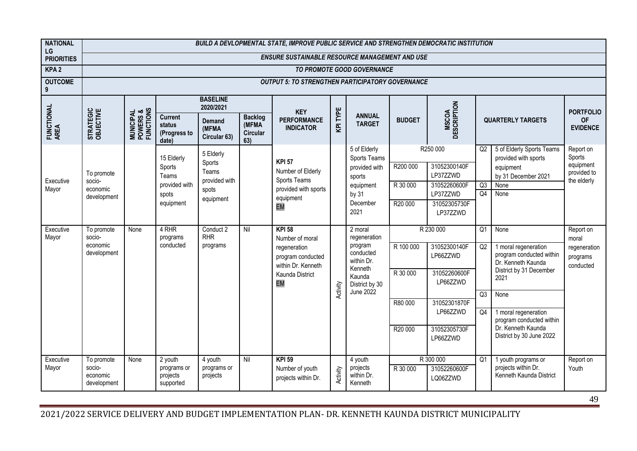| <b>NATIONAL</b><br>LG | BUILD A DEVLOPMENTAL STATE, IMPROVE PUBLIC SERVICE AND STRENGTHEN DEMOCRATIC INSTITUTION |                                                 |                                                   |                                        |                                                   |                                                         |                |                                              |               |                                       |                |                                                                        |                                         |
|-----------------------|------------------------------------------------------------------------------------------|-------------------------------------------------|---------------------------------------------------|----------------------------------------|---------------------------------------------------|---------------------------------------------------------|----------------|----------------------------------------------|---------------|---------------------------------------|----------------|------------------------------------------------------------------------|-----------------------------------------|
| <b>PRIORITIES</b>     |                                                                                          |                                                 |                                                   |                                        |                                                   | <b>ENSURE SUSTAINABLE RESOURCE MANAGEMENT AND USE</b>   |                |                                              |               |                                       |                |                                                                        |                                         |
| KPA <sub>2</sub>      |                                                                                          |                                                 |                                                   |                                        |                                                   |                                                         |                | TO PROMOTE GOOD GOVERNANCE                   |               |                                       |                |                                                                        |                                         |
| <b>OUTCOME</b><br>9   |                                                                                          |                                                 |                                                   |                                        |                                                   | <b>OUTPUT 5: TO STRENGTHEN PARTICIPATORY GOVERNANCE</b> |                |                                              |               |                                       |                |                                                                        |                                         |
|                       |                                                                                          |                                                 |                                                   | <b>BASELINE</b><br>2020/2021           |                                                   | <b>KEY</b>                                              |                |                                              |               |                                       |                |                                                                        | <b>PORTFOLIO</b>                        |
| FUNCTIONAL<br>AREA    | STRATEGIC<br>OBJECTIVE                                                                   | <b>MUNICIPAL<br/>POWERS &amp;<br/>FUNCTIONS</b> | <b>Current</b><br>status<br>(Progress to<br>date) | <b>Demand</b><br>(MFMA<br>Circular 63) | <b>Backlog</b><br>(MFMA<br><b>Circular</b><br>63) | <b>PERFORMANCE</b><br><b>INDICATOR</b>                  | <b>KPITYPE</b> | <b>ANNUAL</b><br><b>TARGET</b>               | <b>BUDGET</b> | <b>MSCOA</b><br>DESCRIPTION           |                | <b>QUARTERLY TARGETS</b>                                               | <b>OF</b><br><b>EVIDENCE</b>            |
|                       |                                                                                          |                                                 | 15 Elderly                                        | 5 Elderly                              |                                                   |                                                         |                | 5 of Elderly<br>Sports Teams                 |               | R250 000                              | Q <sub>2</sub> | 5 of Elderly Sports Teams<br>provided with sports                      | Report on<br>Sports                     |
| Executive             | To promote<br>socio-                                                                     |                                                 | Sports<br>Teams                                   | Sports<br>Teams<br>provided with       |                                                   | <b>KPI 57</b><br>Number of Elderly<br>Sports Teams      |                | provided with<br>sports                      | R200 000      | 31052300140F<br>LP37ZZWD              |                | equipment<br>by 31 December 2021                                       | equipment<br>provided to<br>the elderly |
| Mayor                 | economic                                                                                 |                                                 | provided with<br>spots                            | spots                                  |                                                   | provided with sports                                    |                | equipment<br>by 31                           | R 30 000      | 31052260600F<br>LP37ZZWD              | Q3<br>Q4       | None<br>None                                                           |                                         |
|                       | development                                                                              |                                                 | equipment                                         | equipment                              |                                                   | equipment<br>EM                                         |                | December                                     | R20 000       | 31052305730F                          |                |                                                                        |                                         |
|                       |                                                                                          |                                                 |                                                   |                                        |                                                   |                                                         |                | 2021                                         |               | LP37ZZWD                              |                |                                                                        |                                         |
| Executive<br>Mayor    | To promote<br>socio-                                                                     | None                                            | 4 RHR<br>programs                                 | Conduct 2<br><b>RHR</b>                | Nil                                               | <b>KPI 58</b><br>Number of moral                        |                | 2 moral<br>regeneration                      |               | R 230 000                             | O <sub>1</sub> | None                                                                   | Report on<br>moral                      |
|                       | economic<br>development                                                                  |                                                 | conducted                                         | programs                               |                                                   | regeneration<br>program conducted                       |                | program<br>conducted<br>within Dr.           | R 100 000     | 31052300140F<br>LP66ZZWD              | Q2             | 1 moral regeneration<br>program conducted within<br>Dr. Kenneth Kaunda | regeneration<br>programs                |
|                       |                                                                                          |                                                 |                                                   |                                        |                                                   | within Dr. Kenneth<br>Kaunda District                   |                | Kenneth<br>Kaunda                            | R 30 000      | 31052260600F                          |                | District by 31 December<br>2021                                        | conducted                               |
|                       |                                                                                          |                                                 |                                                   |                                        |                                                   | EM                                                      | Activity       | District by 30<br><b>June 2022</b>           |               | LP66ZZWD                              |                |                                                                        |                                         |
|                       |                                                                                          |                                                 |                                                   |                                        |                                                   |                                                         |                |                                              | R80 000       | 31052301870F                          | Q3             | None                                                                   |                                         |
|                       |                                                                                          |                                                 |                                                   |                                        |                                                   |                                                         |                |                                              |               | LP66ZZWD                              | Q4             | 1 moral regeneration<br>program conducted within                       |                                         |
|                       |                                                                                          |                                                 |                                                   |                                        |                                                   |                                                         |                |                                              | R20 000       | 31052305730F<br>LP66ZZWD              |                | Dr. Kenneth Kaunda<br>District by 30 June 2022                         |                                         |
| Executive<br>Mayor    | To promote<br>socio-<br>economic<br>development                                          | None                                            | 2 youth<br>programs or<br>projects<br>supported   | 4 youth<br>programs or<br>projects     | Nil                                               | <b>KPI 59</b><br>Number of youth<br>projects within Dr. | Activity       | 4 youth<br>projects<br>within Dr.<br>Kenneth | R 30 000      | R 300 000<br>31052260600F<br>LQ06ZZWD | Q <sub>1</sub> | 1 youth programs or<br>projects within Dr.<br>Kenneth Kaunda District  | Report on<br>Youth                      |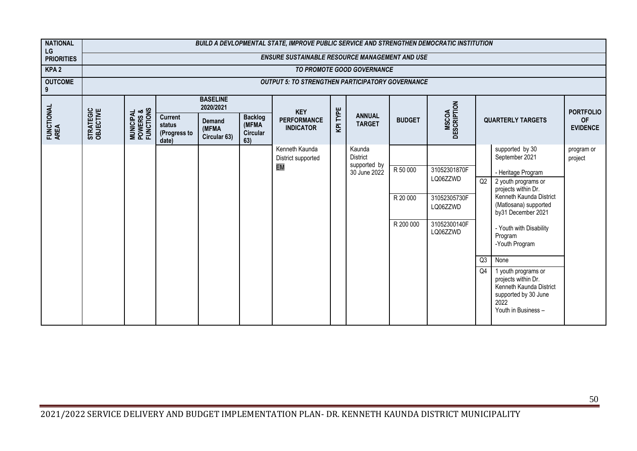| <b>NATIONAL</b><br>LG | BUILD A DEVLOPMENTAL STATE, IMPROVE PUBLIC SERVICE AND STRENGTHEN DEMOCRATIC INSTITUTION |                                                 |                                                   |                                        |                                                   |                                                         |                |                                |               |                             |                |                                                                                                                              |                              |
|-----------------------|------------------------------------------------------------------------------------------|-------------------------------------------------|---------------------------------------------------|----------------------------------------|---------------------------------------------------|---------------------------------------------------------|----------------|--------------------------------|---------------|-----------------------------|----------------|------------------------------------------------------------------------------------------------------------------------------|------------------------------|
| <b>PRIORITIES</b>     |                                                                                          |                                                 |                                                   |                                        |                                                   | <b>ENSURE SUSTAINABLE RESOURCE MANAGEMENT AND USE</b>   |                |                                |               |                             |                |                                                                                                                              |                              |
| KPA <sub>2</sub>      |                                                                                          |                                                 |                                                   |                                        |                                                   |                                                         |                | TO PROMOTE GOOD GOVERNANCE     |               |                             |                |                                                                                                                              |                              |
| <b>OUTCOME</b><br>9   |                                                                                          |                                                 |                                                   |                                        |                                                   | <b>OUTPUT 5: TO STRENGTHEN PARTICIPATORY GOVERNANCE</b> |                |                                |               |                             |                |                                                                                                                              |                              |
|                       |                                                                                          |                                                 |                                                   | <b>BASELINE</b><br>2020/2021           |                                                   | <b>KEY</b>                                              |                |                                |               |                             |                |                                                                                                                              | <b>PORTFOLIO</b>             |
| FUNCTIONAL<br>AREA    | STRATEGIC<br>OBJECTIVE                                                                   | <b>MUNICIPAL<br/>POWERS &amp;<br/>FUNCTIONS</b> | <b>Current</b><br>status<br>(Progress to<br>date) | <b>Demand</b><br>(MFMA<br>Circular 63) | <b>Backlog</b><br>(MFMA<br><b>Circular</b><br>63) | <b>PERFORMANCE</b><br><b>INDICATOR</b>                  | <b>KPITYPE</b> | <b>ANNUAL</b><br><b>TARGET</b> | <b>BUDGET</b> | <b>MSCOA</b><br>DESCRIPTION |                | <b>QUARTERLY TARGETS</b>                                                                                                     | <b>OF</b><br><b>EVIDENCE</b> |
|                       |                                                                                          |                                                 |                                                   |                                        |                                                   | Kenneth Kaunda<br>District supported                    |                | Kaunda<br><b>District</b>      |               |                             |                | supported by 30<br>September 2021                                                                                            | program or<br>project        |
|                       |                                                                                          |                                                 |                                                   |                                        |                                                   | EM                                                      |                | supported by<br>30 June 2022   | R 50 000      | 31052301870F<br>LQ06ZZWD    | Q2             | - Heritage Program<br>2 youth programs or<br>projects within Dr.                                                             |                              |
|                       |                                                                                          |                                                 |                                                   |                                        |                                                   |                                                         |                |                                | R 20 000      | 31052305730F<br>LQ06ZZWD    |                | Kenneth Kaunda District<br>(Matlosana) supported<br>by31 December 2021                                                       |                              |
|                       |                                                                                          |                                                 |                                                   |                                        |                                                   |                                                         |                |                                | R 200 000     | 31052300140F<br>LQ06ZZWD    |                | - Youth with Disability<br>Program<br>-Youth Program                                                                         |                              |
|                       |                                                                                          |                                                 |                                                   |                                        |                                                   |                                                         |                |                                |               |                             | Q3             | None                                                                                                                         |                              |
|                       |                                                                                          |                                                 |                                                   |                                        |                                                   |                                                         |                |                                |               |                             | Q <sub>4</sub> | 1 youth programs or<br>projects within Dr.<br>Kenneth Kaunda District<br>supported by 30 June<br>2022<br>Youth in Business - |                              |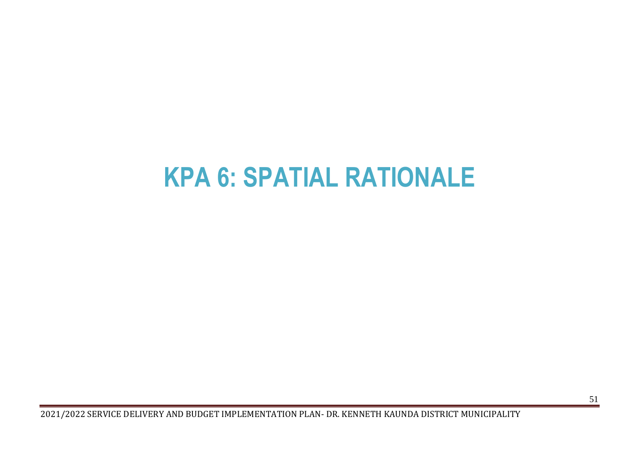# <span id="page-51-0"></span>**KPA 6: SPATIAL RATIONALE**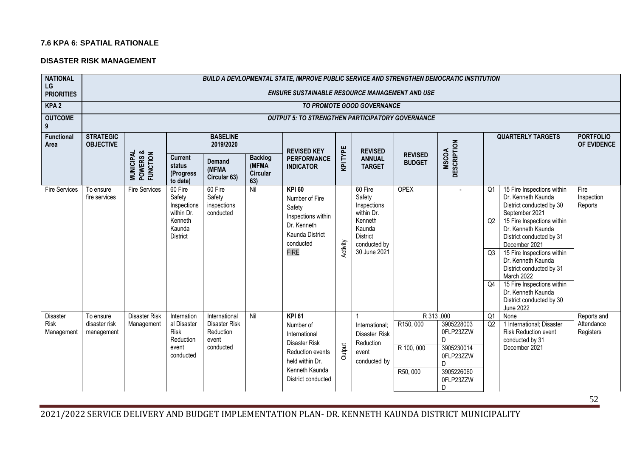#### **7.6 KPA 6: SPATIAL RATIONALE**

#### **DISASTER RISK MANAGEMENT**

| <b>NATIONAL</b><br>LG                 | <b>BUILD A DEVLOPMENTAL STATE, IMPROVE PUBLIC SERVICE AND STRENGTHEN DEMOCRATIC INSTITUTION</b> |                                                |                                                                                        |                                                                   |                                                   |                                                                                                                                             |          |                                                                                                                        |                                                |                                                                                                |                                  |                                                                                                                                                                                                                                                                                                                                                                                                   |                                        |
|---------------------------------------|-------------------------------------------------------------------------------------------------|------------------------------------------------|----------------------------------------------------------------------------------------|-------------------------------------------------------------------|---------------------------------------------------|---------------------------------------------------------------------------------------------------------------------------------------------|----------|------------------------------------------------------------------------------------------------------------------------|------------------------------------------------|------------------------------------------------------------------------------------------------|----------------------------------|---------------------------------------------------------------------------------------------------------------------------------------------------------------------------------------------------------------------------------------------------------------------------------------------------------------------------------------------------------------------------------------------------|----------------------------------------|
| <b>PRIORITIES</b>                     |                                                                                                 |                                                |                                                                                        |                                                                   |                                                   | <b>ENSURE SUSTAINABLE RESOURCE MANAGEMENT AND USE</b>                                                                                       |          |                                                                                                                        |                                                |                                                                                                |                                  |                                                                                                                                                                                                                                                                                                                                                                                                   |                                        |
| KPA <sub>2</sub>                      |                                                                                                 |                                                |                                                                                        |                                                                   |                                                   |                                                                                                                                             |          | TO PROMOTE GOOD GOVERNANCE                                                                                             |                                                |                                                                                                |                                  |                                                                                                                                                                                                                                                                                                                                                                                                   |                                        |
| <b>OUTCOME</b><br>9                   |                                                                                                 |                                                |                                                                                        |                                                                   |                                                   | <b>OUTPUT 5: TO STRENGTHEN PARTICIPATORY GOVERNANCE</b>                                                                                     |          |                                                                                                                        |                                                |                                                                                                |                                  |                                                                                                                                                                                                                                                                                                                                                                                                   |                                        |
| Functional<br>Area                    | <b>STRATEGIC</b><br><b>OBJECTIVE</b>                                                            |                                                |                                                                                        | <b>BASELINE</b><br>2019/2020                                      |                                                   | <b>REVISED KEY</b>                                                                                                                          |          | <b>REVISED</b>                                                                                                         |                                                |                                                                                                |                                  | <b>QUARTERLY TARGETS</b>                                                                                                                                                                                                                                                                                                                                                                          | <b>PORTFOLIO</b><br>OF EVIDENCE        |
|                                       |                                                                                                 | <b>MUNICIPAL<br/>POWERS &amp;<br/>FUNCTION</b> | <b>Current</b><br>status<br>(Progress<br>to date)                                      | Demand<br>(MFMA<br>Circular 63)                                   | <b>Backlog</b><br>(MFMA<br><b>Circular</b><br>63) | <b>PERFORMANCE</b><br><b>INDICATOR</b>                                                                                                      | KPI TYPE | <b>ANNUAL</b><br><b>TARGET</b>                                                                                         | <b>REVISED</b><br><b>BUDGET</b>                | <b>DESCRIPTION</b><br><b>MSCOA</b>                                                             |                                  |                                                                                                                                                                                                                                                                                                                                                                                                   |                                        |
| <b>Fire Services</b>                  | To ensure<br>fire services                                                                      | <b>Fire Services</b>                           | 60 Fire<br>Safety<br>Inspections<br>within Dr.<br>Kenneth<br>Kaunda<br><b>District</b> | 60 Fire<br>Safety<br>inspections<br>conducted                     | Nil                                               | <b>KPI 60</b><br>Number of Fire<br>Safety<br>Inspections within<br>Dr. Kenneth<br>Kaunda District<br>conducted<br><b>FIRE</b>               | Activity | 60 Fire<br>Safety<br>Inspections<br>within Dr.<br>Kenneth<br>Kaunda<br><b>District</b><br>conducted by<br>30 June 2021 | <b>OPEX</b>                                    |                                                                                                | Q <sub>1</sub><br>Q2<br>Q3<br>Q4 | 15 Fire Inspections within<br>Dr. Kenneth Kaunda<br>District conducted by 30<br>September 2021<br>15 Fire Inspections within<br>Dr. Kenneth Kaunda<br>District conducted by 31<br>December 2021<br>15 Fire Inspections within<br>Dr. Kenneth Kaunda<br>District conducted by 31<br>March 2022<br>15 Fire Inspections within<br>Dr. Kenneth Kaunda<br>District conducted by 30<br><b>June 2022</b> | Fire<br>Inspection<br>Reports          |
| <b>Disaster</b><br>Risk<br>Management | To ensure<br>disaster risk<br>management                                                        | <b>Disaster Risk</b><br>Management             | Internation<br>al Disaster<br><b>Risk</b><br>Reduction<br>event<br>conducted           | International<br>Disaster Risk<br>Reduction<br>event<br>conducted | Nil                                               | <b>KPI 61</b><br>Number of<br>International<br>Disaster Risk<br>Reduction events<br>held within Dr.<br>Kenneth Kaunda<br>District conducted | Output   | International:<br>Disaster Risk<br>Reduction<br>event<br>conducted by                                                  | R 313,000<br>R150,000<br>R 100, 000<br>R50,000 | 3905228003<br>0FLP23ZZW<br>D<br>3905230014<br>0FLP23ZZW<br>D.<br>3905226060<br>0FLP23ZZW<br>D. | Q1<br>Q2                         | None<br>1 International; Disaster<br><b>Risk Reduction event</b><br>conducted by 31<br>December 2021                                                                                                                                                                                                                                                                                              | Reports and<br>Attendance<br>Registers |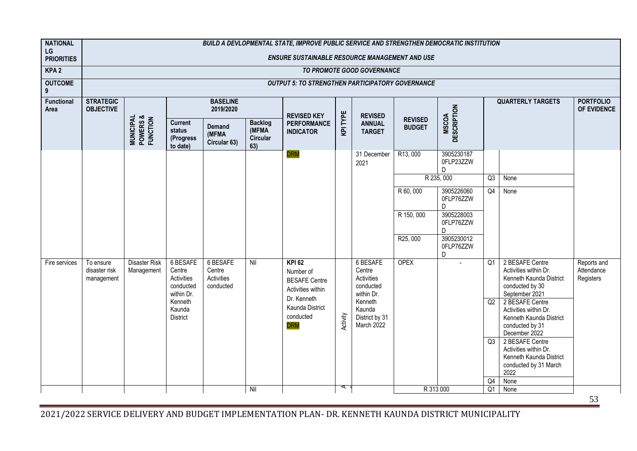| <b>NATIONAL</b><br>LG     | BUILD A DEVLOPMENTAL STATE, IMPROVE PUBLIC SERVICE AND STRENGTHEN DEMOCRATIC INSTITUTION |                                                |                                                             |                                               |                                            |                                                                                        |          |                                                                    |                                 |                                    |                |                                                                                                          |                                        |
|---------------------------|------------------------------------------------------------------------------------------|------------------------------------------------|-------------------------------------------------------------|-----------------------------------------------|--------------------------------------------|----------------------------------------------------------------------------------------|----------|--------------------------------------------------------------------|---------------------------------|------------------------------------|----------------|----------------------------------------------------------------------------------------------------------|----------------------------------------|
| <b>PRIORITIES</b>         |                                                                                          |                                                |                                                             |                                               |                                            | <b>ENSURE SUSTAINABLE RESOURCE MANAGEMENT AND USE</b>                                  |          |                                                                    |                                 |                                    |                |                                                                                                          |                                        |
| KPA <sub>2</sub>          |                                                                                          |                                                |                                                             |                                               |                                            |                                                                                        |          | TO PROMOTE GOOD GOVERNANCE                                         |                                 |                                    |                |                                                                                                          |                                        |
| <b>OUTCOME</b><br>9       |                                                                                          |                                                |                                                             |                                               |                                            | <b>OUTPUT 5: TO STRENGTHEN PARTICIPATORY GOVERNANCE</b>                                |          |                                                                    |                                 |                                    |                |                                                                                                          |                                        |
| <b>Functional</b><br>Area | <b>STRATEGIC</b><br><b>OBJECTIVE</b>                                                     |                                                |                                                             | <b>BASELINE</b><br>2019/2020                  |                                            | <b>REVISED KEY</b>                                                                     |          | <b>REVISED</b>                                                     |                                 |                                    |                | <b>QUARTERLY TARGETS</b>                                                                                 | <b>PORTFOLIO</b><br>OF EVIDENCE        |
|                           |                                                                                          | <b>MUNICIPAL<br/>POWERS &amp;<br/>FUNCTION</b> | <b>Current</b><br>status<br>(Progress<br>to date)           | Demand<br>(MFMA<br>Circular 63)               | <b>Backlog</b><br>(MFMA<br>Circular<br>63) | <b>PERFORMANCE</b><br><b>INDICATOR</b>                                                 | KPI TYPE | <b>ANNUAL</b><br><b>TARGET</b>                                     | <b>REVISED</b><br><b>BUDGET</b> | <b>DESCRIPTION</b><br><b>MSCOA</b> |                |                                                                                                          |                                        |
|                           |                                                                                          |                                                |                                                             |                                               |                                            | <b>DRM</b>                                                                             |          | 31 December<br>2021                                                | R13,000                         | 3905230187<br>0FLP23ZZW<br>D.      |                |                                                                                                          |                                        |
|                           | R 235, 000<br>Q3<br>None                                                                 |                                                |                                                             |                                               |                                            |                                                                                        |          |                                                                    |                                 |                                    |                |                                                                                                          |                                        |
|                           |                                                                                          |                                                |                                                             |                                               |                                            |                                                                                        |          |                                                                    | R 60, 000                       | 3905226060<br>0FLP76ZZW<br>D       | Q4             | None                                                                                                     |                                        |
|                           |                                                                                          |                                                |                                                             |                                               |                                            |                                                                                        |          |                                                                    | R 150, 000                      | 3905228003<br>0FLP76ZZW<br>D       |                |                                                                                                          |                                        |
|                           |                                                                                          |                                                |                                                             |                                               |                                            |                                                                                        |          |                                                                    | R25,000                         | 3905230012<br>0FLP76ZZW<br>D       |                |                                                                                                          |                                        |
| Fire services             | To ensure<br>disaster risk<br>management                                                 | <b>Disaster Risk</b><br>Management             | 6 BESAFE<br>Centre<br>Activities<br>conducted<br>within Dr. | 6 BESAFE<br>Centre<br>Activities<br>conducted | Nil                                        | <b>KPI 62</b><br>Number of<br><b>BESAFE Centre</b><br>Activities within<br>Dr. Kenneth |          | <b>6 BESAFE</b><br>Centre<br>Activities<br>conducted<br>within Dr. | <b>OPEX</b>                     |                                    | Q1             | 2 BESAFE Centre<br>Activities within Dr.<br>Kenneth Kaunda District<br>conducted by 30<br>September 2021 | Reports and<br>Attendance<br>Registers |
|                           |                                                                                          |                                                | Kenneth<br>Kaunda<br><b>District</b>                        |                                               |                                            | Kaunda District<br>conducted<br><b>DRM</b>                                             | Activity | Kenneth<br>Kaunda<br>District by 31<br>March 2022                  |                                 |                                    | Q2             | 2 BESAFE Centre<br>Activities within Dr.<br>Kenneth Kaunda District<br>conducted by 31<br>December 2022  |                                        |
|                           |                                                                                          |                                                |                                                             |                                               |                                            |                                                                                        |          |                                                                    |                                 |                                    | Q3             | 2 BESAFE Centre<br>Activities within Dr.<br>Kenneth Kaunda District<br>conducted by 31 March<br>2022     |                                        |
|                           |                                                                                          |                                                |                                                             |                                               |                                            |                                                                                        | ⋖        |                                                                    |                                 |                                    | Q4             | None                                                                                                     |                                        |
|                           |                                                                                          |                                                |                                                             |                                               | Nil                                        |                                                                                        |          |                                                                    | R 313 000                       |                                    | Q <sub>1</sub> | None                                                                                                     |                                        |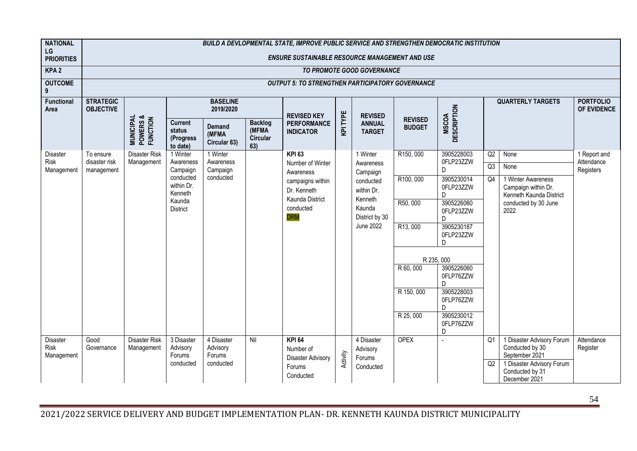| <b>NATIONAL</b><br>LG          | <b>BUILD A DEVLOPMENTAL STATE, IMPROVE PUBLIC SERVICE AND STRENGTHEN DEMOCRATIC INSTITUTION</b> |                                                |                                                   |                                        |                                                   |                                                         |          |                                |                                 |                                    |    |                                                 |                                 |
|--------------------------------|-------------------------------------------------------------------------------------------------|------------------------------------------------|---------------------------------------------------|----------------------------------------|---------------------------------------------------|---------------------------------------------------------|----------|--------------------------------|---------------------------------|------------------------------------|----|-------------------------------------------------|---------------------------------|
| <b>PRIORITIES</b>              | <b>ENSURE SUSTAINABLE RESOURCE MANAGEMENT AND USE</b>                                           |                                                |                                                   |                                        |                                                   |                                                         |          |                                |                                 |                                    |    |                                                 |                                 |
| KPA <sub>2</sub>               |                                                                                                 |                                                |                                                   |                                        |                                                   |                                                         |          | TO PROMOTE GOOD GOVERNANCE     |                                 |                                    |    |                                                 |                                 |
| <b>OUTCOME</b><br>9            |                                                                                                 |                                                |                                                   |                                        |                                                   | <b>OUTPUT 5: TO STRENGTHEN PARTICIPATORY GOVERNANCE</b> |          |                                |                                 |                                    |    |                                                 |                                 |
| Functional<br>Area             | <b>STRATEGIC</b><br><b>OBJECTIVE</b>                                                            |                                                |                                                   | <b>BASELINE</b><br>2019/2020           |                                                   | <b>REVISED KEY</b>                                      |          | <b>REVISED</b>                 |                                 |                                    |    | <b>QUARTERLY TARGETS</b>                        | <b>PORTFOLIO</b><br>OF EVIDENCE |
|                                |                                                                                                 | <b>MUNICIPAL<br/>POWERS &amp;<br/>FUNCTION</b> | <b>Current</b><br>status<br>(Progress<br>to date) | <b>Demand</b><br>(MFMA<br>Circular 63) | <b>Backlog</b><br>(MFMA<br><b>Circular</b><br>63) | <b>PERFORMANCE</b><br><b>INDICATOR</b>                  | KPI TYPE | <b>ANNUAL</b><br><b>TARGET</b> | <b>REVISED</b><br><b>BUDGET</b> | <b>DESCRIPTION</b><br><b>MSCOA</b> |    |                                                 |                                 |
| <b>Disaster</b><br>Risk        | To ensure<br>disaster risk                                                                      | <b>Disaster Risk</b><br>Management             | 1 Winter<br>Awareness                             | 1 Winter<br>Awareness                  |                                                   | <b>KPI 63</b><br>Number of Winter                       |          | 1 Winter<br>Awareness          | R150,000                        | 3905228003<br>0FLP23ZZW            | Q2 | None                                            | 1 Report and<br>Attendance      |
| Management                     | management                                                                                      |                                                | Campaign                                          | Campaign                               |                                                   | Awareness                                               |          | Campaign                       |                                 | D                                  | Q3 | None                                            | Registers                       |
|                                |                                                                                                 |                                                | conducted<br>within Dr.                           | conducted                              |                                                   | campaigns within<br>Dr. Kenneth                         |          | conducted<br>within Dr.        | R100,000                        | 3905230014<br>0FLP23ZZW            | Q4 | 1 Winter Awareness<br>Campaign within Dr.       |                                 |
|                                |                                                                                                 |                                                | Kenneth<br>Kaunda                                 |                                        |                                                   | Kaunda District                                         |          | Kenneth                        | R50,000                         | D.<br>3905226060                   |    | Kenneth Kaunda District<br>conducted by 30 June |                                 |
|                                |                                                                                                 |                                                | <b>District</b>                                   |                                        |                                                   | conducted<br><b>DRM</b>                                 |          | Kaunda<br>District by 30       |                                 | 0FLP23ZZW                          |    | 2022                                            |                                 |
|                                |                                                                                                 |                                                |                                                   |                                        |                                                   |                                                         |          | <b>June 2022</b>               | R13,000                         | D.<br>3905230187                   |    |                                                 |                                 |
|                                |                                                                                                 |                                                |                                                   |                                        |                                                   |                                                         |          |                                |                                 | 0FLP23ZZW<br>D                     |    |                                                 |                                 |
|                                |                                                                                                 |                                                |                                                   |                                        |                                                   |                                                         |          |                                |                                 |                                    |    |                                                 |                                 |
|                                |                                                                                                 |                                                |                                                   |                                        |                                                   |                                                         |          |                                | R 60, 000                       | R 235, 000<br>3905226060           |    |                                                 |                                 |
|                                |                                                                                                 |                                                |                                                   |                                        |                                                   |                                                         |          |                                |                                 | 0FLP76ZZW                          |    |                                                 |                                 |
|                                |                                                                                                 |                                                |                                                   |                                        |                                                   |                                                         |          |                                | R 150, 000                      | D.<br>3905228003                   |    |                                                 |                                 |
|                                |                                                                                                 |                                                |                                                   |                                        |                                                   |                                                         |          |                                |                                 | 0FLP76ZZW<br>D                     |    |                                                 |                                 |
|                                |                                                                                                 |                                                |                                                   |                                        |                                                   |                                                         |          |                                | R 25,000                        | 3905230012                         |    |                                                 |                                 |
|                                |                                                                                                 |                                                |                                                   |                                        |                                                   |                                                         |          |                                |                                 | 0FLP76ZZW<br>D                     |    |                                                 |                                 |
| <b>Disaster</b><br><b>Risk</b> | Good<br>Governance                                                                              | <b>Disaster Risk</b>                           | 3 Disaster<br>Advisory                            | 4 Disaster<br>Advisory                 | Nil                                               | $KPI$ 64                                                |          | 4 Disaster                     | <b>OPEX</b>                     |                                    | Q1 | 1 Disaster Advisory Forum<br>Conducted by 30    | Attendance                      |
| Management                     |                                                                                                 | Management                                     | Forums                                            | Forums                                 |                                                   | Number of<br><b>Disaster Advisory</b>                   | Activity | Advisory<br>Forums             |                                 |                                    |    | September 2021                                  | Register                        |
|                                |                                                                                                 |                                                | conducted                                         | conducted                              |                                                   | Forums                                                  |          | Conducted                      |                                 |                                    | Q2 | 1 Disaster Advisory Forum<br>Conducted by 31    |                                 |
|                                |                                                                                                 |                                                |                                                   |                                        |                                                   | Conducted                                               |          |                                |                                 |                                    |    | December 2021                                   |                                 |